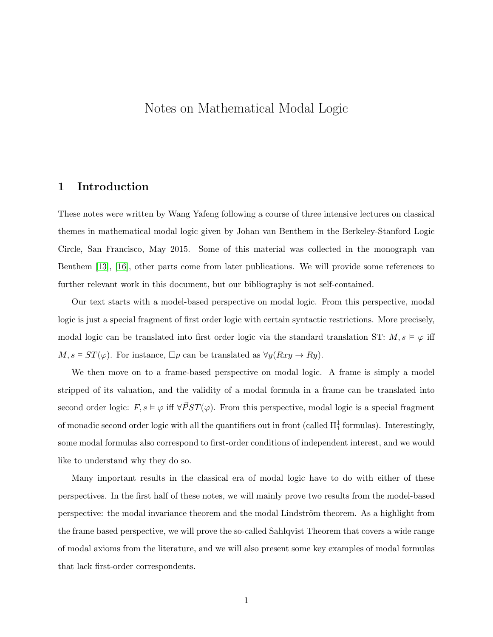# Notes on Mathematical Modal Logic

### 1 Introduction

These notes were written by Wang Yafeng following a course of three intensive lectures on classical themes in mathematical modal logic given by Johan van Benthem in the Berkeley-Stanford Logic Circle, San Francisco, May 2015. Some of this material was collected in the monograph van Benthem [\[13\]](#page-75-0), [\[16\]](#page-76-0), other parts come from later publications. We will provide some references to further relevant work in this document, but our bibliography is not self-contained.

Our text starts with a model-based perspective on modal logic. From this perspective, modal logic is just a special fragment of first order logic with certain syntactic restrictions. More precisely, modal logic can be translated into first order logic via the standard translation ST:  $M, s \models \varphi$  iff  $M, s \models ST(\varphi)$ . For instance,  $\Box p$  can be translated as  $\forall y(Rxy \rightarrow Ry)$ .

We then move on to a frame-based perspective on modal logic. A frame is simply a model stripped of its valuation, and the validity of a modal formula in a frame can be translated into second order logic:  $F, s \models \varphi$  iff  $\forall \vec{P}ST(\varphi)$ . From this perspective, modal logic is a special fragment of monadic second order logic with all the quantifiers out in front (called  $\Pi^1_1$  formulas). Interestingly, some modal formulas also correspond to first-order conditions of independent interest, and we would like to understand why they do so.

Many important results in the classical era of modal logic have to do with either of these perspectives. In the first half of these notes, we will mainly prove two results from the model-based perspective: the modal invariance theorem and the modal Lindström theorem. As a highlight from the frame based perspective, we will prove the so-called Sahlqvist Theorem that covers a wide range of modal axioms from the literature, and we will also present some key examples of modal formulas that lack first-order correspondents.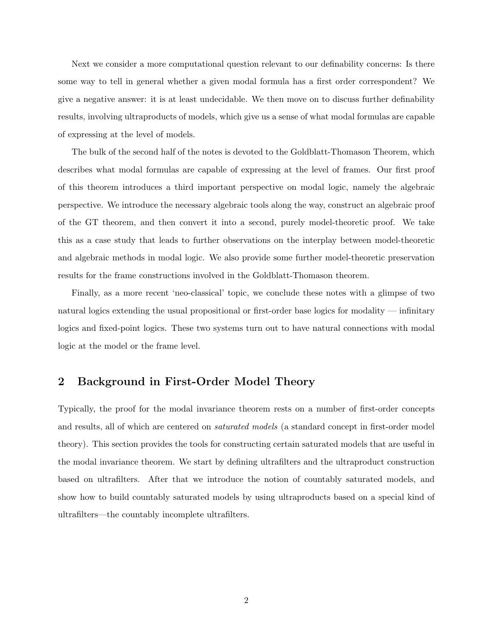Next we consider a more computational question relevant to our definability concerns: Is there some way to tell in general whether a given modal formula has a first order correspondent? We give a negative answer: it is at least undecidable. We then move on to discuss further definability results, involving ultraproducts of models, which give us a sense of what modal formulas are capable of expressing at the level of models.

The bulk of the second half of the notes is devoted to the Goldblatt-Thomason Theorem, which describes what modal formulas are capable of expressing at the level of frames. Our first proof of this theorem introduces a third important perspective on modal logic, namely the algebraic perspective. We introduce the necessary algebraic tools along the way, construct an algebraic proof of the GT theorem, and then convert it into a second, purely model-theoretic proof. We take this as a case study that leads to further observations on the interplay between model-theoretic and algebraic methods in modal logic. We also provide some further model-theoretic preservation results for the frame constructions involved in the Goldblatt-Thomason theorem.

Finally, as a more recent 'neo-classical' topic, we conclude these notes with a glimpse of two natural logics extending the usual propositional or first-order base logics for modality — infinitary logics and fixed-point logics. These two systems turn out to have natural connections with modal logic at the model or the frame level.

## 2 Background in First-Order Model Theory

Typically, the proof for the modal invariance theorem rests on a number of first-order concepts and results, all of which are centered on saturated models (a standard concept in first-order model theory). This section provides the tools for constructing certain saturated models that are useful in the modal invariance theorem. We start by defining ultrafilters and the ultraproduct construction based on ultrafilters. After that we introduce the notion of countably saturated models, and show how to build countably saturated models by using ultraproducts based on a special kind of ultrafilters—the countably incomplete ultrafilters.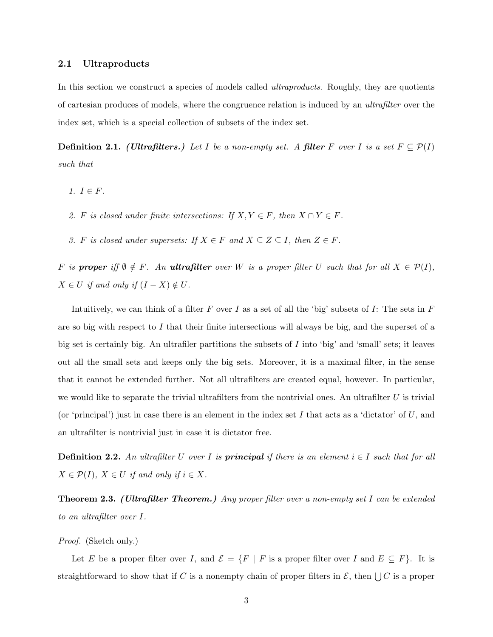#### 2.1 Ultraproducts

In this section we construct a species of models called *ultraproducts*. Roughly, they are quotients of cartesian produces of models, where the congruence relation is induced by an ultrafilter over the index set, which is a special collection of subsets of the index set.

**Definition 2.1.** (Ultrafilters.) Let I be a non-empty set. A filter F over I is a set  $F \subseteq \mathcal{P}(I)$ such that

- 1.  $I \in F$ .
- 2. F is closed under finite intersections: If  $X, Y \in F$ , then  $X \cap Y \in F$ .
- 3. F is closed under supersets: If  $X \in F$  and  $X \subseteq Z \subseteq I$ , then  $Z \in F$ .

F is **proper** iff  $\emptyset \notin F$ . An **ultrafilter** over W is a proper filter U such that for all  $X \in \mathcal{P}(I)$ ,  $X \in U$  if and only if  $(I - X) \notin U$ .

Intuitively, we can think of a filter F over I as a set of all the 'big' subsets of I: The sets in  $F$ are so big with respect to I that their finite intersections will always be big, and the superset of a big set is certainly big. An ultrafiler partitions the subsets of I into 'big' and 'small' sets; it leaves out all the small sets and keeps only the big sets. Moreover, it is a maximal filter, in the sense that it cannot be extended further. Not all ultrafilters are created equal, however. In particular, we would like to separate the trivial ultrafilters from the nontrivial ones. An ultrafilter  $U$  is trivial (or 'principal') just in case there is an element in the index set I that acts as a 'dictator' of  $U$ , and an ultrafilter is nontrivial just in case it is dictator free.

**Definition 2.2.** An ultrafilter U over I is **principal** if there is an element  $i \in I$  such that for all  $X \in \mathcal{P}(I)$ ,  $X \in U$  if and only if  $i \in X$ .

**Theorem 2.3.** (Ultrafilter Theorem.) Any proper filter over a non-empty set I can be extended to an ultrafilter over I.

Proof. (Sketch only.)

Let E be a proper filter over I, and  $\mathcal{E} = \{F \mid F \text{ is a proper filter over } I \text{ and } E \subseteq F\}.$  It is straightforward to show that if C is a nonempty chain of proper filters in  $\mathcal{E}$ , then  $\bigcup C$  is a proper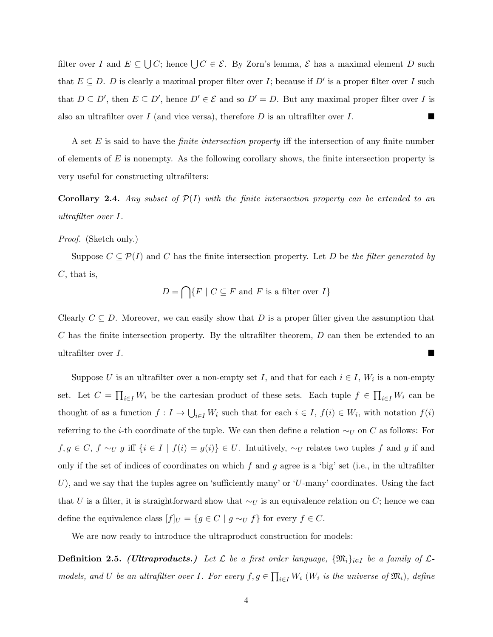filter over I and  $E \subseteq \bigcup C$ ; hence  $\bigcup C \in \mathcal{E}$ . By Zorn's lemma,  $\mathcal E$  has a maximal element D such that  $E \subseteq D$ . D is clearly a maximal proper filter over I; because if D' is a proper filter over I such that  $D \subseteq D'$ , then  $E \subseteq D'$ , hence  $D' \in \mathcal{E}$  and so  $D' = D$ . But any maximal proper filter over I is also an ultrafilter over I (and vice versa), therefore D is an ultrafilter over I.

A set E is said to have the *finite intersection property* iff the intersection of any finite number of elements of  $E$  is nonempty. As the following corollary shows, the finite intersection property is very useful for constructing ultrafilters:

<span id="page-3-0"></span>**Corollary 2.4.** Any subset of  $\mathcal{P}(I)$  with the finite intersection property can be extended to an ultrafilter over I.

#### Proof. (Sketch only.)

Suppose  $C \subseteq \mathcal{P}(I)$  and C has the finite intersection property. Let D be the filter generated by  $C$ , that is,

$$
D = \bigcap \{ F \mid C \subseteq F \text{ and } F \text{ is a filter over } I \}
$$

Clearly  $C \subseteq D$ . Moreover, we can easily show that D is a proper filter given the assumption that  $C$  has the finite intersection property. By the ultrafilter theorem,  $D$  can then be extended to an ultrafilter over  $I$ .

Suppose U is an ultrafilter over a non-empty set I, and that for each  $i \in I$ ,  $W_i$  is a non-empty set. Let  $C = \prod_{i \in I} W_i$  be the cartesian product of these sets. Each tuple  $f \in \prod_{i \in I} W_i$  can be thought of as a function  $f: I \to \bigcup_{i \in I} W_i$  such that for each  $i \in I$ ,  $f(i) \in W_i$ , with notation  $f(i)$ referring to the *i*-th coordinate of the tuple. We can then define a relation  $\sim_U$  on C as follows: For  $f, g \in C$ ,  $f \sim_U g$  iff  $\{i \in I \mid f(i) = g(i)\}\in U$ . Intuitively,  $\sim_U$  relates two tuples f and g if and only if the set of indices of coordinates on which f and g agree is a 'big' set (i.e., in the ultrafilter U), and we say that the tuples agree on 'sufficiently many' or 'U-many' coordinates. Using the fact that U is a filter, it is straightforward show that  $\sim_U$  is an equivalence relation on C; hence we can define the equivalence class  $[f]_U = \{g \in C \mid g \sim_U f\}$  for every  $f \in C$ .

We are now ready to introduce the ultraproduct construction for models:

**Definition 2.5.** (Ultraproducts.) Let  $\mathcal{L}$  be a first order language,  $\{\mathfrak{M}_i\}_{i\in I}$  be a family of  $\mathcal{L}$ models, and U be an ultrafilter over I. For every  $f, g \in \prod_{i \in I} W_i$  ( $W_i$  is the universe of  $\mathfrak{M}_i$ ), define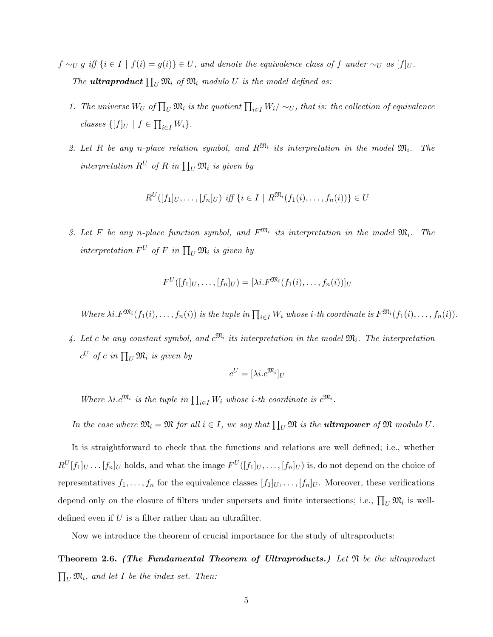- $f \sim_U g$  iff  $\{i \in I \mid f(i) = g(i)\} \in U$ , and denote the equivalence class of f under  $\sim_U as$   $[f]_U$ . The **ultraproduct**  $\prod_U \mathfrak{M}_i$  of  $\mathfrak{M}_i$  modulo U is the model defined as:
	- 1. The universe  $W_U$  of  $\prod_U \mathfrak{M}_i$  is the quotient  $\prod_{i\in I} W_i/\sim_U$ , that is: the collection of equivalence classes  $\{[f]_U \mid f \in \prod_{i \in I} W_i\}.$
	- 2. Let R be any n-place relation symbol, and  $R^{\mathfrak{M}_i}$  its interpretation in the model  $\mathfrak{M}_i$ . The interpretation  $R^U$  of R in  $\prod_U \mathfrak{M}_i$  is given by

$$
R^{U}([f_1]_U, \ldots, [f_n]_U) \text{ iff } \{i \in I \mid R^{\mathfrak{M}_i}(f_1(i), \ldots, f_n(i))\} \in U
$$

3. Let F be any n-place function symbol, and  $F^{\mathfrak{M}_i}$  its interpretation in the model  $\mathfrak{M}_i$ . The interpretation  $F^U$  of F in  $\prod_U \mathfrak{M}_i$  is given by

$$
F^U([f_1]_U,\ldots,[f_n]_U)=[\lambda i.F^{\mathfrak{M}_i}(f_1(i),\ldots,f_n(i))]_U
$$

Where  $\lambda i. F^{\mathfrak{M}_{i}}(f_1(i), \ldots, f_n(i))$  is the tuple in  $\prod_{i \in I} W_i$  whose *i*-th coordinate is  $F^{\mathfrak{M}_{i}}(f_1(i), \ldots, f_n(i))$ .

4. Let c be any constant symbol, and  $c^{\mathfrak{M}_i}$  its interpretation in the model  $\mathfrak{M}_i$ . The interpretation  $c^U$  of c in  $\prod_U \mathfrak{M}_i$  is given by

$$
c^U = [\lambda i. c^{\mathfrak{M}_i}]_U
$$

Where  $\lambda i.c^{\mathfrak{M}_i}$  is the tuple in  $\prod_{i\in I}W_i$  whose *i*-th coordinate is  $c^{\mathfrak{M}_i}$ .

In the case where  $\mathfrak{M}_i = \mathfrak{M}$  for all  $i \in I$ , we say that  $\prod_U \mathfrak{M}$  is the **ultrapower** of  $\mathfrak{M}$  modulo  $U$ .

It is straightforward to check that the functions and relations are well defined; i.e., whether  $R^U[f_1]_U \ldots [f_n]_U$  holds, and what the image  $F^U([f_1]_U, \ldots, [f_n]_U)$  is, do not depend on the choice of representatives  $f_1, \ldots, f_n$  for the equivalence classes  $[f_1]_U, \ldots, [f_n]_U$ . Moreover, these verifications depend only on the closure of filters under supersets and finite intersections; i.e.,  $\prod_U \mathfrak{M}_i$  is welldefined even if  $U$  is a filter rather than an ultrafilter.

Now we introduce the theorem of crucial importance for the study of ultraproducts:

**Theorem 2.6.** (The Fundamental Theorem of Ultraproducts.) Let  $\mathfrak{N}$  be the ultraproduct  $\prod_U \mathfrak{M}_i$ , and let I be the index set. Then: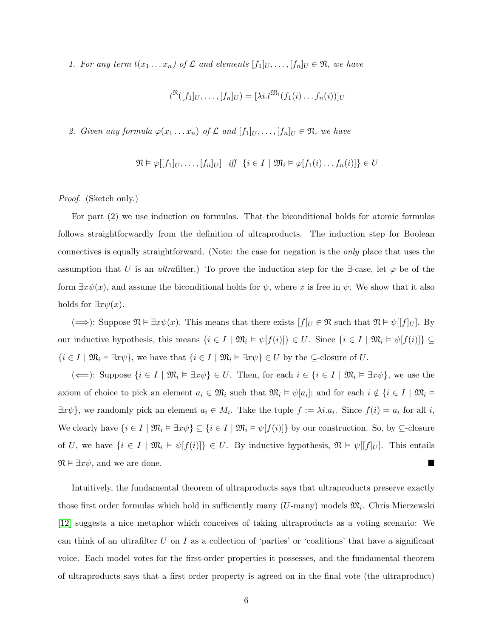1. For any term  $t(x_1 \ldots x_n)$  of  $\mathcal L$  and elements  $[f_1]_U, \ldots, [f_n]_U \in \mathfrak{N}$ , we have

$$
t^{\mathfrak{N}}([f_1]_U,\ldots,[f_n]_U)=[\lambda i.t^{\mathfrak{M}_i}(f_1(i)\ldots f_n(i))]_U
$$

2. Given any formula  $\varphi(x_1 \ldots x_n)$  of  $\mathcal L$  and  $[f_1]_U, \ldots, [f_n]_U \in \mathfrak N$ , we have

$$
\mathfrak{N} \vDash \varphi[[f_1]_U, \dots, [f_n]_U] \quad \text{iff} \quad \{i \in I \mid \mathfrak{M}_i \vDash \varphi[f_1(i) \dots f_n(i)]\} \in U
$$

Proof. (Sketch only.)

For part (2) we use induction on formulas. That the biconditional holds for atomic formulas follows straightforwardly from the definition of ultraproducts. The induction step for Boolean connectives is equally straightforward. (Note: the case for negation is the only place that uses the assumption that U is an ultrafilter.) To prove the induction step for the  $\exists$ -case, let  $\varphi$  be of the form  $\exists x \psi(x)$ , and assume the biconditional holds for  $\psi$ , where x is free in  $\psi$ . We show that it also holds for  $\exists x \psi(x)$ .

(⇒): Suppose  $\mathfrak{N} \vDash \exists x \psi(x)$ . This means that there exists  $[f]_U \in \mathfrak{N}$  such that  $\mathfrak{N} \vDash \psi[[f]_U]$ . By our inductive hypothesis, this means  $\{i \in I \mid \mathfrak{M}_i \models \psi[f(i)]\} \in U$ . Since  $\{i \in I \mid \mathfrak{M}_i \models \psi[f(i)]\} \subseteq$  $\{i \in I \mid \mathfrak{M}_i \models \exists x \psi\}$ , we have that  $\{i \in I \mid \mathfrak{M}_i \models \exists x \psi\} \in U$  by the  $\subseteq$ -closure of U.

(←): Suppose  $\{i \in I \mid \mathfrak{M}_i \models \exists x \psi\} \in U$ . Then, for each  $i \in \{i \in I \mid \mathfrak{M}_i \models \exists x \psi\}$ , we use the axiom of choice to pick an element  $a_i \in \mathfrak{M}_i$  such that  $\mathfrak{M}_i \models \psi[a_i]$ ; and for each  $i \notin \{i \in I \mid \mathfrak{M}_i \models$  $\exists x \psi$ , we randomly pick an element  $a_i \in M_i$ . Take the tuple  $f := \lambda i.a_i$ . Since  $f(i) = a_i$  for all i, We clearly have  $\{i \in I \mid \mathfrak{M}_i \models \exists x \psi\} \subseteq \{i \in I \mid \mathfrak{M}_i \models \psi[f(i)]\}$  by our construction. So, by  $\subseteq$ -closure of U, we have  $\{i \in I \mid \mathfrak{M}_i \models \psi[f(i)]\} \in U$ . By inductive hypothesis,  $\mathfrak{N} \models \psi[[f]_U]$ . This entails  $\mathfrak{N} \vDash \exists x \psi$ , and we are done.

Intuitively, the fundamental theorem of ultraproducts says that ultraproducts preserve exactly those first order formulas which hold in sufficiently many  $(U$ -many) models  $\mathfrak{M}_i$ . Chris Mierzewski [\[12\]](#page-75-1) suggests a nice metaphor which conceives of taking ultraproducts as a voting scenario: We can think of an ultrafilter U on I as a collection of 'parties' or 'coalitions' that have a significant voice. Each model votes for the first-order properties it possesses, and the fundamental theorem of ultraproducts says that a first order property is agreed on in the final vote (the ultraproduct)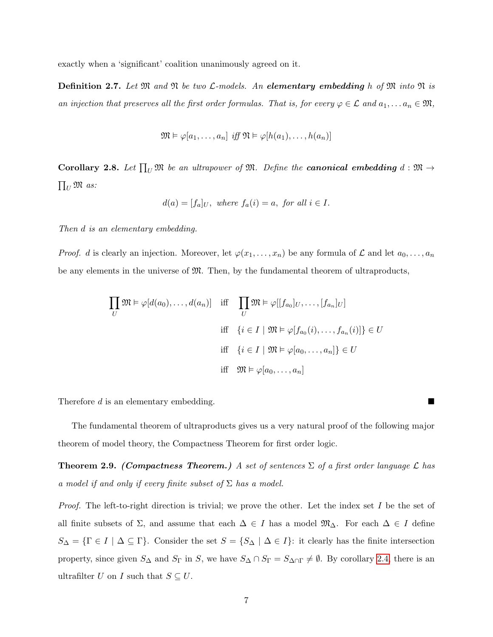exactly when a 'significant' coalition unanimously agreed on it.

**Definition 2.7.** Let  $\mathfrak{M}$  and  $\mathfrak{N}$  be two  $\mathcal{L}\text{-models}$ . An **elementary embedding** h of  $\mathfrak{M}$  into  $\mathfrak{N}$  is an injection that preserves all the first order formulas. That is, for every  $\varphi \in \mathcal{L}$  and  $a_1, \ldots a_n \in \mathfrak{M}$ ,

$$
\mathfrak{M} \vDash \varphi[a_1,\ldots,a_n] \text{ iff } \mathfrak{N} \vDash \varphi[h(a_1),\ldots,h(a_n)]
$$

<span id="page-6-0"></span>**Corollary 2.8.** Let  $\prod_U \mathfrak{M}$  be an ultrapower of  $\mathfrak{M}$ . Define the **canonical embedding**  $d : \mathfrak{M} \to$  $\prod_U {\mathfrak M}$  as:

$$
d(a) = [f_a]_U, where f_a(i) = a, for all i \in I.
$$

Then d is an elementary embedding.

*Proof.* d is clearly an injection. Moreover, let  $\varphi(x_1, \ldots, x_n)$  be any formula of  $\mathcal L$  and let  $a_0, \ldots, a_n$ be any elements in the universe of M. Then, by the fundamental theorem of ultraproducts,

$$
\prod_{U} \mathfrak{M} \models \varphi[d(a_0), \dots, d(a_n)] \quad \text{iff} \quad \prod_{U} \mathfrak{M} \models \varphi[[f_{a_0}]_U, \dots, [f_{a_n}]_U]
$$
\n
$$
\text{iff} \quad \{i \in I \mid \mathfrak{M} \models \varphi[f_{a_0}(i), \dots, f_{a_n}(i)]\} \in U
$$
\n
$$
\text{iff} \quad \{i \in I \mid \mathfrak{M} \models \varphi[a_0, \dots, a_n]\} \in U
$$
\n
$$
\text{iff} \quad \mathfrak{M} \models \varphi[a_0, \dots, a_n]
$$

Therefore  $d$  is an elementary embedding.

The fundamental theorem of ultraproducts gives us a very natural proof of the following major theorem of model theory, the Compactness Theorem for first order logic.

**Theorem 2.9.** (Compactness Theorem.) A set of sentences  $\Sigma$  of a first order language L has a model if and only if every finite subset of  $\Sigma$  has a model.

*Proof.* The left-to-right direction is trivial; we prove the other. Let the index set I be the set of all finite subsets of  $\Sigma$ , and assume that each  $\Delta \in I$  has a model  $\mathfrak{M}_{\Delta}$ . For each  $\Delta \in I$  define  $S_{\Delta} = \{ \Gamma \in I \mid \Delta \subseteq \Gamma \}$ . Consider the set  $S = \{ S_{\Delta} \mid \Delta \in I \}$ : it clearly has the finite intersection property, since given  $S_{\Delta}$  and  $S_{\Gamma}$  in S, we have  $S_{\Delta} \cap S_{\Gamma} = S_{\Delta \cap \Gamma} \neq \emptyset$ . By corollary [2.4,](#page-3-0) there is an ultrafilter U on I such that  $S \subseteq U$ .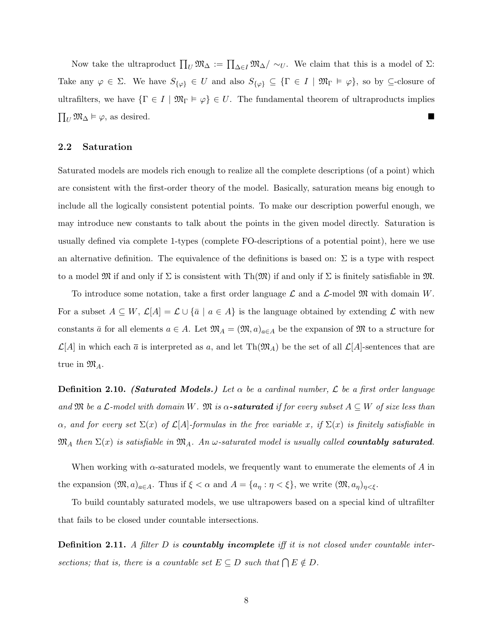Now take the ultraproduct  $\prod_U \mathfrak{M}_{\Delta} := \prod_{\Delta \in I} \mathfrak{M}_{\Delta} / \sim_U$ . We claim that this is a model of  $\Sigma$ : Take any  $\varphi \in \Sigma$ . We have  $S_{\{\varphi\}} \in U$  and also  $S_{\{\varphi\}} \subseteq {\{\Gamma \in I \mid \mathfrak{M}_{\Gamma} \models \varphi\}}$ , so by  $\subseteq$ -closure of ultrafilters, we have  $\{\Gamma \in I \mid \mathfrak{M}_{\Gamma} \models \varphi\} \in U$ . The fundamental theorem of ultraproducts implies  $\prod_U \mathfrak{M}_{\Delta} \models \varphi$ , as desired.

#### 2.2 Saturation

Saturated models are models rich enough to realize all the complete descriptions (of a point) which are consistent with the first-order theory of the model. Basically, saturation means big enough to include all the logically consistent potential points. To make our description powerful enough, we may introduce new constants to talk about the points in the given model directly. Saturation is usually defined via complete 1-types (complete FO-descriptions of a potential point), here we use an alternative definition. The equivalence of the definitions is based on:  $\Sigma$  is a type with respect to a model  $\mathfrak{M}$  if and only if  $\Sigma$  is consistent with Th $(\mathfrak{M})$  if and only if  $\Sigma$  is finitely satisfiable in  $\mathfrak{M}$ .

To introduce some notation, take a first order language  $\mathcal L$  and a  $\mathcal L$ -model  $\mathfrak M$  with domain W. For a subset  $A \subseteq W$ ,  $\mathcal{L}[A] = \mathcal{L} \cup {\overline{a} \mid a \in A}$  is the language obtained by extending  $\mathcal{L}$  with new constants  $\bar{a}$  for all elements  $a \in A$ . Let  $\mathfrak{M}_A = (\mathfrak{M}, a)_{a \in A}$  be the expansion of  $\mathfrak{M}$  to a structure for  $\mathcal{L}[A]$  in which each  $\overline{a}$  is interpreted as a, and let Th $(\mathfrak{M}_A)$  be the set of all  $\mathcal{L}[A]$ -sentences that are true in  $\mathfrak{M}_A$ .

**Definition 2.10.** (Saturated Models.) Let  $\alpha$  be a cardinal number,  $\mathcal{L}$  be a first order language and  $\mathfrak M$  be a  $\mathcal L$ -model with domain W.  $\mathfrak M$  is  $\alpha$ -**saturated** if for every subset  $A \subseteq W$  of size less than  $\alpha$ , and for every set  $\Sigma(x)$  of  $\mathcal{L}[A]$ -formulas in the free variable x, if  $\Sigma(x)$  is finitely satisfiable in  $\mathfrak{M}_A$  then  $\Sigma(x)$  is satisfiable in  $\mathfrak{M}_A$ . An  $\omega$ -saturated model is usually called **countably saturated**.

When working with  $\alpha$ -saturated models, we frequently want to enumerate the elements of A in the expansion  $(\mathfrak{M}, a)_{a \in A}$ . Thus if  $\xi < \alpha$  and  $A = \{a_{\eta} : \eta < \xi\}$ , we write  $(\mathfrak{M}, a_{\eta})_{\eta < \xi}$ .

To build countably saturated models, we use ultrapowers based on a special kind of ultrafilter that fails to be closed under countable intersections.

**Definition 2.11.** A filter D is **countably incomplete** iff it is not closed under countable intersections; that is, there is a countable set  $E \subseteq D$  such that  $\bigcap E \notin D$ .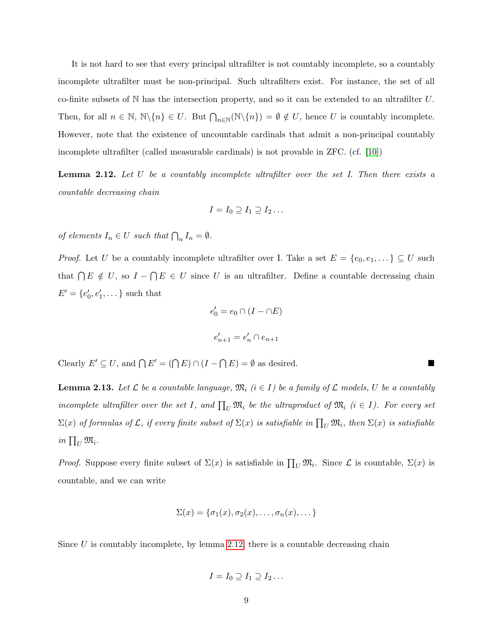It is not hard to see that every principal ultrafilter is not countably incomplete, so a countably incomplete ultrafilter must be non-principal. Such ultrafilters exist. For instance, the set of all co-finite subsets of  $\mathbb N$  has the intersection property, and so it can be extended to an ultrafilter U. Then, for all  $n \in \mathbb{N}$ ,  $\mathbb{N}\setminus\{n\} \in U$ . But  $\bigcap_{n\in\mathbb{N}} (\mathbb{N}\setminus\{n\}) = \emptyset \notin U$ , hence U is countably incomplete. However, note that the existence of uncountable cardinals that admit a non-principal countably incomplete ultrafilter (called measurable cardinals) is not provable in ZFC. (cf. [\[10\]](#page-75-2))

<span id="page-8-0"></span>**Lemma 2.12.** Let  $U$  be a countably incomplete ultrafilter over the set  $I$ . Then there exists a countable decreasing chain

$$
I = I_0 \supseteq I_1 \supseteq I_2 \ldots
$$

of elements  $I_n \in U$  such that  $\bigcap_n I_n = \emptyset$ .

*Proof.* Let U be a countably incomplete ultrafilter over I. Take a set  $E = \{e_0, e_1, \dots\} \subseteq U$  such that  $\bigcap E \notin U$ , so  $I - \bigcap E \in U$  since U is an ultrafilter. Define a countable decreasing chain  $E' = \{e'_0, e'_1, \dots\}$  such that

$$
e'_0 = e_0 \cap (I - \cap E)
$$
  

$$
e'_{n+1} = e'_n \cap e_{n+1}
$$

Clearly  $E' \subseteq U$ , and  $\bigcap E' = (\bigcap E) \cap (I - \bigcap E) = \emptyset$  as desired.

<span id="page-8-1"></span>**Lemma 2.13.** Let  $\mathcal L$  be a countable language,  $\mathfrak{M}_i$  ( $i \in I$ ) be a family of  $\mathcal L$  models, U be a countably incomplete ultrafilter over the set I, and  $\prod_U \mathfrak{M}_i$  be the ultraproduct of  $\mathfrak{M}_i$  ( $i \in I$ ). For every set  $\Sigma(x)$  of formulas of  $\cal L$ , if every finite subset of  $\Sigma(x)$  is satisfiable in  $\prod_U {\mathfrak M}_i$ , then  $\Sigma(x)$  is satisfiable in  $\prod_U \mathfrak{M}_i$ .

*Proof.* Suppose every finite subset of  $\Sigma(x)$  is satisfiable in  $\prod_U \mathfrak{M}_i$ . Since  $\mathcal L$  is countable,  $\Sigma(x)$  is countable, and we can write

$$
\Sigma(x) = \{\sigma_1(x), \sigma_2(x), \ldots, \sigma_n(x), \ldots\}
$$

Since  $U$  is countably incomplete, by lemma [2.12,](#page-8-0) there is a countable decreasing chain

$$
I=I_0\supseteq I_1\supseteq I_2\ldots
$$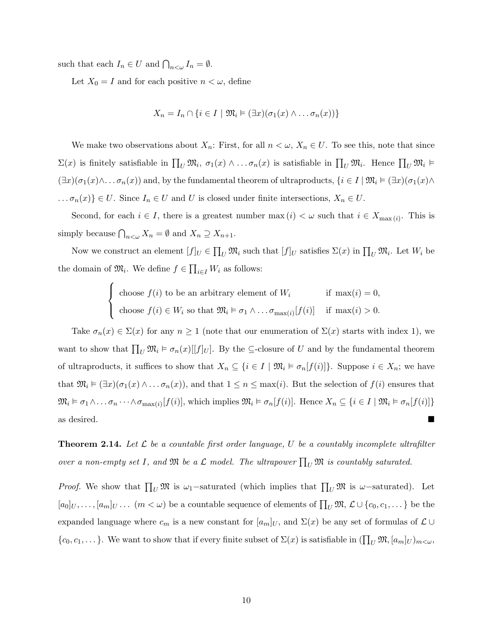such that each  $I_n \in U$  and  $\bigcap_{n \leq \omega} I_n = \emptyset$ .

Let  $X_0 = I$  and for each positive  $n < \omega$ , define

$$
X_n = I_n \cap \{i \in I \mid \mathfrak{M}_i \models (\exists x)(\sigma_1(x) \land \dots \sigma_n(x))\}
$$

We make two observations about  $X_n$ : First, for all  $n < \omega, X_n \in U$ . To see this, note that since  $\Sigma(x)$  is finitely satisfiable in  $\prod_U \mathfrak{M}_i$ ,  $\sigma_1(x) \wedge \ldots \sigma_n(x)$  is satisfiable in  $\prod_U \mathfrak{M}_i$ . Hence  $\prod_U \mathfrak{M}_i$   $\models$  $(\exists x)(\sigma_1(x)\wedge\ldots\sigma_n(x))$  and, by the fundamental theorem of ultraproducts,  $\{i\in I\mid \mathfrak{M}_i \models (\exists x)(\sigma_1(x)\wedge\ldots\sigma_n(x))\}$  $\ldots \sigma_n(x) \in U$ . Since  $I_n \in U$  and U is closed under finite intersections,  $X_n \in U$ .

Second, for each  $i \in I$ , there is a greatest number  $\max(i) < \omega$  such that  $i \in X_{\max(i)}$ . This is simply because  $\bigcap_{n<\omega} X_n = \emptyset$  and  $X_n \supseteq X_{n+1}$ .

Now we construct an element  $[f]_U \in \prod_U \mathfrak{M}_i$  such that  $[f]_U$  satisfies  $\Sigma(x)$  in  $\prod_U \mathfrak{M}_i$ . Let  $W_i$  be the domain of  $\mathfrak{M}_i$ . We define  $f \in \prod_{i \in I} W_i$  as follows:

$$
\begin{cases}\n\text{choose } f(i) \text{ to be an arbitrary element of } W_i & \text{if } \max(i) = 0, \\
\text{choose } f(i) \in W_i \text{ so that } \mathfrak{M}_i \models \sigma_1 \land \dots \sigma_{\max(i)}[f(i)] & \text{if } \max(i) > 0.\n\end{cases}
$$

Take  $\sigma_n(x) \in \Sigma(x)$  for any  $n \geq 1$  (note that our enumeration of  $\Sigma(x)$  starts with index 1), we want to show that  $\prod_U \mathfrak{M}_i \models \sigma_n(x)[[f]_U]$ . By the ⊆-closure of U and by the fundamental theorem of ultraproducts, it suffices to show that  $X_n \subseteq \{i \in I \mid \mathfrak{M}_i \models \sigma_n[f(i)]\}$ . Suppose  $i \in X_n$ ; we have that  $\mathfrak{M}_i \models (\exists x)(\sigma_1(x) \land \dots \sigma_n(x))$ , and that  $1 \leq n \leq \max(i)$ . But the selection of  $f(i)$  ensures that  $\mathfrak{M}_i \vDash \sigma_1 \wedge \ldots \sigma_n \cdots \wedge \sigma_{\max(i)}[f(i)]$ , which implies  $\mathfrak{M}_i \vDash \sigma_n[f(i)]$ . Hence  $X_n \subseteq \{i \in I \mid \mathfrak{M}_i \vDash \sigma_n[f(i)]\}$ as desired.

<span id="page-9-0"></span>**Theorem 2.14.** Let  $\mathcal{L}$  be a countable first order language, U be a countably incomplete ultrafilter over a non-empty set I, and  $\mathfrak{M}$  be a  $\mathcal L$  model. The ultrapower  $\prod_U \mathfrak{M}$  is countably saturated.

*Proof.* We show that  $\prod_U \mathfrak{M}$  is  $\omega_1$ -saturated (which implies that  $\prod_U \mathfrak{M}$  is  $\omega$ -saturated). Let  $[a_0]_U, \ldots, [a_m]_U \ldots (m < \omega)$  be a countable sequence of elements of  $\prod_U \mathfrak{M}, \mathcal{L} \cup \{c_0, c_1, \ldots\}$  be the expanded language where  $c_m$  is a new constant for  $[a_m]_U$ , and  $\Sigma(x)$  be any set of formulas of  $\mathcal{L} \cup$  $\{c_0, c_1, \dots\}$ . We want to show that if every finite subset of  $\Sigma(x)$  is satisfiable in  $(\prod_U \mathfrak{M}, [a_m]_U)_{m \lt \omega}$ ,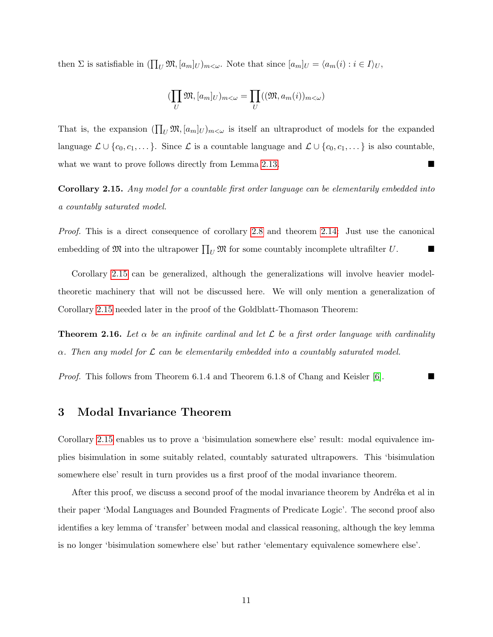then  $\Sigma$  is satisfiable in  $(\prod_U \mathfrak{M}, [a_m]_U)_{m \leq \omega}$ . Note that since  $[a_m]_U = \langle a_m(i) : i \in I \rangle_U$ ,

$$
(\prod_{U}\mathfrak{M},[a_{m}]_{U})_{m<\omega}=\prod_{U}((\mathfrak{M},a_{m}(i))_{m<\omega})
$$

That is, the expansion  $(\prod_U \mathfrak{M}, [a_m]_U)_{m \leq \omega}$  is itself an ultraproduct of models for the expanded language  $\mathcal{L} \cup \{c_0, c_1, \dots\}$ . Since  $\mathcal{L}$  is a countable language and  $\mathcal{L} \cup \{c_0, c_1, \dots\}$  is also countable, what we want to prove follows directly from Lemma [2.13.](#page-8-1)

<span id="page-10-0"></span>Corollary 2.15. Any model for a countable first order language can be elementarily embedded into a countably saturated model.

Proof. This is a direct consequence of corollary [2.8](#page-6-0) and theorem [2.14:](#page-9-0) Just use the canonical embedding of  $\mathfrak{M}$  into the ultrapower  $\prod_U \mathfrak{M}$  for some countably incomplete ultrafilter U.

Corollary [2.15](#page-10-0) can be generalized, although the generalizations will involve heavier modeltheoretic machinery that will not be discussed here. We will only mention a generalization of Corollary [2.15](#page-10-0) needed later in the proof of the Goldblatt-Thomason Theorem:

**Theorem 2.16.** Let  $\alpha$  be an infinite cardinal and let  $\mathcal{L}$  be a first order language with cardinality  $\alpha$ . Then any model for L can be elementarily embedded into a countably saturated model.

*Proof.* This follows from Theorem 6.1.4 and Theorem 6.1.8 of Chang and Keisler [\[6\]](#page-75-3).

### 3 Modal Invariance Theorem

Corollary [2.15](#page-10-0) enables us to prove a 'bisimulation somewhere else' result: modal equivalence implies bisimulation in some suitably related, countably saturated ultrapowers. This 'bisimulation somewhere else' result in turn provides us a first proof of the modal invariance theorem.

After this proof, we discuss a second proof of the modal invariance theorem by Andréka et al in their paper 'Modal Languages and Bounded Fragments of Predicate Logic'. The second proof also identifies a key lemma of 'transfer' between modal and classical reasoning, although the key lemma is no longer 'bisimulation somewhere else' but rather 'elementary equivalence somewhere else'.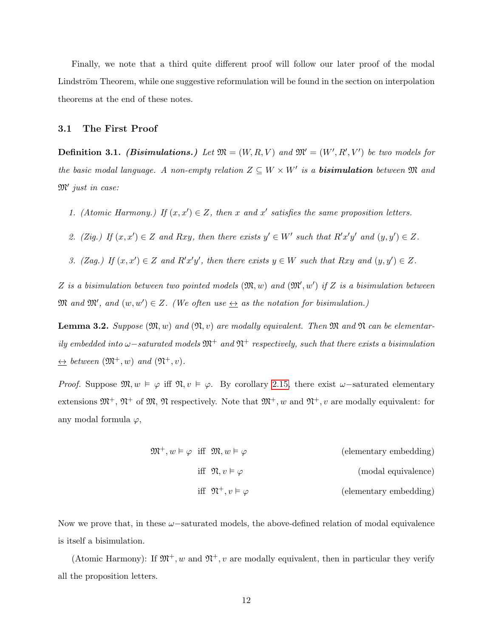Finally, we note that a third quite different proof will follow our later proof of the modal Lindström Theorem, while one suggestive reformulation will be found in the section on interpolation theorems at the end of these notes.

#### 3.1 The First Proof

**Definition 3.1.** (*Bisimulations.*) Let  $\mathfrak{M} = (W, R, V)$  and  $\mathfrak{M}' = (W', R', V')$  be two models for the basic modal language. A non-empty relation  $Z \subseteq W \times W'$  is a **bisimulation** between  $\mathfrak{M}$  and  $\mathfrak{M}'$  just in case:

- 1. (Atomic Harmony.) If  $(x, x') \in Z$ , then x and x' satisfies the same proposition letters.
- 2. (Zig.) If  $(x, x') \in Z$  and Rxy, then there exists  $y' \in W'$  such that  $R'x'y'$  and  $(y, y') \in Z$ .
- 3. (Zag.) If  $(x, x') \in Z$  and  $R'x'y'$ , then there exists  $y \in W$  such that Rxy and  $(y, y') \in Z$ .

Z is a bisimulation between two pointed models  $(\mathfrak{M}, w)$  and  $(\mathfrak{M}', w')$  if Z is a bisimulation between  $\mathfrak{M}$  and  $\mathfrak{M}'$ , and  $(w, w') \in Z$ . (We often use  $\leftrightarrow$  as the notation for bisimulation.)

<span id="page-11-0"></span>**Lemma 3.2.** Suppose  $(\mathfrak{M}, w)$  and  $(\mathfrak{N}, v)$  are modally equivalent. Then  $\mathfrak{M}$  and  $\mathfrak{N}$  can be elementarily embedded into  $\omega$ –saturated models  $\mathfrak{M}^+$  and  $\mathfrak{N}^+$  respectively, such that there exists a bisimulation  $\leftrightarrow$  between  $(\mathfrak{M}^+, w)$  and  $(\mathfrak{N}^+, v)$ .

Proof. Suppose  $\mathfrak{M}, w \models \varphi$  iff  $\mathfrak{N}, v \models \varphi$ . By corollary [2.15,](#page-10-0) there exist  $\omega$ -saturated elementary extensions  $\mathfrak{M}^+$ ,  $\mathfrak{N}^+$  of  $\mathfrak{M}$ ,  $\mathfrak{N}$  respectively. Note that  $\mathfrak{M}^+$ , w and  $\mathfrak{N}^+$ , v are modally equivalent: for any modal formula  $\varphi$ ,

| (elementary embedding) |                                        | $\mathfrak{M}^+, w \vDash \varphi \text{ iff } \mathfrak{M}, w \vDash \varphi$ |  |
|------------------------|----------------------------------------|--------------------------------------------------------------------------------|--|
| (modal equivalence)    | iff $\mathfrak{N}, v \models \varphi$  |                                                                                |  |
| (elementary embedding) | iff $\mathfrak{N}^+, v \vDash \varphi$ |                                                                                |  |

Now we prove that, in these  $\omega$ -saturated models, the above-defined relation of modal equivalence is itself a bisimulation.

(Atomic Harmony): If  $\mathfrak{M}^+$ , w and  $\mathfrak{N}^+$ , v are modally equivalent, then in particular they verify all the proposition letters.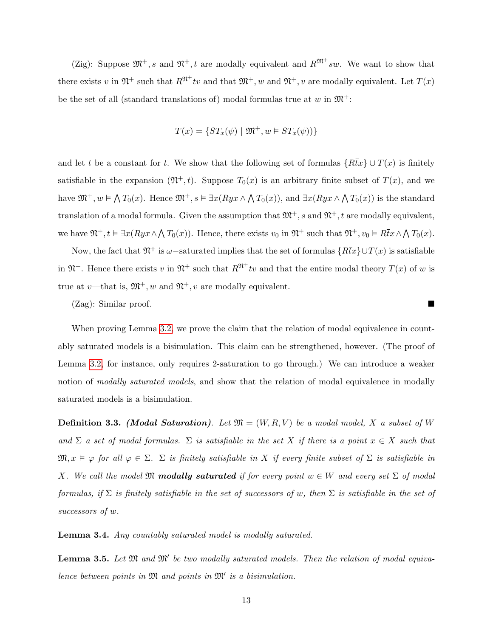(Zig): Suppose  $\mathfrak{M}^+, s$  and  $\mathfrak{N}^+, t$  are modally equivalent and  $R^{\mathfrak{M}^+} sw$ . We want to show that there exists v in  $\mathfrak{N}^+$  such that  $R^{\mathfrak{N}^+}tv$  and that  $\mathfrak{M}^+, w$  and  $\mathfrak{N}^+, v$  are modally equivalent. Let  $T(x)$ be the set of all (standard translations of) modal formulas true at w in  $\mathfrak{M}^+$ :

$$
T(x) = \{ST_x(\psi) \mid \mathfrak{M}^+, w \in ST_x(\psi))\}
$$

and let  $\bar{t}$  be a constant for t. We show that the following set of formulas  $\{R\bar{t}x\} \cup T(x)$  is finitely satisfiable in the expansion  $(\mathfrak{N}^+, t)$ . Suppose  $T_0(x)$  is an arbitrary finite subset of  $T(x)$ , and we have  $\mathfrak{M}^+, w \models \bigwedge T_0(x)$ . Hence  $\mathfrak{M}^+, s \models \exists x (Ryx \land \bigwedge T_0(x))$ , and  $\exists x (Ryx \land \bigwedge T_0(x))$  is the standard translation of a modal formula. Given the assumption that  $\mathfrak{M}^+$ , s and  $\mathfrak{N}^+$ , t are modally equivalent, we have  $\mathfrak{N}^+, t \vDash \exists x (Ryx \wedge \bigwedge T_0(x))$ . Hence, there exists  $v_0$  in  $\mathfrak{N}^+$  such that  $\mathfrak{N}^+, v_0 \vDash R\overline{t}x \wedge \bigwedge T_0(x)$ .

Now, the fact that  $\mathfrak{N}^+$  is  $\omega$ −saturated implies that the set of formulas  $\{R\bar{t}x\}\cup T(x)$  is satisfiable in  $\mathfrak{N}^+$ . Hence there exists v in  $\mathfrak{N}^+$  such that  $R^{\mathfrak{N}^+}tv$  and that the entire modal theory  $T(x)$  of w is true at v—that is,  $\mathfrak{M}^+, w$  and  $\mathfrak{N}^+, v$  are modally equivalent.

(Zag): Similar proof.

When proving Lemma [3.2,](#page-11-0) we prove the claim that the relation of modal equivalence in countably saturated models is a bisimulation. This claim can be strengthened, however. (The proof of Lemma [3.2,](#page-11-0) for instance, only requires 2-saturation to go through.) We can introduce a weaker notion of *modally saturated models*, and show that the relation of modal equivalence in modally saturated models is a bisimulation.

**Definition 3.3.** (Modal Saturation). Let  $\mathfrak{M} = (W, R, V)$  be a modal model, X a subset of W and  $\Sigma$  a set of modal formulas.  $\Sigma$  is satisfiable in the set X if there is a point  $x \in X$  such that  $\mathfrak{M}, x \models \varphi$  for all  $\varphi \in \Sigma$ .  $\Sigma$  is finitely satisfiable in X if every finite subset of  $\Sigma$  is satisfiable in X. We call the model M **modally saturated** if for every point  $w \in W$  and every set  $\Sigma$  of modal formulas, if  $\Sigma$  is finitely satisfiable in the set of successors of w, then  $\Sigma$  is satisfiable in the set of successors of w.

<span id="page-12-0"></span>Lemma 3.4. Any countably saturated model is modally saturated.

<span id="page-12-1"></span>**Lemma 3.5.** Let  $\mathfrak{M}$  and  $\mathfrak{M}'$  be two modally saturated models. Then the relation of modal equivalence between points in  $\mathfrak{M}$  and points in  $\mathfrak{M}'$  is a bisimulation.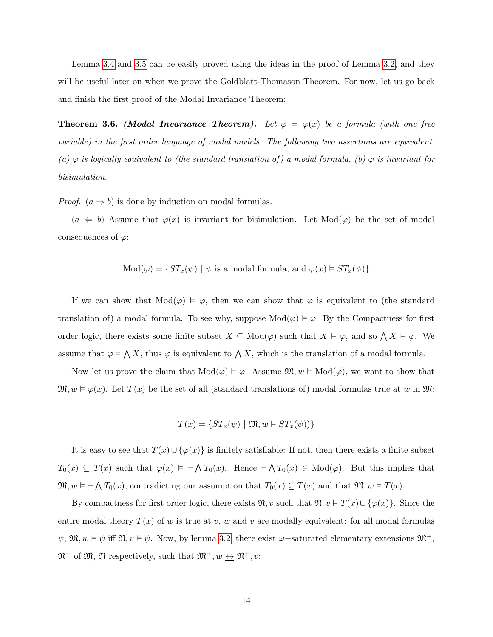Lemma [3.4](#page-12-0) and [3.5](#page-12-1) can be easily proved using the ideas in the proof of Lemma [3.2,](#page-11-0) and they will be useful later on when we prove the Goldblatt-Thomason Theorem. For now, let us go back and finish the first proof of the Modal Invariance Theorem:

**Theorem 3.6.** (Modal Invariance Theorem). Let  $\varphi = \varphi(x)$  be a formula (with one free variable) in the first order language of modal models. The following two assertions are equivalent: (a)  $\varphi$  is logically equivalent to (the standard translation of) a modal formula, (b)  $\varphi$  is invariant for bisimulation.

*Proof.*  $(a \Rightarrow b)$  is done by induction on modal formulas.

 $(a \Leftarrow b)$  Assume that  $\varphi(x)$  is invariant for bisimulation. Let Mod $(\varphi)$  be the set of modal consequences of  $\varphi$ :

Mod
$$
(\varphi)
$$
 = { $ST_x(\psi)$  |  $\psi$  is a modal formula, and  $\varphi(x) \models ST_x(\psi)$ }

If we can show that  $Mod(\varphi) \models \varphi$ , then we can show that  $\varphi$  is equivalent to (the standard translation of) a modal formula. To see why, suppose  $Mod(\varphi) \models \varphi$ . By the Compactness for first order logic, there exists some finite subset  $X \subseteq Mod(\varphi)$  such that  $X \models \varphi$ , and so  $\bigwedge X \models \varphi$ . We assume that  $\varphi \models \bigwedge X$ , thus  $\varphi$  is equivalent to  $\bigwedge X$ , which is the translation of a modal formula.

Now let us prove the claim that  $Mod(\varphi) \models \varphi$ . Assume  $\mathfrak{M}, w \models Mod(\varphi)$ , we want to show that  $\mathfrak{M}, w \models \varphi(x)$ . Let  $T(x)$  be the set of all (standard translations of) modal formulas true at w in  $\mathfrak{M}$ :

$$
T(x) = \{ST_x(\psi) \mid \mathfrak{M}, w \in ST_x(\psi))\}
$$

It is easy to see that  $T(x) \cup \{\varphi(x)\}\$ is finitely satisfiable: If not, then there exists a finite subset  $T_0(x) \subseteq T(x)$  such that  $\varphi(x) \models \neg \bigwedge T_0(x)$ . Hence  $\neg \bigwedge T_0(x) \in \text{Mod}(\varphi)$ . But this implies that  $\mathfrak{M}, w \models \neg \bigwedge T_0(x)$ , contradicting our assumption that  $T_0(x) \subseteq T(x)$  and that  $\mathfrak{M}, w \models T(x)$ .

By compactness for first order logic, there exists  $\mathfrak{N}, v$  such that  $\mathfrak{N}, v \models T(x) \cup \{\varphi(x)\}\.$  Since the entire modal theory  $T(x)$  of w is true at v, w and v are modally equivalent: for all modal formulas  $\psi$ ,  $\mathfrak{M}, w \models \psi$  iff  $\mathfrak{N}, v \models \psi$ . Now, by lemma [3.2,](#page-11-0) there exist  $\omega$ -saturated elementary extensions  $\mathfrak{M}^+$ ,  $\mathfrak{M}^+$  of  $\mathfrak{M}$ ,  $\mathfrak{N}$  respectively, such that  $\mathfrak{M}^+, w \underline{\leftrightarrow} \mathfrak{N}^+, v$ :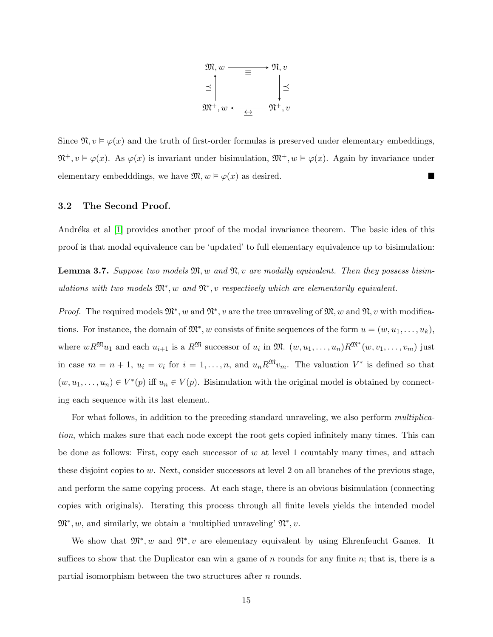

Since  $\mathfrak{N}, v \models \varphi(x)$  and the truth of first-order formulas is preserved under elementary embeddings,  $\mathfrak{N}^+, v \models \varphi(x)$ . As  $\varphi(x)$  is invariant under bisimulation,  $\mathfrak{M}^+, w \models \varphi(x)$ . Again by invariance under elementary embedddings, we have  $\mathfrak{M}, w \models \varphi(x)$  as desired.

#### 3.2 The Second Proof.

Andréka et al [\[1\]](#page-75-4) provides another proof of the modal invariance theorem. The basic idea of this proof is that modal equivalence can be 'updated' to full elementary equivalence up to bisimulation:

<span id="page-14-0"></span>**Lemma 3.7.** Suppose two models  $\mathfrak{M}, w$  and  $\mathfrak{N}, v$  are modally equivalent. Then they possess bisimulations with two models  $\mathfrak{M}^*, w$  and  $\mathfrak{N}^*, v$  respectively which are elementarily equivalent.

*Proof.* The required models  $\mathfrak{M}^*$ , w and  $\mathfrak{N}^*$ , v are the tree unraveling of  $\mathfrak{M}, w$  and  $\mathfrak{N}, v$  with modifications. For instance, the domain of  $\mathfrak{M}^*$ , w consists of finite sequences of the form  $u = (w, u_1, \ldots, u_k)$ , where  $wR^{\mathfrak{M}}u_1$  and each  $u_{i+1}$  is a  $R^{\mathfrak{M}}$  successor of  $u_i$  in  $\mathfrak{M}.$   $(w, u_1, \ldots, u_n)R^{\mathfrak{M}^*}(w, v_1, \ldots, v_m)$  just in case  $m = n + 1$ ,  $u_i = v_i$  for  $i = 1, ..., n$ , and  $u_n R^{\mathfrak{M}} v_m$ . The valuation  $V^*$  is defined so that  $(w, u_1, \ldots, u_n) \in V^*(p)$  iff  $u_n \in V(p)$ . Bisimulation with the original model is obtained by connecting each sequence with its last element.

For what follows, in addition to the preceding standard unraveling, we also perform multiplication, which makes sure that each node except the root gets copied infinitely many times. This can be done as follows: First, copy each successor of  $w$  at level 1 countably many times, and attach these disjoint copies to w. Next, consider successors at level 2 on all branches of the previous stage, and perform the same copying process. At each stage, there is an obvious bisimulation (connecting copies with originals). Iterating this process through all finite levels yields the intended model  $\mathfrak{M}^*, w$ , and similarly, we obtain a 'multiplied unraveling'  $\mathfrak{N}^*, v$ .

We show that  $\mathfrak{M}^*, w$  and  $\mathfrak{N}^*, v$  are elementary equivalent by using Ehrenfeucht Games. It suffices to show that the Duplicator can win a game of n rounds for any finite n; that is, there is a partial isomorphism between the two structures after n rounds.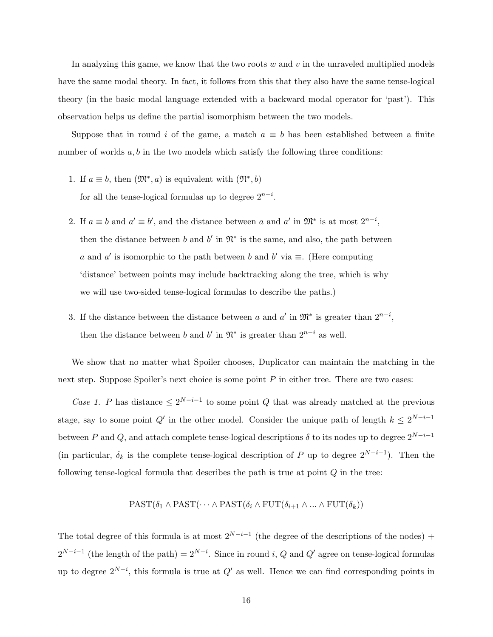In analyzing this game, we know that the two roots  $w$  and  $v$  in the unraveled multiplied models have the same modal theory. In fact, it follows from this that they also have the same tense-logical theory (in the basic modal language extended with a backward modal operator for 'past'). This observation helps us define the partial isomorphism between the two models.

Suppose that in round i of the game, a match  $a \equiv b$  has been established between a finite number of worlds  $a, b$  in the two models which satisfy the following three conditions:

- 1. If  $a \equiv b$ , then  $(\mathfrak{M}^*, a)$  is equivalent with  $(\mathfrak{N}^*, b)$ for all the tense-logical formulas up to degree  $2^{n-i}$ .
- 2. If  $a \equiv b$  and  $a' \equiv b'$ , and the distance between a and a' in  $\mathfrak{M}^*$  is at most  $2^{n-i}$ , then the distance between b and b' in  $\mathfrak{N}^*$  is the same, and also, the path between a and a' is isomorphic to the path between b and b' via  $\equiv$ . (Here computing 'distance' between points may include backtracking along the tree, which is why we will use two-sided tense-logical formulas to describe the paths.)
- 3. If the distance between the distance between a and a' in  $\mathfrak{M}^*$  is greater than  $2^{n-i}$ , then the distance between b and b' in  $\mathfrak{N}^*$  is greater than  $2^{n-i}$  as well.

We show that no matter what Spoiler chooses, Duplicator can maintain the matching in the next step. Suppose Spoiler's next choice is some point  $P$  in either tree. There are two cases:

Case 1. P has distance  $\leq 2^{N-i-1}$  to some point Q that was already matched at the previous stage, say to some point  $Q'$  in the other model. Consider the unique path of length  $k \leq 2^{N-i-1}$ between P and Q, and attach complete tense-logical descriptions  $\delta$  to its nodes up to degree  $2^{N-i-1}$ (in particular,  $\delta_k$  is the complete tense-logical description of P up to degree  $2^{N-i-1}$ ). Then the following tense-logical formula that describes the path is true at point Q in the tree:

## $\text{PAST}(\delta_1 \land \text{PAST}(\cdots \land \text{PAST}(\delta_i \land \text{FUT}(\delta_{i+1} \land \dots \land \text{FUT}(\delta_k)))$

The total degree of this formula is at most  $2^{N-i-1}$  (the degree of the descriptions of the nodes) +  $2^{N-i-1}$  (the length of the path) =  $2^{N-i}$ . Since in round i, Q and Q' agree on tense-logical formulas up to degree  $2^{N-i}$ , this formula is true at  $Q'$  as well. Hence we can find corresponding points in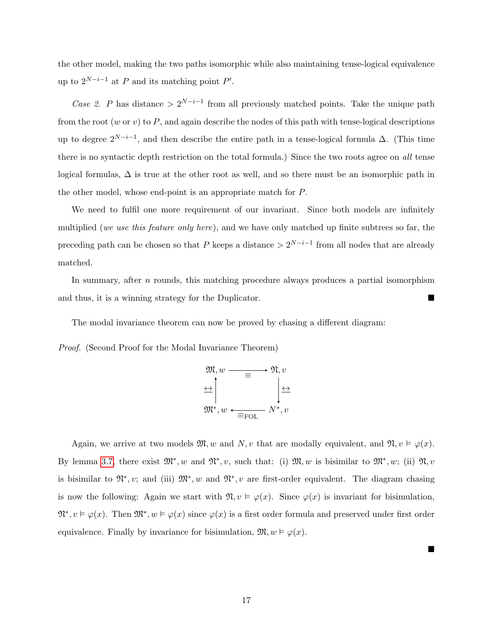the other model, making the two paths isomorphic while also maintaining tense-logical equivalence up to  $2^{N-i-1}$  at P and its matching point P'.

Case 2. P has distance >  $2^{N-i-1}$  from all previously matched points. Take the unique path from the root (w or v) to  $P$ , and again describe the nodes of this path with tense-logical descriptions up to degree  $2^{N-i-1}$ , and then describe the entire path in a tense-logical formula  $\Delta$ . (This time there is no syntactic depth restriction on the total formula.) Since the two roots agree on all tense logical formulas,  $\Delta$  is true at the other root as well, and so there must be an isomorphic path in the other model, whose end-point is an appropriate match for P.

We need to fulfil one more requirement of our invariant. Since both models are infinitely multiplied (we use this feature only here), and we have only matched up finite subtrees so far, the preceding path can be chosen so that P keeps a distance  $> 2^{N-i-1}$  from all nodes that are already matched.

In summary, after  $n$  rounds, this matching procedure always produces a partial isomorphism and thus, it is a winning strategy for the Duplicator.

The modal invariance theorem can now be proved by chasing a different diagram:

Proof. (Second Proof for the Modal Invariance Theorem)



Again, we arrive at two models  $\mathfrak{M}, w$  and  $N, v$  that are modally equivalent, and  $\mathfrak{N}, v \models \varphi(x)$ . By lemma [3.7,](#page-14-0) there exist  $\mathfrak{M}^*, w$  and  $\mathfrak{N}^*, v$ , such that: (i)  $\mathfrak{M}, w$  is bisimilar to  $\mathfrak{M}^*, w$ ; (ii)  $\mathfrak{N}, v$ is bisimilar to  $\mathfrak{N}^*, v$ ; and (iii)  $\mathfrak{M}^*, w$  and  $\mathfrak{N}^*, v$  are first-order equivalent. The diagram chasing is now the following: Again we start with  $\mathfrak{N}, v \models \varphi(x)$ . Since  $\varphi(x)$  is invariant for bisimulation,  $\mathfrak{N}^*, v \models \varphi(x)$ . Then  $\mathfrak{M}^*, w \models \varphi(x)$  since  $\varphi(x)$  is a first order formula and preserved under first order equivalence. Finally by invariance for bisimulation,  $\mathfrak{M}, w \models \varphi(x)$ .

 $\blacksquare$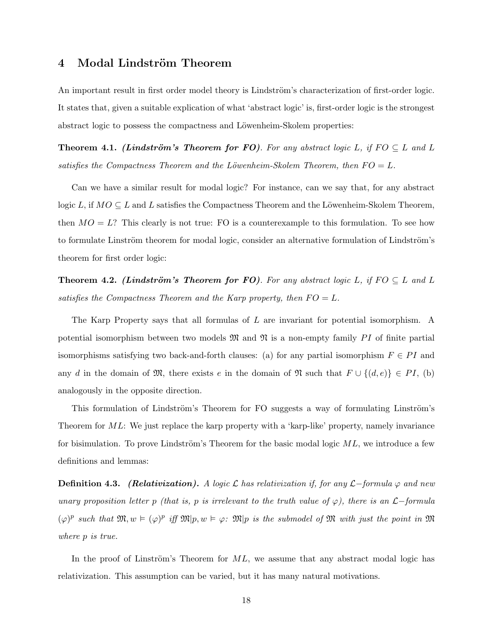### 4 Modal Lindström Theorem

An important result in first order model theory is Lindström's characterization of first-order logic. It states that, given a suitable explication of what 'abstract logic' is, first-order logic is the strongest abstract logic to possess the compactness and Löwenheim-Skolem properties:

**Theorem 4.1.** (Lindström's Theorem for FO). For any abstract logic L, if  $FO \subseteq L$  and L satisfies the Compactness Theorem and the Löwenheim-Skolem Theorem, then  $FO = L$ .

Can we have a similar result for modal logic? For instance, can we say that, for any abstract logic L, if  $MO \subseteq L$  and L satisfies the Compactness Theorem and the Löwenheim-Skolem Theorem, then  $MO = L$ ? This clearly is not true: FO is a counterexample to this formulation. To see how to formulate Linström theorem for modal logic, consider an alternative formulation of Lindström's theorem for first order logic:

**Theorem 4.2.** (Lindström's Theorem for FO). For any abstract logic L, if  $FO \subseteq L$  and L satisfies the Compactness Theorem and the Karp property, then  $FO = L$ .

The Karp Property says that all formulas of L are invariant for potential isomorphism. A potential isomorphism between two models  $\mathfrak{M}$  and  $\mathfrak{N}$  is a non-empty family PI of finite partial isomorphisms satisfying two back-and-forth clauses: (a) for any partial isomorphism  $F \in PI$  and any d in the domain of  $\mathfrak{M}$ , there exists e in the domain of  $\mathfrak{N}$  such that  $F \cup \{(d, e)\}\in PI$ , (b) analogously in the opposite direction.

This formulation of Lindström's Theorem for FO suggests a way of formulating Linström's Theorem for ML: We just replace the karp property with a 'karp-like' property, namely invariance for bisimulation. To prove Lindström's Theorem for the basic modal logic  $ML$ , we introduce a few definitions and lemmas:

**Definition 4.3.** (Relativization). A logic  $\mathcal{L}$  has relativization if, for any  $\mathcal{L}-$ formula  $\varphi$  and new unary proposition letter p (that is, p is irrelevant to the truth value of  $\varphi$ ), there is an  $\mathcal{L}-$ formula  $(\varphi)^p$  such that  $\mathfrak{M}, w \models (\varphi)^p$  iff  $\mathfrak{M}|p, w \models \varphi$ :  $\mathfrak{M}|p$  is the submodel of  $\mathfrak{M}$  with just the point in  $\mathfrak{M}$ where p is true.

In the proof of Linström's Theorem for  $ML$ , we assume that any abstract modal logic has relativization. This assumption can be varied, but it has many natural motivations.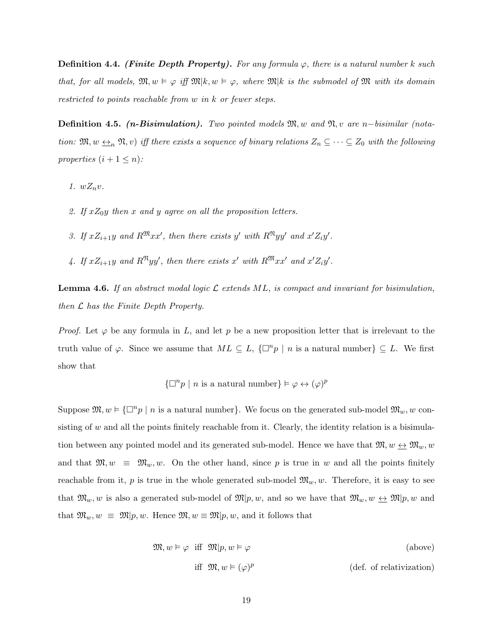**Definition 4.4.** (Finite Depth Property). For any formula  $\varphi$ , there is a natural number k such that, for all models,  $\mathfrak{M}, w \models \varphi$  iff  $\mathfrak{M}|k, w \models \varphi$ , where  $\mathfrak{M}|k$  is the submodel of  $\mathfrak{M}$  with its domain restricted to points reachable from w in k or fewer steps.

Definition 4.5. (*n*-Bisimulation). Two pointed models  $\mathfrak{M}, w$  and  $\mathfrak{N}, w$  are n−bisimilar (notation:  $\mathfrak{M}, w \leftrightarrow_n \mathfrak{N}, v$  iff there exists a sequence of binary relations  $Z_n \subseteq \cdots \subseteq Z_0$  with the following properties  $(i + 1 \leq n)$ :

- 1.  $wZ_n v$ .
- 2. If  $xZ_0y$  then x and y agree on all the proposition letters.
- 3. If  $xZ_{i+1}y$  and  $R^{\mathfrak{M}}xx'$ , then there exists y' with  $R^{\mathfrak{N}}yy'$  and  $x'Z_iy'$ .
- 4. If  $xZ_{i+1}y$  and  $R^{\mathfrak{N}}yy'$ , then there exists x' with  $R^{\mathfrak{M}}xx'$  and  $x'Z_iy'$ .

<span id="page-18-0"></span>**Lemma 4.6.** If an abstract modal logic  $\mathcal{L}$  extends ML, is compact and invariant for bisimulation, then  $\mathcal L$  has the Finite Depth Property.

*Proof.* Let  $\varphi$  be any formula in L, and let p be a new proposition letter that is irrelevant to the truth value of  $\varphi$ . Since we assume that  $ML \subseteq L$ ,  $\{\Box^n p \mid n \text{ is a natural number}\}\subseteq L$ . We first show that

$$
\{\Box^n p \mid n \text{ is a natural number}\}\models \varphi \leftrightarrow (\varphi)^p
$$

Suppose  $\mathfrak{M}, w \models {\Box}^n p \mid n$  is a natural number. We focus on the generated sub-model  $\mathfrak{M}_w, w$  consisting of w and all the points finitely reachable from it. Clearly, the identity relation is a bisimulation between any pointed model and its generated sub-model. Hence we have that  $\mathfrak{M}, w \leftrightarrow \mathfrak{M}_w, w$ and that  $\mathfrak{M}, w \equiv \mathfrak{M}_w, w$ . On the other hand, since p is true in w and all the points finitely reachable from it, p is true in the whole generated sub-model  $\mathfrak{M}_w, w$ . Therefore, it is easy to see that  $\mathfrak{M}_w, w$  is also a generated sub-model of  $\mathfrak{M}|p, w$ , and so we have that  $\mathfrak{M}_w, w \leftrightarrow \mathfrak{M}|p, w$  and that  $\mathfrak{M}_w, w \equiv \mathfrak{M}|p, w$ . Hence  $\mathfrak{M}, w \equiv \mathfrak{M}|p, w$ , and it follows that

$$
\mathfrak{M}, w \vDash \varphi \quad \text{iff} \quad \mathfrak{M}|p, w \vDash \varphi \tag{above}
$$
  
iff 
$$
\mathfrak{M}, w \vDash (\varphi)^p \tag{def. of relativization}
$$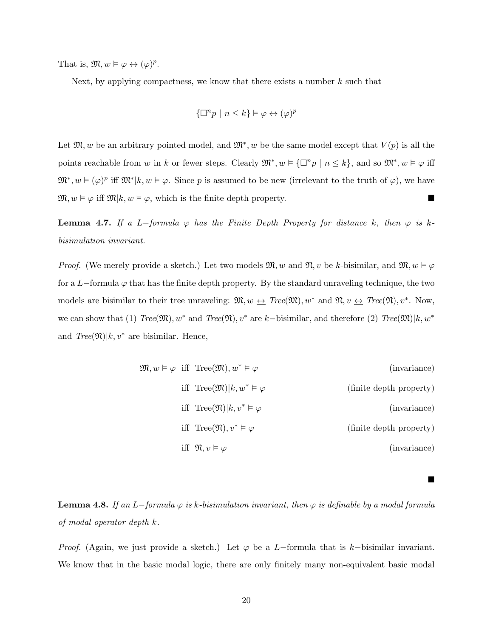That is,  $\mathfrak{M}, w \models \varphi \leftrightarrow (\varphi)^p$ .

Next, by applying compactness, we know that there exists a number  $k$  such that

$$
\{\Box^n p \mid n \le k\} \vDash \varphi \leftrightarrow (\varphi)^p
$$

Let  $\mathfrak{M}, w$  be an arbitrary pointed model, and  $\mathfrak{M}^*, w$  be the same model except that  $V(p)$  is all the points reachable from w in k or fewer steps. Clearly  $\mathfrak{M}^*, w \models {\Box^n p \mid n \leq k}$ , and so  $\mathfrak{M}^*, w \models \varphi$  iff  $\mathfrak{M}^*, w \models (\varphi)^p$  iff  $\mathfrak{M}^*|k, w \models \varphi$ . Since p is assumed to be new (irrelevant to the truth of  $\varphi$ ), we have  $\mathfrak{M}, w \models \varphi$  iff  $\mathfrak{M}|k, w \models \varphi$ , which is the finite depth property.

<span id="page-19-0"></span>**Lemma 4.7.** If a L-formula  $\varphi$  has the Finite Depth Property for distance k, then  $\varphi$  is kbisimulation invariant.

*Proof.* (We merely provide a sketch.) Let two models  $\mathfrak{M}, w$  and  $\mathfrak{N}, v$  be k-bisimilar, and  $\mathfrak{M}, w \models \varphi$ for a L−formula  $\varphi$  that has the finite depth property. By the standard unraveling technique, the two models are bisimilar to their tree unraveling:  $\mathfrak{M}, w \leftrightarrow \text{Tree}(\mathfrak{M}), w^*$  and  $\mathfrak{N}, v \leftrightarrow \text{Tree}(\mathfrak{N}), v^*$ . Now, we can show that (1)  $Tree(\mathfrak{M}), w^*$  and  $Tree(\mathfrak{N}), v^*$  are k–bisimilar, and therefore (2)  $Tree(\mathfrak{M})|k, w^*$ and  $Tree(\mathfrak{N})|k, v^*$  are bisimilar. Hence,

$$
\mathfrak{M}, w \vDash \varphi \quad \text{iff} \quad \text{Tree}(\mathfrak{M}), w^* \vDash \varphi \qquad \qquad \text{(invariance)}
$$
\n
$$
\text{iff} \quad \text{Tree}(\mathfrak{M})|k, w^* \vDash \varphi \qquad \qquad \text{(finite depth property)}
$$
\n
$$
\text{iff} \quad \text{Tree}(\mathfrak{N})|k, v^* \vDash \varphi \qquad \qquad \text{(inive depth property)}
$$
\n
$$
\text{iff} \quad \text{Tree}(\mathfrak{N}), v^* \vDash \varphi \qquad \qquad \text{(finite depth property)}
$$
\n
$$
\text{iff} \quad \mathfrak{N}, v \vDash \varphi \qquad \qquad \text{(invariance)}
$$

 $\blacksquare$ 

<span id="page-19-1"></span>**Lemma 4.8.** If an L−formula  $\varphi$  is k-bisimulation invariant, then  $\varphi$  is definable by a modal formula of modal operator depth k.

*Proof.* (Again, we just provide a sketch.) Let  $\varphi$  be a L−formula that is k−bisimilar invariant. We know that in the basic modal logic, there are only finitely many non-equivalent basic modal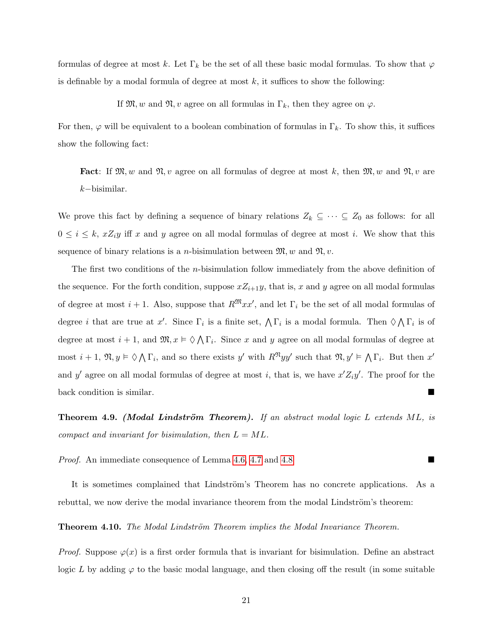formulas of degree at most k. Let  $\Gamma_k$  be the set of all these basic modal formulas. To show that  $\varphi$ is definable by a modal formula of degree at most  $k$ , it suffices to show the following:

If  $\mathfrak{M}, w$  and  $\mathfrak{N}, v$  agree on all formulas in  $\Gamma_k$ , then they agree on  $\varphi$ .

For then,  $\varphi$  will be equivalent to a boolean combination of formulas in  $\Gamma_k$ . To show this, it suffices show the following fact:

**Fact**: If  $\mathfrak{M}, w$  and  $\mathfrak{N}, v$  agree on all formulas of degree at most k, then  $\mathfrak{M}, w$  and  $\mathfrak{N}, v$  are k−bisimilar.

We prove this fact by defining a sequence of binary relations  $Z_k \subseteq \cdots \subseteq Z_0$  as follows: for all  $0 \leq i \leq k$ ,  $xZ_iy$  iff x and y agree on all modal formulas of degree at most i. We show that this sequence of binary relations is a *n*-bisimulation between  $\mathfrak{M}, w$  and  $\mathfrak{N}, v$ .

The first two conditions of the *n*-bisimulation follow immediately from the above definition of the sequence. For the forth condition, suppose  $xZ_{i+1}y$ , that is, x and y agree on all modal formulas of degree at most  $i + 1$ . Also, suppose that  $R^{\mathfrak{M}}xx'$ , and let  $\Gamma_i$  be the set of all modal formulas of degree *i* that are true at x'. Since  $\Gamma_i$  is a finite set,  $\bigwedge \Gamma_i$  is a modal formula. Then  $\Diamond \bigwedge \Gamma_i$  is of degree at most  $i + 1$ , and  $\mathfrak{M}, x \models \Diamond \wedge \Gamma_i$ . Since x and y agree on all modal formulas of degree at most  $i+1$ ,  $\mathfrak{N}, y \models \Diamond \bigwedge \Gamma_i$ , and so there exists y' with  $R^{\mathfrak{N}}yy'$  such that  $\mathfrak{N}, y' \models \bigwedge \Gamma_i$ . But then  $x'$ and y' agree on all modal formulas of degree at most i, that is, we have  $x'Z_iy'$ . The proof for the back condition is similar.

**Theorem 4.9.** (Modal Lindström Theorem). If an abstract modal logic L extends ML, is compact and invariant for bisimulation, then  $L = ML$ .

*Proof.* An immediate consequence of Lemma [4.6,](#page-18-0) [4.7](#page-19-0) and [4.8](#page-19-1)

It is sometimes complained that Lindström's Theorem has no concrete applications. As a rebuttal, we now derive the modal invariance theorem from the modal Lindström's theorem:

**Theorem 4.10.** The Modal Lindström Theorem implies the Modal Invariance Theorem.

*Proof.* Suppose  $\varphi(x)$  is a first order formula that is invariant for bisimulation. Define an abstract logic L by adding  $\varphi$  to the basic modal language, and then closing off the result (in some suitable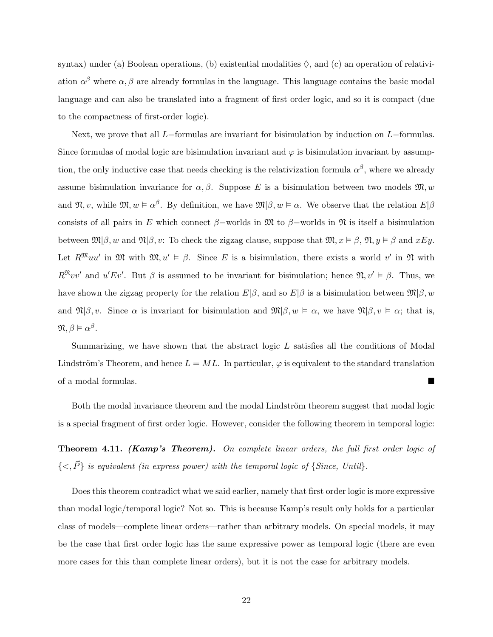syntax) under (a) Boolean operations, (b) existential modalities  $\Diamond$ , and (c) an operation of relativiation  $\alpha^{\beta}$  where  $\alpha, \beta$  are already formulas in the language. This language contains the basic modal language and can also be translated into a fragment of first order logic, and so it is compact (due to the compactness of first-order logic).

Next, we prove that all L−formulas are invariant for bisimulation by induction on L−formulas. Since formulas of modal logic are bisimulation invariant and  $\varphi$  is bisimulation invariant by assumption, the only inductive case that needs checking is the relativization formula  $\alpha^{\beta}$ , where we already assume bisimulation invariance for  $\alpha, \beta$ . Suppose E is a bisimulation between two models  $\mathfrak{M}, w$ and  $\mathfrak{N}, v$ , while  $\mathfrak{M}, w \models \alpha^{\beta}$ . By definition, we have  $\mathfrak{M}|\beta, w \models \alpha$ . We observe that the relation  $E|\beta$ consists of all pairs in E which connect  $\beta$ –worlds in M to  $\beta$ –worlds in M is itself a bisimulation between  $\mathfrak{M}(\beta, w)$  and  $\mathfrak{N}(\beta, v)$ : To check the zigzag clause, suppose that  $\mathfrak{M}, x \models \beta, \mathfrak{N}, y \models \beta$  and  $xEy$ . Let  $R^{\mathfrak{M}}uu'$  in  $\mathfrak{M}$  with  $\mathfrak{M}, u' \models \beta$ . Since E is a bisimulation, there exists a world v' in  $\mathfrak{N}$  with  $R^{\mathfrak{N}}vv'$  and  $u'Ev'$ . But  $\beta$  is assumed to be invariant for bisimulation; hence  $\mathfrak{N}, v' \models \beta$ . Thus, we have shown the zigzag property for the relation  $E|\beta$ , and so  $E|\beta$  is a bisimulation between  $\mathfrak{M}|\beta, w$ and  $\mathfrak{N}|\beta, v$ . Since  $\alpha$  is invariant for bisimulation and  $\mathfrak{M}|\beta, w \models \alpha$ , we have  $\mathfrak{N}|\beta, v \models \alpha$ ; that is,  $\mathfrak{N}, \beta \vDash \alpha^{\beta}$ .

Summarizing, we have shown that the abstract logic L satisfies all the conditions of Modal Lindström's Theorem, and hence  $L = ML$ . In particular,  $\varphi$  is equivalent to the standard translation of a modal formulas.

Both the modal invariance theorem and the modal Lindström theorem suggest that modal logic is a special fragment of first order logic. However, consider the following theorem in temporal logic:

**Theorem 4.11. (Kamp's Theorem).** On complete linear orders, the full first order logic of  ${<, \vec{P} }$  is equivalent (in express power) with the temporal logic of {Since, Until}.

Does this theorem contradict what we said earlier, namely that first order logic is more expressive than modal logic/temporal logic? Not so. This is because Kamp's result only holds for a particular class of models—complete linear orders—rather than arbitrary models. On special models, it may be the case that first order logic has the same expressive power as temporal logic (there are even more cases for this than complete linear orders), but it is not the case for arbitrary models.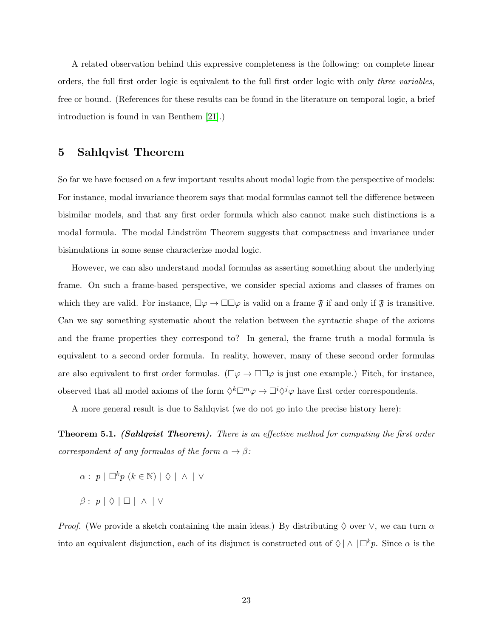A related observation behind this expressive completeness is the following: on complete linear orders, the full first order logic is equivalent to the full first order logic with only three variables, free or bound. (References for these results can be found in the literature on temporal logic, a brief introduction is found in van Benthem [\[21\]](#page-76-1).)

### 5 Sahlqvist Theorem

So far we have focused on a few important results about modal logic from the perspective of models: For instance, modal invariance theorem says that modal formulas cannot tell the difference between bisimilar models, and that any first order formula which also cannot make such distinctions is a modal formula. The modal Lindström Theorem suggests that compactness and invariance under bisimulations in some sense characterize modal logic.

However, we can also understand modal formulas as asserting something about the underlying frame. On such a frame-based perspective, we consider special axioms and classes of frames on which they are valid. For instance,  $\Box \varphi \to \Box \Box \varphi$  is valid on a frame  $\mathfrak{F}$  if and only if  $\mathfrak{F}$  is transitive. Can we say something systematic about the relation between the syntactic shape of the axioms and the frame properties they correspond to? In general, the frame truth a modal formula is equivalent to a second order formula. In reality, however, many of these second order formulas are also equivalent to first order formulas. ( $\Box \varphi \rightarrow \Box \Box \varphi$  is just one example.) Fitch, for instance, observed that all model axioms of the form  $\Diamond^k \Box^m \varphi \to \Box^i \Diamond^j \varphi$  have first order correspondents.

A more general result is due to Sahlqvist (we do not go into the precise history here):

**Theorem 5.1. (Sahlqvist Theorem).** There is an effective method for computing the first order correspondent of any formulas of the form  $\alpha \to \beta$ :

 $\alpha: p \mid \Box^k p \ (k \in \mathbb{N}) \mid \Diamond \mid \wedge \mid \vee$  $\beta$  :  $p | \Diamond | \Box | \land | \lor$ 

*Proof.* (We provide a sketch containing the main ideas.) By distributing  $\Diamond$  over  $\lor$ , we can turn  $\alpha$ into an equivalent disjunction, each of its disjunct is constructed out of  $\Diamond \land \Box^k p$ . Since  $\alpha$  is the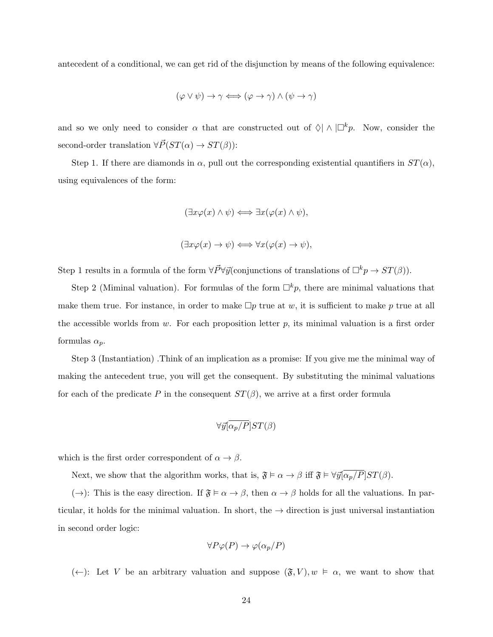antecedent of a conditional, we can get rid of the disjunction by means of the following equivalence:

$$
(\varphi \lor \psi) \to \gamma \iff (\varphi \to \gamma) \land (\psi \to \gamma)
$$

and so we only need to consider  $\alpha$  that are constructed out of  $\Diamond | \land | \Box^k p$ . Now, consider the second-order translation  $\forall \vec{P}(ST(\alpha) \rightarrow ST(\beta))$ :

Step 1. If there are diamonds in  $\alpha$ , pull out the corresponding existential quantifiers in  $ST(\alpha)$ , using equivalences of the form:

$$
(\exists x \varphi(x) \land \psi) \Longleftrightarrow \exists x (\varphi(x) \land \psi),
$$

$$
(\exists x \varphi(x) \to \psi) \Longleftrightarrow \forall x (\varphi(x) \to \psi),
$$

Step 1 results in a formula of the form  $\forall \vec{P} \forall \vec{y}$ (conjunctions of translations of  $\Box^k p \to ST(\beta)$ ).

Step 2 (Miminal valuation). For formulas of the form  $\Box^k p$ , there are minimal valuations that make them true. For instance, in order to make  $\Box p$  true at w, it is sufficient to make p true at all the accessible worlds from w. For each proposition letter  $p$ , its minimal valuation is a first order formulas  $\alpha_p$ .

Step 3 (Instantiation) .Think of an implication as a promise: If you give me the minimal way of making the antecedent true, you will get the consequent. By substituting the minimal valuations for each of the predicate P in the consequent  $ST(\beta)$ , we arrive at a first order formula

$$
\forall \vec{y} \left[ \overline{\alpha_p/P} \right] ST(\beta)
$$

which is the first order correspondent of  $\alpha \to \beta$ .

Next, we show that the algorithm works, that is,  $\mathfrak{F} \models \alpha \to \beta$  iff  $\mathfrak{F} \models \forall \vec{y} \overline{[\alpha_p/P]} ST(\beta)$ .

( $\rightarrow$ ): This is the easy direction. If  $\mathfrak{F} \models \alpha \rightarrow \beta$ , then  $\alpha \rightarrow \beta$  holds for all the valuations. In particular, it holds for the minimal valuation. In short, the  $\rightarrow$  direction is just universal instantiation in second order logic:

$$
\forall P\varphi(P)\to\varphi(\alpha_p/P)
$$

(←): Let V be an arbitrary valuation and suppose  $(\mathfrak{F}, V), w \models \alpha$ , we want to show that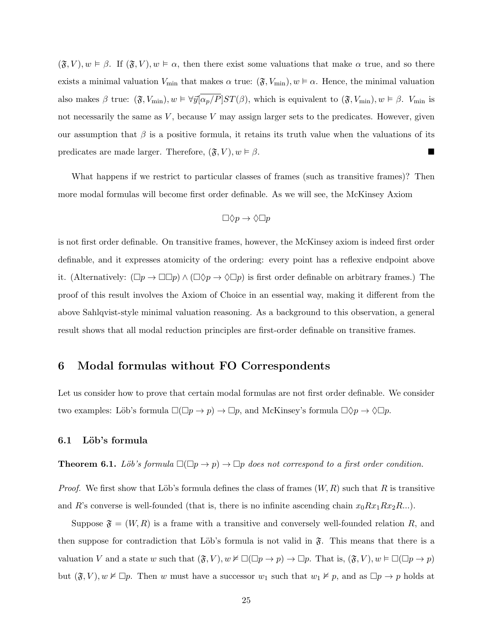$(\mathfrak{F}, V), w \models \beta$ . If  $(\mathfrak{F}, V), w \models \alpha$ , then there exist some valuations that make  $\alpha$  true, and so there exists a minimal valuation  $V_{\text{min}}$  that makes  $\alpha$  true:  $(\mathfrak{F}, V_{\text{min}}), w \models \alpha$ . Hence, the minimal valuation also makes β true:  $(\mathfrak{F}, V_{\min}), w \models \forall \vec{y} \left[ \overline{\alpha_p/P} \right] ST(\beta)$ , which is equivalent to  $(\mathfrak{F}, V_{\min}), w \models \beta$ .  $V_{\min}$  is not necessarily the same as  $V$ , because  $V$  may assign larger sets to the predicates. However, given our assumption that  $\beta$  is a positive formula, it retains its truth value when the valuations of its predicates are made larger. Therefore,  $(\mathfrak{F}, V), w \models \beta$ .

What happens if we restrict to particular classes of frames (such as transitive frames)? Then more modal formulas will become first order definable. As we will see, the McKinsey Axiom

$$
\Box \Diamond p \to \Diamond \Box p
$$

is not first order definable. On transitive frames, however, the McKinsey axiom is indeed first order definable, and it expresses atomicity of the ordering: every point has a reflexive endpoint above it. (Alternatively:  $(\Box p \to \Box \Box p) \land (\Box \Diamond p \to \Diamond \Box p)$  is first order definable on arbitrary frames.) The proof of this result involves the Axiom of Choice in an essential way, making it different from the above Sahlqvist-style minimal valuation reasoning. As a background to this observation, a general result shows that all modal reduction principles are first-order definable on transitive frames.

### 6 Modal formulas without FO Correspondents

Let us consider how to prove that certain modal formulas are not first order definable. We consider two examples: Löb's formula  $\square(\square p \to p) \to \square p$ , and McKinsey's formula  $\square \Diamond p \to \Diamond \square p$ .

#### 6.1 Löb's formula

**Theorem 6.1.** Löb's formula  $\square(\square p \rightarrow p) \rightarrow \square p$  does not correspond to a first order condition.

*Proof.* We first show that Löb's formula defines the class of frames  $(W, R)$  such that R is transitive and R's converse is well-founded (that is, there is no infinite ascending chain  $x_0Rx_1Rx_2R...$ ).

Suppose  $\mathfrak{F} = (W, R)$  is a frame with a transitive and conversely well-founded relation R, and then suppose for contradiction that Löb's formula is not valid in  $\mathfrak{F}$ . This means that there is a valuation V and a state w such that  $(\mathfrak{F}, V), w \nvDash \Box(\Box p \to p) \to \Box p$ . That is,  $(\mathfrak{F}, V), w \vDash \Box(\Box p \to p)$ but  $(\mathfrak{F}, V), w \nvDash \Box p$ . Then w must have a successor  $w_1$  such that  $w_1 \nvDash p$ , and as  $\Box p \rightarrow p$  holds at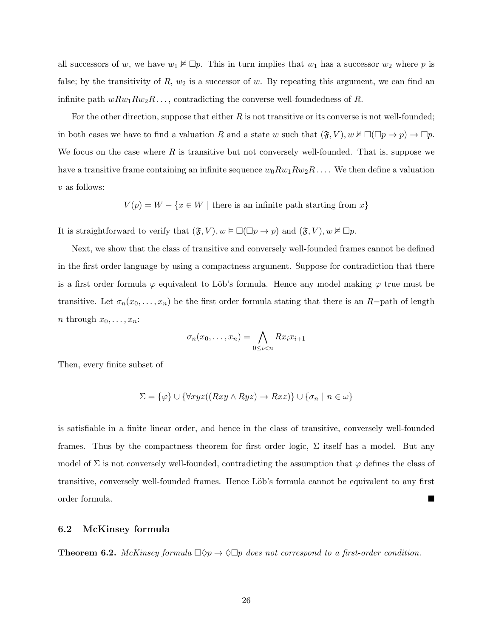all successors of w, we have  $w_1 \nvDash \Box p$ . This in turn implies that  $w_1$  has a successor  $w_2$  where p is false; by the transitivity of  $R$ ,  $w_2$  is a successor of  $w$ . By repeating this argument, we can find an infinite path  $wRw_1Rw_2R\dots$ , contradicting the converse well-foundedness of R.

For the other direction, suppose that either  $R$  is not transitive or its converse is not well-founded; in both cases we have to find a valuation R and a state w such that  $(\mathfrak{F}, V), w \nvDash \Box(\Box p \to p) \to \Box p$ . We focus on the case where  $R$  is transitive but not conversely well-founded. That is, suppose we have a transitive frame containing an infinite sequence  $w_0 R w_1 R w_2 R \dots$ . We then define a valuation v as follows:

$$
V(p) = W - \{x \in W \mid \text{there is an infinite path starting from } x\}
$$

It is straightforward to verify that  $(\mathfrak{F}, V), w \vDash \Box(\Box p \to p)$  and  $(\mathfrak{F}, V), w \nvDash \Box p$ .

Next, we show that the class of transitive and conversely well-founded frames cannot be defined in the first order language by using a compactness argument. Suppose for contradiction that there is a first order formula  $\varphi$  equivalent to Löb's formula. Hence any model making  $\varphi$  true must be transitive. Let  $\sigma_n(x_0, \ldots, x_n)$  be the first order formula stating that there is an R−path of length *n* through  $x_0, \ldots, x_n$ :

$$
\sigma_n(x_0,\ldots,x_n)=\bigwedge_{0\leq i
$$

Then, every finite subset of

$$
\Sigma = \{\varphi\} \cup \{\forall xyz((Rxy \land Ryz) \rightarrow Rxz)\} \cup \{\sigma_n \mid n \in \omega\}
$$

is satisfiable in a finite linear order, and hence in the class of transitive, conversely well-founded frames. Thus by the compactness theorem for first order logic,  $\Sigma$  itself has a model. But any model of  $\Sigma$  is not conversely well-founded, contradicting the assumption that  $\varphi$  defines the class of transitive, conversely well-founded frames. Hence Löb's formula cannot be equivalent to any first order formula.

#### 6.2 McKinsey formula

**Theorem 6.2.** McKinsey formula  $\Box \Diamond p \rightarrow \Diamond \Box p$  does not correspond to a first-order condition.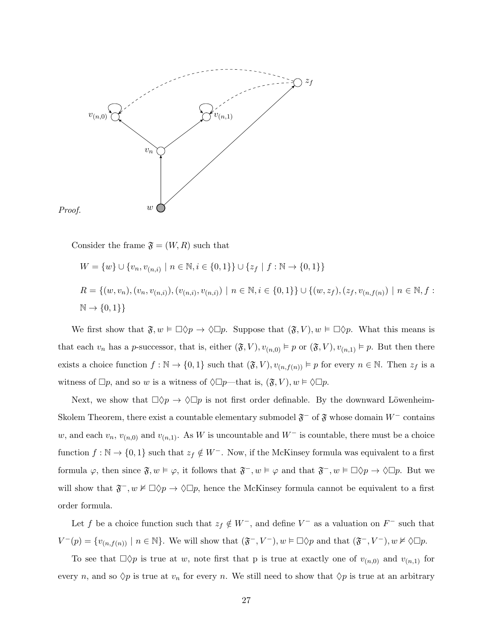



Consider the frame  $\mathfrak{F} = (W, R)$  such that

$$
W = \{w\} \cup \{v_n, v_{(n,i)} \mid n \in \mathbb{N}, i \in \{0,1\}\} \cup \{z_f \mid f : \mathbb{N} \to \{0,1\}\}\
$$
  

$$
R = \{(w, v_n), (v_n, v_{(n,i)}), (v_{(n,i)}, v_{(n,i)}) \mid n \in \mathbb{N}, i \in \{0,1\}\} \cup \{(w, z_f), (z_f, v_{(n,f(n)}) \mid n \in \mathbb{N}, f : \mathbb{N} \to \{0,1\}\}\
$$

We first show that  $\mathfrak{F}, w \models \Box \Diamond p \rightarrow \Diamond \Box p$ . Suppose that  $(\mathfrak{F}, V), w \models \Box \Diamond p$ . What this means is that each  $v_n$  has a p-successor, that is, either  $(\mathfrak{F}, V), v_{(n,0)} \models p$  or  $(\mathfrak{F}, V), v_{(n,1)} \models p$ . But then there exists a choice function  $f : \mathbb{N} \to \{0,1\}$  such that  $(\mathfrak{F}, V), v_{(n,f(n))} \models p$  for every  $n \in \mathbb{N}$ . Then  $z_f$  is a witness of  $\Box p$ , and so w is a witness of  $\Diamond \Box p$ —that is,  $(\mathfrak{F}, V), w \models \Diamond \Box p$ .

Next, we show that  $\Box \Diamond p \to \Diamond \Box p$  is not first order definable. By the downward Löwenheim-Skolem Theorem, there exist a countable elementary submodel  $\mathfrak{F}^-$  of  $\mathfrak{F}$  whose domain  $W^-$  contains w, and each  $v_n$ ,  $v_{(n,0)}$  and  $v_{(n,1)}$ . As W is uncountable and W<sup>−</sup> is countable, there must be a choice function  $f : \mathbb{N} \to \{0,1\}$  such that  $z_f \notin W^-$ . Now, if the McKinsey formula was equivalent to a first formula  $\varphi$ , then since  $\mathfrak{F}, w \models \varphi$ , it follows that  $\mathfrak{F}^-, w \models \varphi$  and that  $\mathfrak{F}^-, w \models \Box \Diamond p \rightarrow \Diamond \Box p$ . But we will show that  $\mathfrak{F}^-, w \nvDash \Box \Diamond p \to \Diamond \Box p$ , hence the McKinsey formula cannot be equivalent to a first order formula.

Let f be a choice function such that  $z_f \notin W^-$ , and define  $V^-$  as a valuation on  $F^-$  such that  $V^-(p) = \{v_{(n,f(n))} \mid n \in \mathbb{N}\}\.$  We will show that  $(\mathfrak{F}^-, V^-), w \models \Box \Diamond p$  and that  $(\mathfrak{F}^-, V^-), w \not\models \Diamond \Box p$ .

To see that  $\Box \Diamond p$  is true at w, note first that p is true at exactly one of  $v_{(n,0)}$  and  $v_{(n,1)}$  for every n, and so  $\Diamond p$  is true at  $v_n$  for every n. We still need to show that  $\Diamond p$  is true at an arbitrary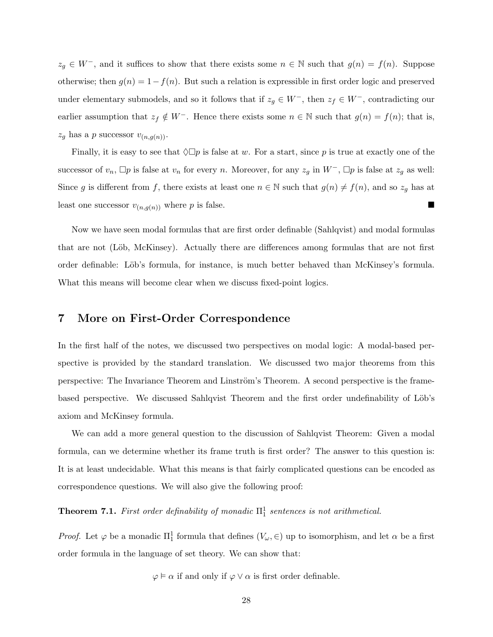$z_g \in W^-$ , and it suffices to show that there exists some  $n \in \mathbb{N}$  such that  $g(n) = f(n)$ . Suppose otherwise; then  $g(n) = 1 - f(n)$ . But such a relation is expressible in first order logic and preserved under elementary submodels, and so it follows that if  $z_g \in W^-$ , then  $z_f \in W^-$ , contradicting our earlier assumption that  $z_f \notin W^-$ . Hence there exists some  $n \in \mathbb{N}$  such that  $g(n) = f(n)$ ; that is,  $z_g$  has a p successor  $v_{(n,g(n))}$ .

Finally, it is easy to see that  $\Diamond \Box p$  is false at w. For a start, since p is true at exactly one of the successor of  $v_n$ ,  $\Box p$  is false at  $v_n$  for every n. Moreover, for any  $z_g$  in  $W^-$ ,  $\Box p$  is false at  $z_g$  as well: Since g is different from f, there exists at least one  $n \in \mathbb{N}$  such that  $g(n) \neq f(n)$ , and so  $z_g$  has at least one successor  $v_{(n,g(n))}$  where p is false.

Now we have seen modal formulas that are first order definable (Sahlqvist) and modal formulas that are not (Löb, McKinsey). Actually there are differences among formulas that are not first order definable: Löb's formula, for instance, is much better behaved than McKinsey's formula. What this means will become clear when we discuss fixed-point logics.

### 7 More on First-Order Correspondence

In the first half of the notes, we discussed two perspectives on modal logic: A modal-based perspective is provided by the standard translation. We discussed two major theorems from this perspective: The Invariance Theorem and Linström's Theorem. A second perspective is the framebased perspective. We discussed Sahlqvist Theorem and the first order undefinability of Löb's axiom and McKinsey formula.

We can add a more general question to the discussion of Sahlqvist Theorem: Given a modal formula, can we determine whether its frame truth is first order? The answer to this question is: It is at least undecidable. What this means is that fairly complicated questions can be encoded as correspondence questions. We will also give the following proof:

**Theorem 7.1.** First order definability of monadic  $\Pi_1^1$  sentences is not arithmetical.

*Proof.* Let  $\varphi$  be a monadic  $\Pi_1^1$  formula that defines  $(V_\omega, \in)$  up to isomorphism, and let  $\alpha$  be a first order formula in the language of set theory. We can show that:

 $\varphi \vDash \alpha$  if and only if  $\varphi \vee \alpha$  is first order definable.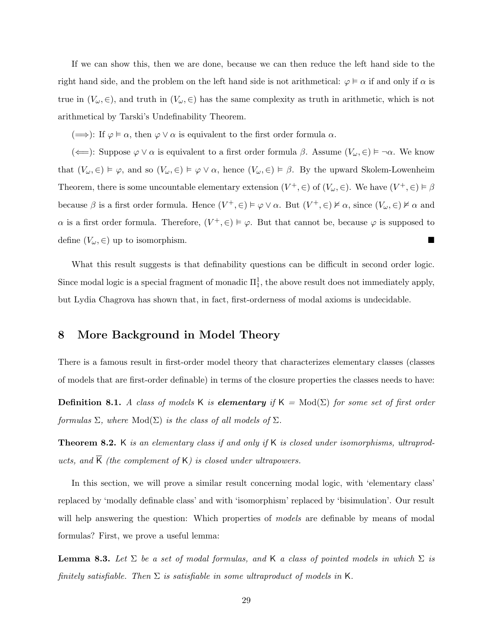If we can show this, then we are done, because we can then reduce the left hand side to the right hand side, and the problem on the left hand side is not arithmetical:  $\varphi \models \alpha$  if and only if  $\alpha$  is true in  $(V_\omega, \in)$ , and truth in  $(V_\omega, \in)$  has the same complexity as truth in arithmetic, which is not arithmetical by Tarski's Undefinability Theorem.

 $(\Longrightarrow)$ : If  $\varphi \models \alpha$ , then  $\varphi \lor \alpha$  is equivalent to the first order formula  $\alpha$ .

( $\Longleftarrow$ ): Suppose  $\varphi \vee \alpha$  is equivalent to a first order formula  $\beta$ . Assume  $(V_{\omega}, \in) \models \neg \alpha$ . We know that  $(V_{\omega}, \in) \models \varphi$ , and so  $(V_{\omega}, \in) \models \varphi \vee \alpha$ , hence  $(V_{\omega}, \in) \models \beta$ . By the upward Skolem-Lowenheim Theorem, there is some uncountable elementary extension  $(V^+, \in)$  of  $(V_\omega, \in)$ . We have  $(V^+, \in) \models \beta$ because  $\beta$  is a first order formula. Hence  $(V^+, \in) \models \varphi \lor \alpha$ . But  $(V^+, \in) \not\models \alpha$ , since  $(V_\omega, \in) \not\models \alpha$  and  $\alpha$  is a first order formula. Therefore,  $(V^+, \in) \models \varphi$ . But that cannot be, because  $\varphi$  is supposed to define  $(V_\omega, \in)$  up to isomorphism.

What this result suggests is that definability questions can be difficult in second order logic. Since modal logic is a special fragment of monadic  $\Pi^1_1$ , the above result does not immediately apply, but Lydia Chagrova has shown that, in fact, first-orderness of modal axioms is undecidable.

### 8 More Background in Model Theory

There is a famous result in first-order model theory that characterizes elementary classes (classes of models that are first-order definable) in terms of the closure properties the classes needs to have:

**Definition 8.1.** A class of models K is **elementary** if  $K = Mod(\Sigma)$  for some set of first order formulas  $\Sigma$ , where  $Mod(\Sigma)$  is the class of all models of  $\Sigma$ .

**Theorem 8.2.** K is an elementary class if and only if K is closed under isomorphisms, ultraproducts, and  $\overline{K}$  (the complement of K) is closed under ultrapowers.

In this section, we will prove a similar result concerning modal logic, with 'elementary class' replaced by 'modally definable class' and with 'isomorphism' replaced by 'bisimulation'. Our result will help answering the question: Which properties of *models* are definable by means of modal formulas? First, we prove a useful lemma:

<span id="page-28-0"></span>**Lemma 8.3.** Let  $\Sigma$  be a set of modal formulas, and K a class of pointed models in which  $\Sigma$  is finitely satisfiable. Then  $\Sigma$  is satisfiable in some ultraproduct of models in K.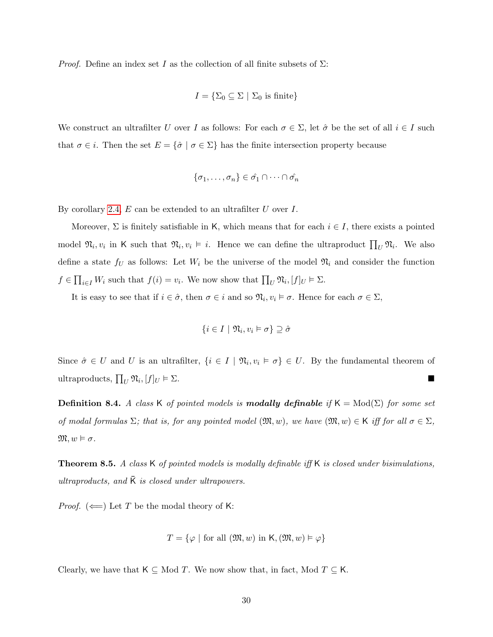*Proof.* Define an index set I as the collection of all finite subsets of  $\Sigma$ :

$$
I = \{ \Sigma_0 \subseteq \Sigma \mid \Sigma_0 \text{ is finite} \}
$$

We construct an ultrafilter U over I as follows: For each  $\sigma \in \Sigma$ , let  $\hat{\sigma}$  be the set of all  $i \in I$  such that  $\sigma \in i$ . Then the set  $E = {\hat{\sigma} \mid \sigma \in \Sigma}$  has the finite intersection property because

$$
\{\sigma_1,\ldots,\sigma_n\} \in \hat{\sigma_1} \cap \cdots \cap \hat{\sigma_n}
$$

By corollary [2.4,](#page-3-0)  $E$  can be extended to an ultrafilter  $U$  over  $I$ .

Moreover,  $\Sigma$  is finitely satisfiable in K, which means that for each  $i \in I$ , there exists a pointed model  $\mathfrak{N}_i, v_i$  in K such that  $\mathfrak{N}_i, v_i \models i$ . Hence we can define the ultraproduct  $\prod_U \mathfrak{N}_i$ . We also define a state  $f_U$  as follows: Let  $W_i$  be the universe of the model  $\mathfrak{N}_i$  and consider the function  $f \in \prod_{i \in I} W_i$  such that  $f(i) = v_i$ . We now show that  $\prod_U \mathfrak{N}_i, [f]_U \models \Sigma$ .

It is easy to see that if  $i \in \hat{\sigma}$ , then  $\sigma \in i$  and so  $\mathfrak{N}_i, v_i \models \sigma$ . Hence for each  $\sigma \in \Sigma$ ,

$$
\{i \in I \mid \mathfrak{N}_i, v_i \vDash \sigma\} \supseteq \hat{\sigma}
$$

Since  $\hat{\sigma} \in U$  and U is an ultrafilter,  $\{i \in I \mid \mathfrak{N}_i, v_i \models \sigma\} \in U$ . By the fundamental theorem of ultraproducts,  $\prod_U \mathfrak{N}_i, [f]_U \models \Sigma$ .

**Definition 8.4.** A class K of pointed models is **modally definable** if  $K = Mod(\Sigma)$  for some set of modal formulas  $\Sigma$ ; that is, for any pointed model  $(\mathfrak{M}, w)$ , we have  $(\mathfrak{M}, w) \in \mathsf{K}$  iff for all  $\sigma \in \Sigma$ ,  $\mathfrak{M}, w \vDash \sigma.$ 

**Theorem 8.5.** A class  $K$  of pointed models is modally definable iff  $K$  is closed under bisimulations, ultraproducts, and  $\overline{K}$  is closed under ultrapowers.

*Proof.* ( $\Longleftarrow$ ) Let T be the modal theory of K:

$$
T = \{ \varphi \mid \text{for all } (\mathfrak{M}, w) \text{ in } \mathsf{K}, (\mathfrak{M}, w) \vDash \varphi \}
$$

Clearly, we have that  $K \subseteq Mod T$ . We now show that, in fact, Mod  $T \subseteq K$ .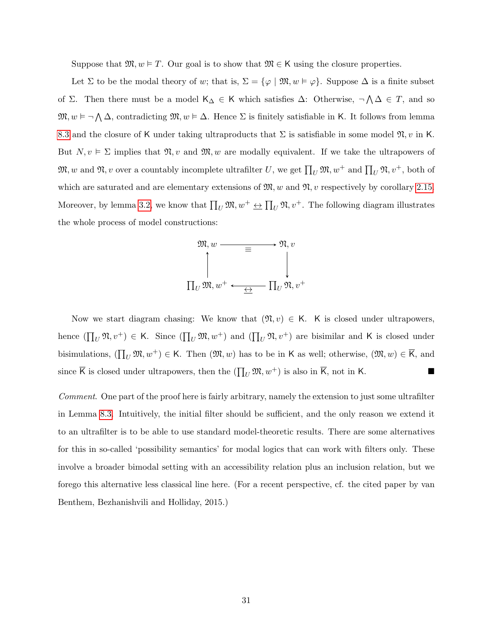Suppose that  $\mathfrak{M}, w \models T$ . Our goal is to show that  $\mathfrak{M} \in \mathsf{K}$  using the closure properties.

Let  $\Sigma$  to be the modal theory of w; that is,  $\Sigma = {\varphi \mid \mathfrak{M}, w \models \varphi}$ . Suppose  $\Delta$  is a finite subset of Σ. Then there must be a model  $\mathsf{K}_{\Delta}$  ∈ K which satisfies  $\Delta$ : Otherwise,  $\neg \wedge \Delta \in T$ , and so  $\mathfrak{M}, w \models \neg \bigwedge \Delta$ , contradicting  $\mathfrak{M}, w \models \Delta$ . Hence  $\Sigma$  is finitely satisfiable in K. It follows from lemma [8.3](#page-28-0) and the closure of K under taking ultraproducts that  $\Sigma$  is satisfiable in some model  $\mathfrak{N}, v$  in K. But  $N, v \models \Sigma$  implies that  $\mathfrak{N}, v$  and  $\mathfrak{M}, w$  are modally equivalent. If we take the ultrapowers of  $\mathfrak{M}, w$  and  $\mathfrak{N}, v$  over a countably incomplete ultrafilter U, we get  $\prod_U \mathfrak{M}, w^+$  and  $\prod_U \mathfrak{N}, v^+$ , both of which are saturated and are elementary extensions of  $\mathfrak{M}, w$  and  $\mathfrak{N}, w$  respectively by corollary [2.15.](#page-10-0) Moreover, by lemma [3.2,](#page-11-0) we know that  $\prod_U \mathfrak{M}, w^+ \leftrightarrow \prod_U \mathfrak{N}, v^+$ . The following diagram illustrates the whole process of model constructions:



Now we start diagram chasing: We know that  $(\mathfrak{N}, v) \in K$ . K is closed under ultrapowers, hence  $(\prod_U \mathfrak{N}, v^+) \in \mathsf{K}$ . Since  $(\prod_U \mathfrak{M}, w^+)$  and  $(\prod_U \mathfrak{N}, v^+)$  are bisimilar and K is closed under bisimulations,  $(\prod_U \mathfrak{M}, w^+) \in \mathsf{K}$ . Then  $(\mathfrak{M}, w)$  has to be in K as well; otherwise,  $(\mathfrak{M}, w) \in \overline{\mathsf{K}}$ , and since  $\overline{K}$  is closed under ultrapowers, then the  $(\prod_U \mathfrak{M}, w^+)$  is also in  $\overline{K}$ , not in K.

Comment. One part of the proof here is fairly arbitrary, namely the extension to just some ultrafilter in Lemma [8.3.](#page-28-0) Intuitively, the initial filter should be sufficient, and the only reason we extend it to an ultrafilter is to be able to use standard model-theoretic results. There are some alternatives for this in so-called 'possibility semantics' for modal logics that can work with filters only. These involve a broader bimodal setting with an accessibility relation plus an inclusion relation, but we forego this alternative less classical line here. (For a recent perspective, cf. the cited paper by van Benthem, Bezhanishvili and Holliday, 2015.)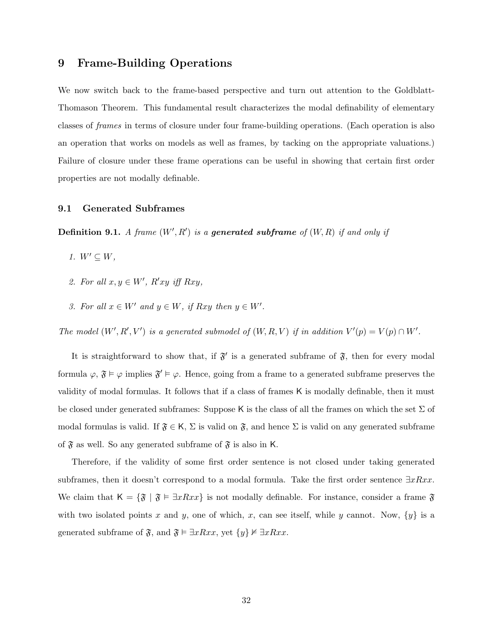### 9 Frame-Building Operations

We now switch back to the frame-based perspective and turn out attention to the Goldblatt-Thomason Theorem. This fundamental result characterizes the modal definability of elementary classes of frames in terms of closure under four frame-building operations. (Each operation is also an operation that works on models as well as frames, by tacking on the appropriate valuations.) Failure of closure under these frame operations can be useful in showing that certain first order properties are not modally definable.

#### 9.1 Generated Subframes

**Definition 9.1.** A frame  $(W', R')$  is a generated subframe of  $(W, R)$  if and only if

- 1.  $W' \subseteq W$ ,
- 2. For all  $x, y \in W'$ ,  $R'xy$  iff  $Rxy$ ,
- 3. For all  $x \in W'$  and  $y \in W$ , if Rxy then  $y \in W'$ .

The model  $(W', R', V')$  is a generated submodel of  $(W, R, V)$  if in addition  $V'(p) = V(p) \cap W'$ .

It is straightforward to show that, if  $\mathfrak{F}'$  is a generated subframe of  $\mathfrak{F}$ , then for every modal formula  $\varphi, \mathfrak{F} \models \varphi$  implies  $\mathfrak{F}' \models \varphi$ . Hence, going from a frame to a generated subframe preserves the validity of modal formulas. It follows that if a class of frames K is modally definable, then it must be closed under generated subframes: Suppose K is the class of all the frames on which the set  $\Sigma$  of modal formulas is valid. If  $\mathfrak{F} \in \mathsf{K}$ ,  $\Sigma$  is valid on  $\mathfrak{F}$ , and hence  $\Sigma$  is valid on any generated subframe of  $\mathfrak F$  as well. So any generated subframe of  $\mathfrak F$  is also in K.

Therefore, if the validity of some first order sentence is not closed under taking generated subframes, then it doesn't correspond to a modal formula. Take the first order sentence  $\exists xRxx$ . We claim that  $K = {\mathfrak{F} \mid \mathfrak{F} \models \exists x Rxx}$  is not modally definable. For instance, consider a frame  $\mathfrak{F}$ with two isolated points x and y, one of which, x, can see itself, while y cannot. Now,  $\{y\}$  is a generated subframe of  $\mathfrak{F}$ , and  $\mathfrak{F} \models \exists xRxx$ , yet  $\{y\} \not\in \exists xRxx$ .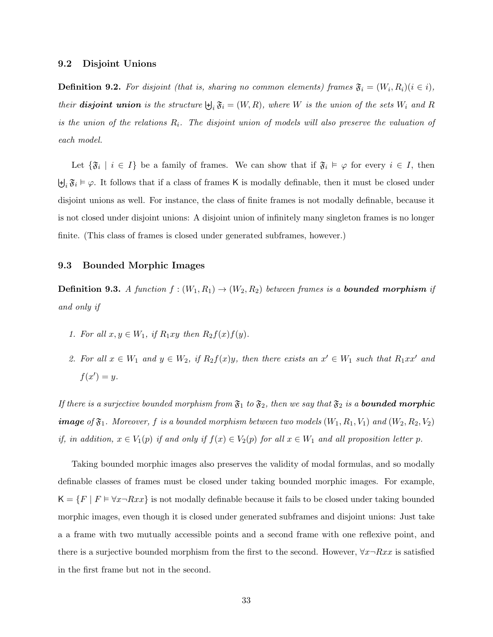#### 9.2 Disjoint Unions

**Definition 9.2.** For disjoint (that is, sharing no common elements) frames  $\mathfrak{F}_i = (W_i, R_i) (i \in i)$ , their **disjoint union** is the structure  $\biguplus_i \mathfrak{F}_i = (W, R)$ , where W is the union of the sets  $W_i$  and R is the union of the relations  $R_i$ . The disjoint union of models will also preserve the valuation of each model.

Let  $\{\mathfrak{F}_i \mid i \in I\}$  be a family of frames. We can show that if  $\mathfrak{F}_i \models \varphi$  for every  $i \in I$ , then  $\biguplus_i \mathfrak{F}_i \models \varphi$ . It follows that if a class of frames K is modally definable, then it must be closed under disjoint unions as well. For instance, the class of finite frames is not modally definable, because it is not closed under disjoint unions: A disjoint union of infinitely many singleton frames is no longer finite. (This class of frames is closed under generated subframes, however.)

#### 9.3 Bounded Morphic Images

**Definition 9.3.** A function  $f : (W_1, R_1) \to (W_2, R_2)$  between frames is a **bounded morphism** if and only if

- 1. For all  $x, y \in W_1$ , if  $R_1xy$  then  $R_2f(x)f(y)$ .
- 2. For all  $x \in W_1$  and  $y \in W_2$ , if  $R_2f(x)y$ , then there exists an  $x' \in W_1$  such that  $R_1xx'$  and  $f(x') = y.$

If there is a surjective bounded morphism from  $\mathfrak{F}_1$  to  $\mathfrak{F}_2$ , then we say that  $\mathfrak{F}_2$  is a **bounded morphic image** of  $\mathfrak{F}_1$ . Moreover, f is a bounded morphism between two models  $(W_1, R_1, V_1)$  and  $(W_2, R_2, V_2)$ if, in addition,  $x \in V_1(p)$  if and only if  $f(x) \in V_2(p)$  for all  $x \in W_1$  and all proposition letter p.

Taking bounded morphic images also preserves the validity of modal formulas, and so modally definable classes of frames must be closed under taking bounded morphic images. For example,  $K = \{F \mid F \models \forall x \neg Rxx\}$  is not modally definable because it fails to be closed under taking bounded morphic images, even though it is closed under generated subframes and disjoint unions: Just take a a frame with two mutually accessible points and a second frame with one reflexive point, and there is a surjective bounded morphism from the first to the second. However,  $\forall x \neg Rxx$  is satisfied in the first frame but not in the second.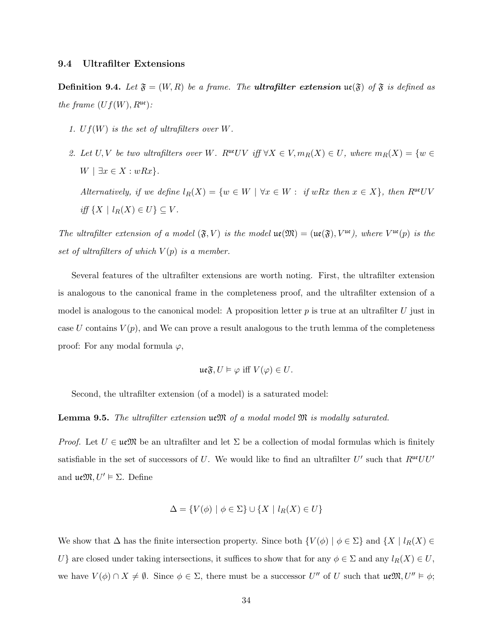#### 9.4 Ultrafilter Extensions

iff  $\{X \mid l_R(X) \in U\} \subseteq V$ .

**Definition 9.4.** Let  $\mathfrak{F} = (W, R)$  be a frame. The **ultrafilter extension ue**( $\mathfrak{F}$ ) of  $\mathfrak{F}$  is defined as the frame  $(Uf(W), R^{\mathfrak{ue}})$ :

- 1.  $Uf(W)$  is the set of ultrafilters over W.
- 2. Let U, V be two ultrafilters over W. R<sup>ue</sup>UV iff  $\forall X \in V, m_R(X) \in U$ , where  $m_R(X) = \{w \in V\}$  $W \mid \exists x \in X : wRx$ . Alternatively, if we define  $l_R(X) = \{w \in W \mid \forall x \in W : \text{ if } wRx \text{ then } x \in X\}$ , then  $R^{uv}UV$

The ultrafilter extension of a model  $(\mathfrak{F}, V)$  is the model  $\mathfrak{ue}(\mathfrak{M}) = (\mathfrak{ue}(\mathfrak{F}), V^{\mathfrak{ue}})$ , where  $V^{\mathfrak{ue}}(p)$  is the set of ultrafilters of which  $V(p)$  is a member.

Several features of the ultrafilter extensions are worth noting. First, the ultrafilter extension is analogous to the canonical frame in the completeness proof, and the ultrafilter extension of a model is analogous to the canonical model: A proposition letter  $p$  is true at an ultrafilter  $U$  just in case U contains  $V(p)$ , and We can prove a result analogous to the truth lemma of the completeness proof: For any modal formula  $\varphi$ ,

$$
\mathfrak{ue}\mathfrak{F}, U \vDash \varphi \text{ iff } V(\varphi) \in U.
$$

Second, the ultrafilter extension (of a model) is a saturated model:

#### **Lemma 9.5.** The ultrafilter extension  $\mathfrak{u} \mathfrak{M}$  of a modal model  $\mathfrak{M}$  is modally saturated.

*Proof.* Let  $U \in \mathfrak{ueM}$  be an ultrafilter and let  $\Sigma$  be a collection of modal formulas which is finitely satisfiable in the set of successors of U. We would like to find an ultrafilter  $U'$  such that  $R^{u\epsilon}UU'$ and  $\mathfrak{ueM}, U' \vDash \Sigma$ . Define

$$
\Delta = \{ V(\phi) \mid \phi \in \Sigma \} \cup \{ X \mid l_R(X) \in U \}
$$

We show that  $\Delta$  has the finite intersection property. Since both  $\{V(\phi) \mid \phi \in \Sigma\}$  and  $\{X \mid l_R(X) \in \Sigma\}$ U} are closed under taking intersections, it suffices to show that for any  $\phi \in \Sigma$  and any  $l_R(X) \in U$ , we have  $V(\phi) \cap X \neq \emptyset$ . Since  $\phi \in \Sigma$ , there must be a successor U'' of U such that  $\mathfrak{ueM}, U'' \models \phi$ ;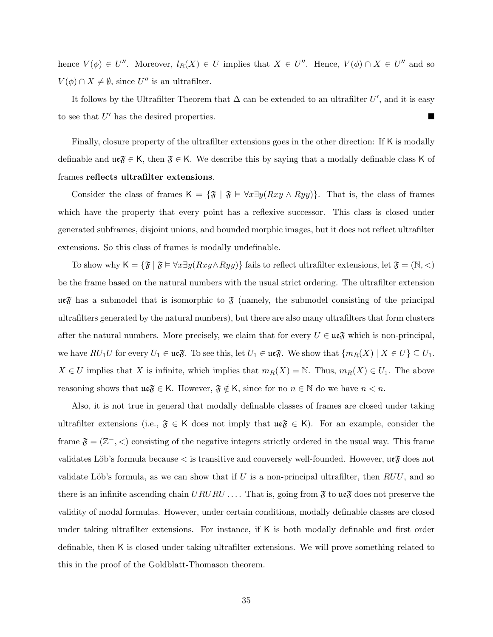hence  $V(\phi) \in U''$ . Moreover,  $l_R(X) \in U$  implies that  $X \in U''$ . Hence,  $V(\phi) \cap X \in U''$  and so  $V(\phi) \cap X \neq \emptyset$ , since U'' is an ultrafilter.

It follows by the Ultrafilter Theorem that  $\Delta$  can be extended to an ultrafilter U', and it is easy to see that  $U'$  has the desired properties.

Finally, closure property of the ultrafilter extensions goes in the other direction: If K is modally definable and  $\mathfrak{ue} \mathfrak{F} \in K$ , then  $\mathfrak{F} \in K$ . We describe this by saying that a modally definable class K of frames reflects ultrafilter extensions.

Consider the class of frames K =  $\{\mathfrak{F} \mid \mathfrak{F} \models \forall x \exists y (Rxy \land Ryy)\}.$  That is, the class of frames which have the property that every point has a reflexive successor. This class is closed under generated subframes, disjoint unions, and bounded morphic images, but it does not reflect ultrafilter extensions. So this class of frames is modally undefinable.

To show why  $\mathsf{K} = \{ \mathfrak{F} \mid \mathfrak{F} \models \forall x \exists y (Rxy \land Ryy) \}$  fails to reflect ultrafilter extensions, let  $\mathfrak{F} = (\mathbb{N}, <)$ be the frame based on the natural numbers with the usual strict ordering. The ultrafilter extension  $\mathfrak{ueF}$  has a submodel that is isomorphic to  $\mathfrak F$  (namely, the submodel consisting of the principal ultrafilters generated by the natural numbers), but there are also many ultrafilters that form clusters after the natural numbers. More precisely, we claim that for every  $U \in \mathfrak{ue} \mathfrak{F}$  which is non-principal, we have  $RU_1U$  for every  $U_1 \in \mathfrak{ue}_V$ . To see this, let  $U_1 \in \mathfrak{ue}_V$ . We show that  $\{m_R(X) \mid X \in U\} \subseteq U_1$ .  $X \in U$  implies that X is infinite, which implies that  $m_R(X) = N$ . Thus,  $m_R(X) \in U_1$ . The above reasoning shows that  $\mathfrak{ue} \mathfrak{F} \in \mathsf{K}$ . However,  $\mathfrak{F} \notin \mathsf{K}$ , since for no  $n \in \mathbb{N}$  do we have  $n < n$ .

Also, it is not true in general that modally definable classes of frames are closed under taking ultrafilter extensions (i.e.,  $\mathfrak{F} \in \mathsf{K}$  does not imply that  $\mathfrak{ue} \mathfrak{F} \in \mathsf{K}$ ). For an example, consider the frame  $\mathfrak{F} = (\mathbb{Z}^-, \lt)$  consisting of the negative integers strictly ordered in the usual way. This frame validates Löb's formula because  $\lt$  is transitive and conversely well-founded. However,  $\mathfrak{ueF}$  does not validate Löb's formula, as we can show that if U is a non-principal ultrafilter, then  $RUU$ , and so there is an infinite ascending chain  $URURU...$  That is, going from  $\mathfrak{F}$  to  $\mathfrak{ue} \mathfrak{F}$  does not preserve the validity of modal formulas. However, under certain conditions, modally definable classes are closed under taking ultrafilter extensions. For instance, if K is both modally definable and first order definable, then K is closed under taking ultrafilter extensions. We will prove something related to this in the proof of the Goldblatt-Thomason theorem.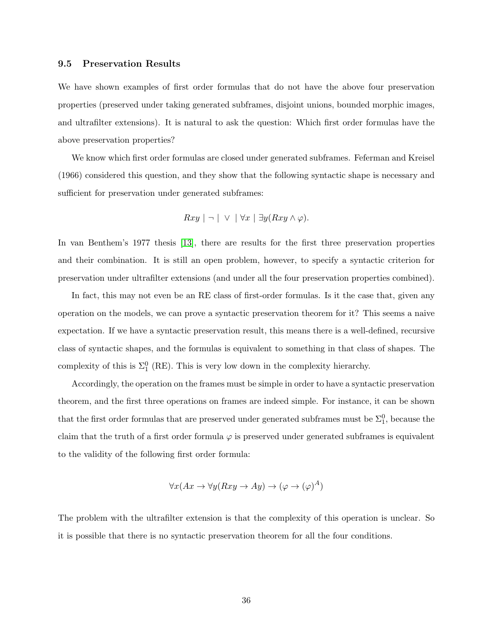#### 9.5 Preservation Results

We have shown examples of first order formulas that do not have the above four preservation properties (preserved under taking generated subframes, disjoint unions, bounded morphic images, and ultrafilter extensions). It is natural to ask the question: Which first order formulas have the above preservation properties?

We know which first order formulas are closed under generated subframes. Feferman and Kreisel (1966) considered this question, and they show that the following syntactic shape is necessary and sufficient for preservation under generated subframes:

$$
Rxy \mid \neg \mid \vee \mid \forall x \mid \exists y (Rxy \land \varphi).
$$

In van Benthem's 1977 thesis [\[13\]](#page-75-0), there are results for the first three preservation properties and their combination. It is still an open problem, however, to specify a syntactic criterion for preservation under ultrafilter extensions (and under all the four preservation properties combined).

In fact, this may not even be an RE class of first-order formulas. Is it the case that, given any operation on the models, we can prove a syntactic preservation theorem for it? This seems a naive expectation. If we have a syntactic preservation result, this means there is a well-defined, recursive class of syntactic shapes, and the formulas is equivalent to something in that class of shapes. The complexity of this is  $\Sigma_1^0$  (RE). This is very low down in the complexity hierarchy.

Accordingly, the operation on the frames must be simple in order to have a syntactic preservation theorem, and the first three operations on frames are indeed simple. For instance, it can be shown that the first order formulas that are preserved under generated subframes must be  $\Sigma_1^0$ , because the claim that the truth of a first order formula  $\varphi$  is preserved under generated subframes is equivalent to the validity of the following first order formula:

$$
\forall x (Ax \to \forall y (Rxy \to Ay) \to (\varphi \to (\varphi)^A)
$$

The problem with the ultrafilter extension is that the complexity of this operation is unclear. So it is possible that there is no syntactic preservation theorem for all the four conditions.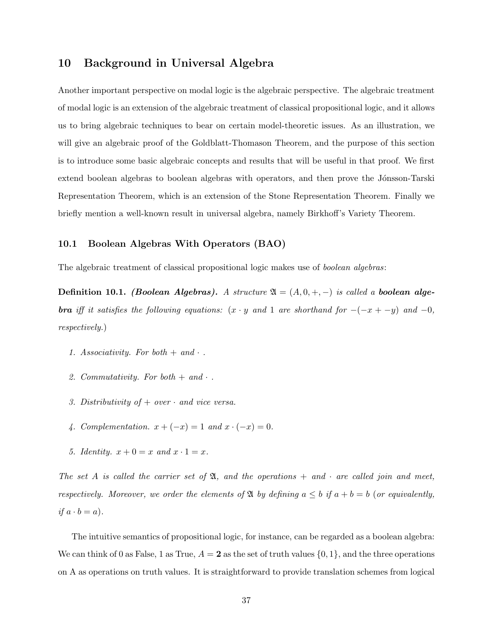# 10 Background in Universal Algebra

Another important perspective on modal logic is the algebraic perspective. The algebraic treatment of modal logic is an extension of the algebraic treatment of classical propositional logic, and it allows us to bring algebraic techniques to bear on certain model-theoretic issues. As an illustration, we will give an algebraic proof of the Goldblatt-Thomason Theorem, and the purpose of this section is to introduce some basic algebraic concepts and results that will be useful in that proof. We first extend boolean algebras to boolean algebras with operators, and then prove the Jónsson-Tarski Representation Theorem, which is an extension of the Stone Representation Theorem. Finally we briefly mention a well-known result in universal algebra, namely Birkhoff's Variety Theorem.

### 10.1 Boolean Algebras With Operators (BAO)

The algebraic treatment of classical propositional logic makes use of boolean algebras:

Definition 10.1. (Boolean Algebras). A structure  $\mathfrak{A} = (A, 0, +, -)$  is called a boolean alge**bra** iff it satisfies the following equations:  $(x \cdot y$  and 1 are shorthand for  $-(-x + -y)$  and  $-0$ , respectively.)

- 1. Associativity. For both  $+$  and  $\cdot$ .
- 2. Commutativity. For both  $+$  and  $\cdot$ .
- 3. Distributivity of  $+$  over  $\cdot$  and vice versa.
- 4. Complementation.  $x + (-x) = 1$  and  $x \cdot (-x) = 0$ .
- 5. Identity.  $x + 0 = x$  and  $x \cdot 1 = x$ .

The set A is called the carrier set of  $\mathfrak{A}$ , and the operations  $+$  and  $\cdot$  are called join and meet, respectively. Moreover, we order the elements of  $\mathfrak A$  by defining  $a \leq b$  if  $a + b = b$  (or equivalently, if  $a \cdot b = a$ ).

The intuitive semantics of propositional logic, for instance, can be regarded as a boolean algebra: We can think of 0 as False, 1 as True,  $A = 2$  as the set of truth values  $\{0, 1\}$ , and the three operations on A as operations on truth values. It is straightforward to provide translation schemes from logical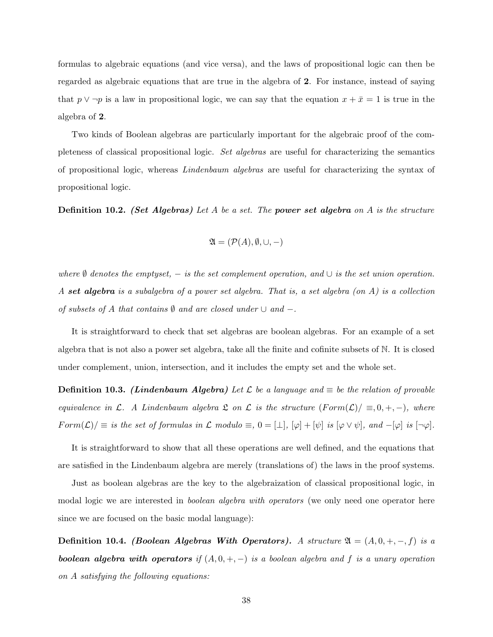formulas to algebraic equations (and vice versa), and the laws of propositional logic can then be regarded as algebraic equations that are true in the algebra of 2. For instance, instead of saying that  $p \vee \neg p$  is a law in propositional logic, we can say that the equation  $x + \bar{x} = 1$  is true in the algebra of 2.

Two kinds of Boolean algebras are particularly important for the algebraic proof of the completeness of classical propositional logic. Set algebras are useful for characterizing the semantics of propositional logic, whereas Lindenbaum algebras are useful for characterizing the syntax of propositional logic.

**Definition 10.2.** (Set Algebras) Let A be a set. The power set algebra on A is the structure

$$
\mathfrak{A} = (\mathcal{P}(A), \emptyset, \cup, -)
$$

where  $\emptyset$  denotes the emptyset,  $-$  is the set complement operation, and  $\cup$  is the set union operation. A set algebra is a subalgebra of a power set algebra. That is, a set algebra (on A) is a collection of subsets of A that contains  $\emptyset$  and are closed under  $\cup$  and  $-$ .

It is straightforward to check that set algebras are boolean algebras. For an example of a set algebra that is not also a power set algebra, take all the finite and cofinite subsets of N. It is closed under complement, union, intersection, and it includes the empty set and the whole set.

**Definition 10.3.** (Lindenbaum Algebra) Let L be a language and  $\equiv$  be the relation of provable equivalence in L. A Lindenbaum algebra  $\mathfrak L$  on  $\mathfrak L$  is the structure  $(Form(\mathcal L))/\equiv,0,+,-)$ , where  $Form(\mathcal{L})/\equiv$  is the set of formulas in  $\mathcal{L}$  modulo  $\equiv$ ,  $0 = [\perp]$ ,  $[\varphi] + [\psi]$  is  $[\varphi \vee \psi]$ , and  $-[\varphi]$  is  $[\neg \varphi]$ .

It is straightforward to show that all these operations are well defined, and the equations that are satisfied in the Lindenbaum algebra are merely (translations of) the laws in the proof systems.

Just as boolean algebras are the key to the algebraization of classical propositional logic, in modal logic we are interested in *boolean algebra with operators* (we only need one operator here since we are focused on the basic modal language):

Definition 10.4. (Boolean Algebras With Operators). A structure  $\mathfrak{A} = (A, 0, +, -, f)$  is a **boolean algebra with operators** if  $(A, 0, +, -)$  is a boolean algebra and f is a unary operation on A satisfying the following equations: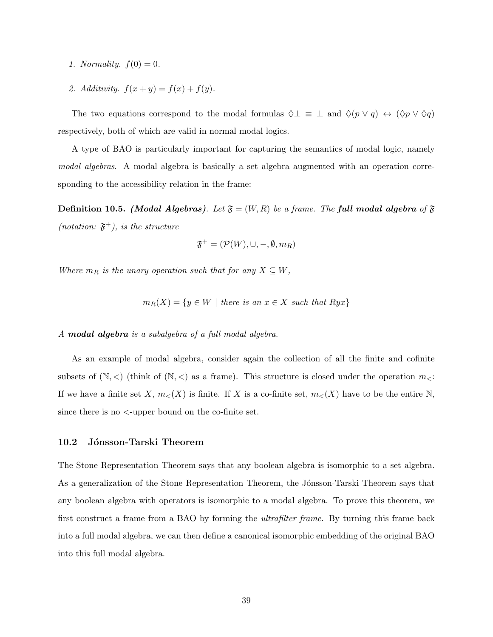- 1. Normality.  $f(0) = 0$ .
- 2. Additivity.  $f(x + y) = f(x) + f(y)$ .

The two equations correspond to the modal formulas  $\Diamond \bot \equiv \bot$  and  $\Diamond (p \lor q) \leftrightarrow (\Diamond p \lor \Diamond q)$ respectively, both of which are valid in normal modal logics.

A type of BAO is particularly important for capturing the semantics of modal logic, namely modal algebras. A modal algebra is basically a set algebra augmented with an operation corresponding to the accessibility relation in the frame:

**Definition 10.5.** (Modal Algebras). Let  $\mathfrak{F} = (W, R)$  be a frame. The full modal algebra of  $\mathfrak{F}$ (notation:  $\mathfrak{F}^+$ ), is the structure

$$
\mathfrak{F}^+=(\mathcal{P}(W),\cup,-,\emptyset,m_R)
$$

Where  $m_R$  is the unary operation such that for any  $X \subseteq W$ ,

$$
m_R(X) = \{ y \in W \mid \text{ there is an } x \in X \text{ such that } Ryx \}
$$

#### A modal algebra is a subalgebra of a full modal algebra.

As an example of modal algebra, consider again the collection of all the finite and cofinite subsets of  $(N, <)$  (think of  $(N, <)$ ) as a frame). This structure is closed under the operation  $m_<$ : If we have a finite set X,  $m<sub>lt</sub>(X)$  is finite. If X is a co-finite set,  $m<sub>lt</sub>(X)$  have to be the entire N, since there is no <-upper bound on the co-finite set.

### 10.2 Jónsson-Tarski Theorem

The Stone Representation Theorem says that any boolean algebra is isomorphic to a set algebra. As a generalization of the Stone Representation Theorem, the Jónsson-Tarski Theorem says that any boolean algebra with operators is isomorphic to a modal algebra. To prove this theorem, we first construct a frame from a BAO by forming the ultrafilter frame. By turning this frame back into a full modal algebra, we can then define a canonical isomorphic embedding of the original BAO into this full modal algebra.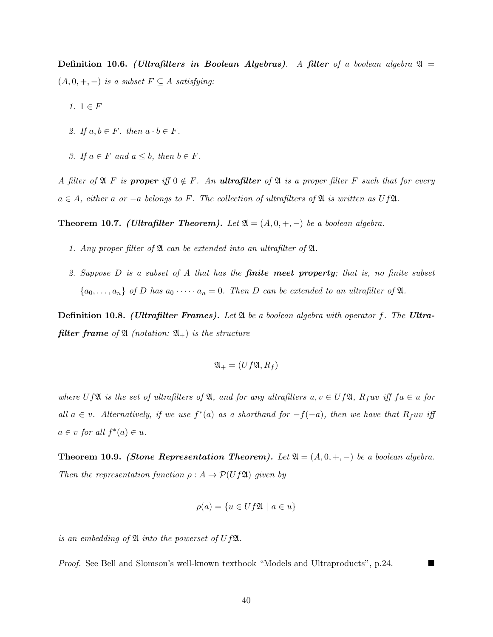Definition 10.6. (Ultrafilters in Boolean Algebras). A filter of a boolean algebra  $\mathfrak{A} =$  $(A, 0, +, -)$  is a subset  $F \subseteq A$  satisfying:

- 1.  $1 \in F$
- 2. If  $a, b \in F$ . then  $a \cdot b \in F$ .
- 3. If  $a \in F$  and  $a \leq b$ , then  $b \in F$ .

A filter of  $\mathfrak{A}$  F is proper iff  $0 \notin F$ . An ultrafilter of  $\mathfrak{A}$  is a proper filter F such that for every  $a \in A$ , either a or  $-a$  belongs to F. The collection of ultrafilters of  $\mathfrak A$  is written as Uf $\mathfrak A$ .

**Theorem 10.7.** (Ultrafilter Theorem). Let  $\mathfrak{A} = (A, 0, +, -)$  be a boolean algebra.

- 1. Any proper filter of  $\mathfrak A$  can be extended into an ultrafilter of  $\mathfrak A$ .
- 2. Suppose  $D$  is a subset of  $A$  that has the **finite meet property**; that is, no finite subset  ${a_0, \ldots, a_n}$  of D has  $a_0 \cdots a_n = 0$ . Then D can be extended to an ultrafilter of  $\mathfrak{A}$ .

**Definition 10.8.** (Ultrafilter Frames). Let  $\mathfrak A$  be a boolean algebra with operator f. The Ultra**filter frame** of  $\mathfrak{A}$  (notation:  $\mathfrak{A}_+$ ) is the structure

$$
\mathfrak{A}_{+}=(Uf\mathfrak{A},R_{f})
$$

where UfA is the set of ultrafilters of  $\mathfrak{A}$ , and for any ultrafilters  $u, v \in Uf\mathfrak{A}$ ,  $R_fuv$  iff  $fa \in u$  for all  $a \in v$ . Alternatively, if we use  $f^*(a)$  as a shorthand for  $-f(-a)$ , then we have that  $R_fuv$  iff  $a \in v$  for all  $f^*(a) \in u$ .

**Theorem 10.9.** (Stone Representation Theorem). Let  $\mathfrak{A} = (A, 0, +, -)$  be a boolean algebra. Then the representation function  $\rho : A \to \mathcal{P}(Uf\mathfrak{A})$  given by

$$
\rho(a) = \{ u \in Uf\mathfrak{A} \mid a \in u \}
$$

is an embedding of  $\mathfrak A$  into the powerset of U f $\mathfrak A$ .

Proof. See Bell and Slomson's well-known textbook "Models and Ultraproducts", p.24.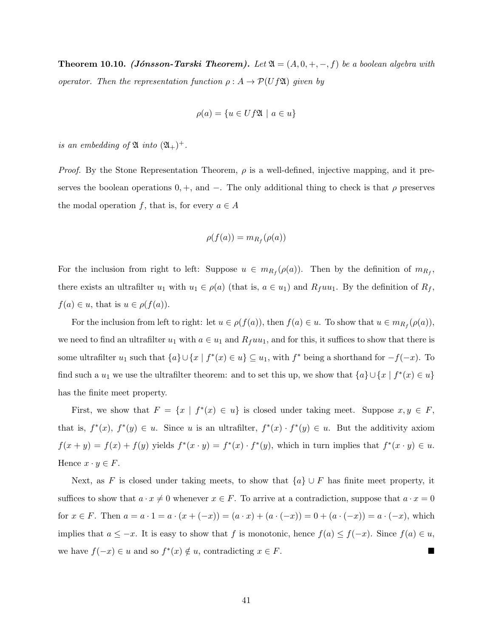**Theorem 10.10.** (*Jónsson-Tarski Theorem*). Let  $\mathfrak{A} = (A, 0, +, -, f)$  be a boolean algebra with operator. Then the representation function  $\rho : A \to \mathcal{P}(Uf\mathfrak{A})$  given by

$$
\rho(a) = \{ u \in Uf\mathfrak{A} \mid a \in u \}
$$

is an embedding of  $\mathfrak{A}$  into  $(\mathfrak{A}_{+})^{+}$ .

*Proof.* By the Stone Representation Theorem,  $\rho$  is a well-defined, injective mapping, and it preserves the boolean operations  $0, +$ , and  $-$ . The only additional thing to check is that  $\rho$  preserves the modal operation f, that is, for every  $a \in A$ 

$$
\rho(f(a)) = m_{R_f}(\rho(a))
$$

For the inclusion from right to left: Suppose  $u \in m_{R_f}(\rho(a))$ . Then by the definition of  $m_{R_f}$ , there exists an ultrafilter  $u_1$  with  $u_1 \in \rho(a)$  (that is,  $a \in u_1$ ) and  $R_fuu_1$ . By the definition of  $R_f$ ,  $f(a) \in u$ , that is  $u \in \rho(f(a))$ .

For the inclusion from left to right: let  $u \in \rho(f(a))$ , then  $f(a) \in u$ . To show that  $u \in m_{R_f}(\rho(a))$ , we need to find an ultrafilter  $u_1$  with  $a \in u_1$  and  $R_fuu_1$ , and for this, it suffices to show that there is some ultrafilter  $u_1$  such that  $\{a\} \cup \{x \mid f^*(x) \in u\} \subseteq u_1$ , with  $f^*$  being a shorthand for  $-f(-x)$ . To find such a  $u_1$  we use the ultrafilter theorem: and to set this up, we show that  $\{a\} \cup \{x \mid f^*(x) \in u\}$ has the finite meet property.

First, we show that  $F = \{x \mid f^*(x) \in u\}$  is closed under taking meet. Suppose  $x, y \in F$ , that is,  $f^*(x)$ ,  $f^*(y) \in u$ . Since u is an ultrafilter,  $f^*(x) \cdot f^*(y) \in u$ . But the additivity axiom  $f(x + y) = f(x) + f(y)$  yields  $f^*(x \cdot y) = f^*(x) \cdot f^*(y)$ , which in turn implies that  $f^*(x \cdot y) \in u$ . Hence  $x \cdot y \in F$ .

Next, as F is closed under taking meets, to show that  $\{a\} \cup F$  has finite meet property, it suffices to show that  $a \cdot x \neq 0$  whenever  $x \in F$ . To arrive at a contradiction, suppose that  $a \cdot x = 0$ for  $x \in F$ . Then  $a = a \cdot 1 = a \cdot (x + (-x)) = (a \cdot x) + (a \cdot (-x)) = 0 + (a \cdot (-x)) = a \cdot (-x)$ , which implies that  $a \leq -x$ . It is easy to show that f is monotonic, hence  $f(a) \leq f(-x)$ . Since  $f(a) \in u$ , we have  $f(-x) \in u$  and so  $f^*(x) \notin u$ , contradicting  $x \in F$ .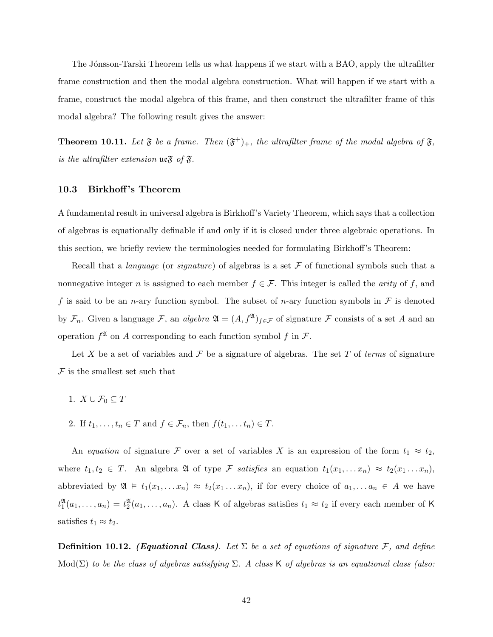The Jónsson-Tarski Theorem tells us what happens if we start with a BAO, apply the ultrafilter frame construction and then the modal algebra construction. What will happen if we start with a frame, construct the modal algebra of this frame, and then construct the ultrafilter frame of this modal algebra? The following result gives the answer:

<span id="page-41-0"></span>**Theorem 10.11.** Let  $\mathfrak{F}$  be a frame. Then  $(\mathfrak{F}^+)_+$ , the ultrafilter frame of the modal algebra of  $\mathfrak{F}$ , is the ultrafilter extension  $\mathfrak{ue}\mathfrak{F}$  of  $\mathfrak{F}.$ 

#### 10.3 Birkhoff's Theorem

A fundamental result in universal algebra is Birkhoff's Variety Theorem, which says that a collection of algebras is equationally definable if and only if it is closed under three algebraic operations. In this section, we briefly review the terminologies needed for formulating Birkhoff's Theorem:

Recall that a *language* (or *signature*) of algebras is a set  $\mathcal F$  of functional symbols such that a nonnegative integer n is assigned to each member  $f \in \mathcal{F}$ . This integer is called the *arity* of f, and f is said to be an n-ary function symbol. The subset of n-ary function symbols in  $\mathcal F$  is denoted by  $\mathcal{F}_n$ . Given a language  $\mathcal{F}$ , an *algebra*  $\mathfrak{A} = (A, f^{\mathfrak{A}})_{f \in \mathcal{F}}$  of signature  $\mathcal{F}$  consists of a set A and an operation  $f^{\mathfrak{A}}$  on A corresponding to each function symbol f in F.

Let X be a set of variables and  $\mathcal F$  be a signature of algebras. The set T of terms of signature  ${\mathcal F}$  is the smallest set such that

- 1.  $X \cup \mathcal{F}_0 \subset T$
- 2. If  $t_1, \ldots, t_n \in T$  and  $f \in \mathcal{F}_n$ , then  $f(t_1, \ldots t_n) \in T$ .

An equation of signature F over a set of variables X is an expression of the form  $t_1 \approx t_2$ , where  $t_1, t_2 \in T$ . An algebra  $\mathfrak A$  of type  $\mathcal F$  satisfies an equation  $t_1(x_1, \ldots x_n) \approx t_2(x_1 \ldots x_n)$ , abbreviated by  $\mathfrak{A} \models t_1(x_1, \ldots x_n) \approx t_2(x_1 \ldots x_n)$ , if for every choice of  $a_1, \ldots a_n \in A$  we have  $t_1^{\mathfrak{A}}(a_1,\ldots,a_n) = t_2^{\mathfrak{A}}(a_1,\ldots,a_n)$ . A class K of algebras satisfies  $t_1 \approx t_2$  if every each member of K satisfies  $t_1 \approx t_2$ .

**Definition 10.12.** (Equational Class). Let  $\Sigma$  be a set of equations of signature F, and define Mod( $\Sigma$ ) to be the class of algebras satisfying  $\Sigma$ . A class K of algebras is an equational class (also: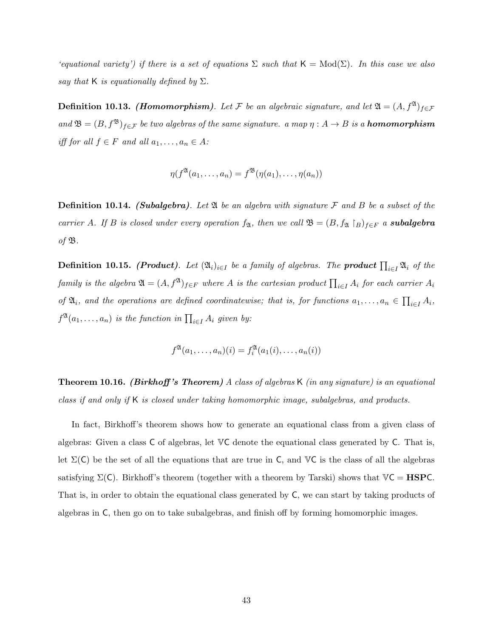'equational variety') if there is a set of equations  $\Sigma$  such that  $\mathsf{K} = \text{Mod}(\Sigma)$ . In this case we also say that K is equationally defined by  $\Sigma$ .

**Definition 10.13.** (Homomorphism). Let F be an algebraic signature, and let  $\mathfrak{A} = (A, f^{\mathfrak{A}})_{f \in \mathcal{F}}$ and  $\mathfrak{B} = (B, f^{\mathfrak{B}})_{f \in \mathcal{F}}$  be two algebras of the same signature. a map  $\eta : A \to B$  is a **homomorphism** iff for all  $f \in F$  and all  $a_1, \ldots, a_n \in A$ :

$$
\eta(f^{\mathfrak{A}}(a_1,\ldots,a_n)=f^{\mathfrak{B}}(\eta(a_1),\ldots,\eta(a_n))
$$

**Definition 10.14.** (Subalgebra). Let  $\mathfrak A$  be an algebra with signature  $\mathcal F$  and  $B$  be a subset of the carrier A. If B is closed under every operation  $f_{\mathfrak{A}}$ , then we call  $\mathfrak{B} = (B, f_{\mathfrak{A}} \restriction_B)_{f \in F}$  a **subalgebra** of  $\mathfrak{B}$ .

**Definition 10.15.** (Product). Let  $(\mathfrak{A}_i)_{i\in I}$  be a family of algebras. The product  $\prod_{i\in I} \mathfrak{A}_i$  of the family is the algebra  $\mathfrak{A}=(A,f^\mathfrak{A})_{f\in F}$  where  $A$  is the cartesian product  $\prod_{i\in I}A_i$  for each carrier  $A_i$ of  $\mathfrak{A}_i$ , and the operations are defined coordinatewise; that is, for functions  $a_1, \ldots, a_n \in \prod_{i \in I} A_i$ ,  $f^{\mathfrak{A}}(a_1,\ldots,a_n)$  is the function in  $\prod_{i\in I}A_i$  given by:

$$
f^{\mathfrak{A}}(a_1,\ldots,a_n)(i) = f^{\mathfrak{A}}_i(a_1(i),\ldots,a_n(i))
$$

**Theorem 10.16.** (Birkhoff's Theorem) A class of algebras K (in any signature) is an equational class if and only if K is closed under taking homomorphic image, subalgebras, and products.

In fact, Birkhoff's theorem shows how to generate an equational class from a given class of algebras: Given a class C of algebras, let VC denote the equational class generated by C. That is, let  $\Sigma(C)$  be the set of all the equations that are true in C, and VC is the class of all the algebras satisfying  $\Sigma(\mathsf{C})$ . Birkhoff's theorem (together with a theorem by Tarski) shows that  $\mathbb{V}\mathsf{C} = \mathbf{HSPC}$ . That is, in order to obtain the equational class generated by C, we can start by taking products of algebras in C, then go on to take subalgebras, and finish off by forming homomorphic images.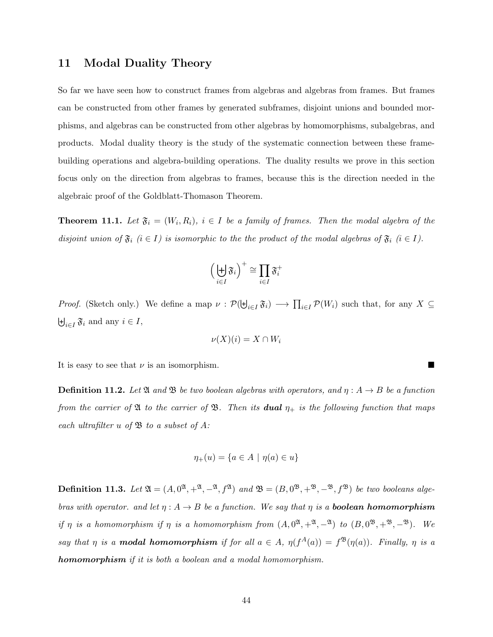## 11 Modal Duality Theory

So far we have seen how to construct frames from algebras and algebras from frames. But frames can be constructed from other frames by generated subframes, disjoint unions and bounded morphisms, and algebras can be constructed from other algebras by homomorphisms, subalgebras, and products. Modal duality theory is the study of the systematic connection between these framebuilding operations and algebra-building operations. The duality results we prove in this section focus only on the direction from algebras to frames, because this is the direction needed in the algebraic proof of the Goldblatt-Thomason Theorem.

<span id="page-43-0"></span>**Theorem 11.1.** Let  $\mathfrak{F}_i = (W_i, R_i)$ ,  $i \in I$  be a family of frames. Then the modal algebra of the disjoint union of  $\mathfrak{F}_i$   $(i \in I)$  is isomorphic to the the product of the modal algebras of  $\mathfrak{F}_i$   $(i \in I)$ .

$$
\left(\biguplus_{i\in I} \mathfrak{F}_i\right)^+\cong \prod_{i\in I} \mathfrak{F}_i^+
$$

*Proof.* (Sketch only.) We define a map  $\nu : \mathcal{P}(\biguplus_{i\in I} \mathfrak{F}_i) \longrightarrow \prod_{i\in I} \mathcal{P}(W_i)$  such that, for any  $X \subseteq$  $\biguplus_{i\in I} \mathfrak{F}_i$  and any  $i \in I$ ,

$$
\nu(X)(i) = X \cap W_i
$$

It is easy to see that  $\nu$  is an isomorphism.

**Definition 11.2.** Let  $\mathfrak{A}$  and  $\mathfrak{B}$  be two boolean algebras with operators, and  $\eta : A \rightarrow B$  be a function from the carrier of  $\mathfrak A$  to the carrier of  $\mathfrak B$ . Then its **dual**  $\eta_+$  is the following function that maps each ultrafilter u of  $\mathfrak B$  to a subset of A:

$$
\eta_+(u) = \{ a \in A \mid \eta(a) \in u \}
$$

**Definition 11.3.** Let  $\mathfrak{A} = (A, 0^{\mathfrak{A}}, +^{\mathfrak{A}}, -^{\mathfrak{A}}, f^{\mathfrak{A}})$  and  $\mathfrak{B} = (B, 0^{\mathfrak{B}}, +^{\mathfrak{B}}, -^{\mathfrak{B}}, f^{\mathfrak{B}})$  be two booleans algebras with operator. and let  $\eta: A \to B$  be a function. We say that  $\eta$  is a **boolean homomorphism** if  $\eta$  is a homomorphism if  $\eta$  is a homomorphism from  $(A, 0^{\mathfrak{A}}, +^{\mathfrak{A}}, -^{\mathfrak{A}})$  to  $(B, 0^{\mathfrak{B}}, +^{\mathfrak{B}}, -^{\mathfrak{B}})$ . We say that  $\eta$  is a **modal homomorphism** if for all  $a \in A$ ,  $\eta(f^A(a)) = f^{\mathfrak{B}}(\eta(a))$ . Finally,  $\eta$  is a homomorphism if it is both a boolean and a modal homomorphism.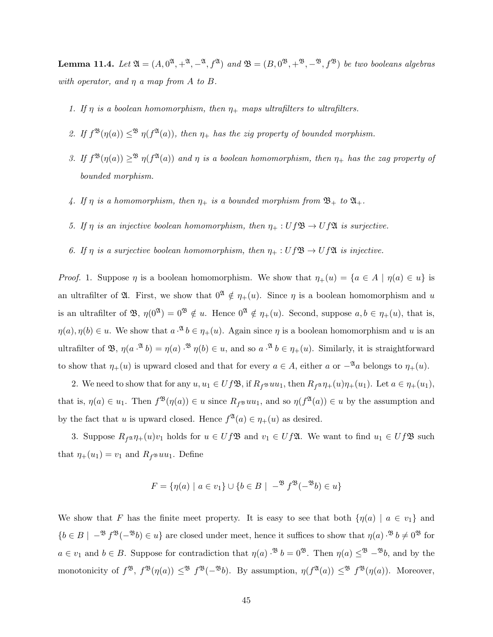<span id="page-44-0"></span>**Lemma 11.4.** Let  $\mathfrak{A} = (A, 0^{\mathfrak{A}}, +^{\mathfrak{A}}, -^{\mathfrak{A}}, f^{\mathfrak{A}})$  and  $\mathfrak{B} = (B, 0^{\mathfrak{B}}, +^{\mathfrak{B}}, -^{\mathfrak{B}}, f^{\mathfrak{B}})$  be two booleans algebras with operator, and  $\eta$  a map from A to B.

- 1. If  $\eta$  is a boolean homomorphism, then  $\eta_+$  maps ultrafilters to ultrafilters.
- 2. If  $f^{\mathfrak{B}}(\eta(a)) \leq^{\mathfrak{B}} \eta(f^{\mathfrak{A}}(a))$ , then  $\eta_+$  has the zig property of bounded morphism.
- 3. If  $f^{\mathfrak{B}}(\eta(a)) \geq^{\mathfrak{B}} \eta(f^{\mathfrak{A}}(a))$  and  $\eta$  is a boolean homomorphism, then  $\eta_+$  has the zag property of bounded morphism.
- 4. If  $\eta$  is a homomorphism, then  $\eta_+$  is a bounded morphism from  $\mathfrak{B}_+$  to  $\mathfrak{A}_+$ .
- 5. If  $\eta$  is an injective boolean homomorphism, then  $\eta_+ : Uf \mathfrak{B} \to Uf \mathfrak{A}$  is surjective.
- 6. If  $\eta$  is a surjective boolean homomorphism, then  $\eta_+ : Uf \mathfrak{B} \to Uf \mathfrak{A}$  is injective.

*Proof.* 1. Suppose  $\eta$  is a boolean homomorphism. We show that  $\eta_+(u) = \{a \in A \mid \eta(a) \in u\}$  is an ultrafilter of  $\mathfrak{A}$ . First, we show that  $0^{\mathfrak{A}} \notin \eta_{+}(u)$ . Since  $\eta$  is a boolean homomorphism and u is an ultrafilter of  $\mathfrak{B}, \eta(0^{\mathfrak{A}}) = 0^{\mathfrak{B}} \notin u$ . Hence  $0^{\mathfrak{A}} \notin \eta_+(u)$ . Second, suppose  $a, b \in \eta_+(u)$ , that is,  $\eta(a), \eta(b) \in u$ . We show that  $a \cdot^{\mathfrak{A}} b \in \eta_{+}(u)$ . Again since  $\eta$  is a boolean homomorphism and u is an ultrafilter of B,  $\eta(a^{i\mathfrak{A}}b) = \eta(a)^{i\mathfrak{B}}\eta(b) \in u$ , and so  $a^{i\mathfrak{A}}b \in \eta_+(u)$ . Similarly, it is straightforward to show that  $\eta_+(u)$  is upward closed and that for every  $a \in A$ , either a or  $-\alpha a$  belongs to  $\eta_+(u)$ .

2. We need to show that for any  $u, u_1 \in Uf\mathfrak{B}$ , if  $R_f \mathfrak{B}uu_1$ , then  $R_f \mathfrak{A} \eta_+(u)\eta_+(u_1)$ . Let  $a \in \eta_+(u_1)$ , that is,  $\eta(a) \in u_1$ . Then  $f^{\mathfrak{B}}(\eta(a)) \in u$  since  $R_f^{\mathfrak{B}}(uu_1)$ , and so  $\eta(f^{\mathfrak{A}}(a)) \in u$  by the assumption and by the fact that u is upward closed. Hence  $f^{\mathfrak{A}}(a) \in \eta_{+}(u)$  as desired.

3. Suppose  $R_f \circ \eta_+(u)v_1$  holds for  $u \in Uf\mathfrak{B}$  and  $v_1 \in Uf\mathfrak{B}$ . We want to find  $u_1 \in Uf\mathfrak{B}$  such that  $\eta_+(u_1) = v_1$  and  $R_f \mathfrak{B} u u_1$ . Define

$$
F = \{ \eta(a) \mid a \in v_1 \} \cup \{ b \in B \mid -^{B} f^{B}(-^{B} b) \in u \}
$$

We show that F has the finite meet property. It is easy to see that both  $\{\eta(a) \mid a \in v_1\}$  and  ${b \in B \mid -^{B} f^{B}(-^{B}b) \in u}$  are closed under meet, hence it suffices to show that  $\eta(a) \cdot^{B} b \neq 0^{B}$  for  $a \in v_1$  and  $b \in B$ . Suppose for contradiction that  $\eta(a) \cdot^{\mathfrak{B}} b = 0^{\mathfrak{B}}$ . Then  $\eta(a) \leq^{\mathfrak{B}} -^{\mathfrak{B}} b$ , and by the monotonicity of  $f^{\mathfrak{B}}, f^{\mathfrak{B}}(\eta(a)) \leq^{\mathfrak{B}} f^{\mathfrak{B}}(-^{\mathfrak{B}}b)$ . By assumption,  $\eta(f^{\mathfrak{A}}(a)) \leq^{\mathfrak{B}} f^{\mathfrak{B}}(\eta(a))$ . Moreover,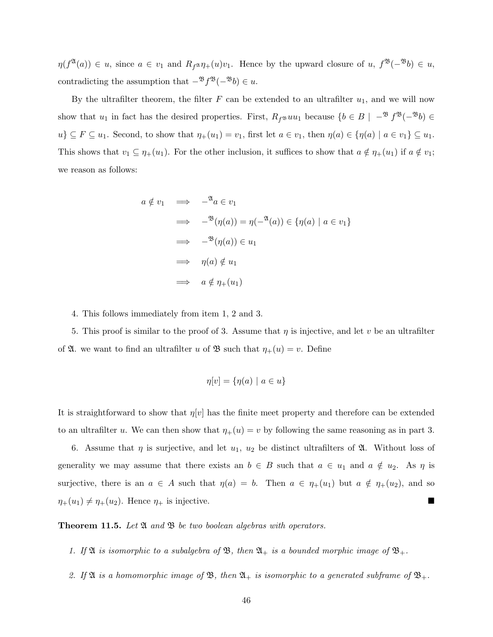$\eta(f^{\mathfrak{A}}(a)) \in u$ , since  $a \in v_1$  and  $R_{f^{\mathfrak{A}}}\eta_+(u)v_1$ . Hence by the upward closure of  $u, f^{\mathfrak{B}}(-^{\mathfrak{B}}b) \in u$ , contradicting the assumption that  $-\frac{\mathfrak{B}}{\mathfrak{f}^{\mathfrak{B}}}(-\frac{\mathfrak{B}}{\mathfrak{b}}) \in u$ .

By the ultrafilter theorem, the filter  $F$  can be extended to an ultrafilter  $u_1$ , and we will now show that  $u_1$  in fact has the desired properties. First,  $R_f \otimes uu_1$  because  $\{b \in B \mid -\mathcal{B} f^{\mathfrak{B}}(-\mathcal{B}b) \in$  $u\} \subseteq F \subseteq u_1$ . Second, to show that  $\eta_+(u_1) = v_1$ , first let  $a \in v_1$ , then  $\eta(a) \in {\eta(a) \mid a \in v_1} \subseteq u_1$ . This shows that  $v_1 \subseteq \eta_+(u_1)$ . For the other inclusion, it suffices to show that  $a \notin \eta_+(u_1)$  if  $a \notin v_1$ ; we reason as follows:

$$
a \notin v_1 \implies -^{\mathfrak{A}} a \in v_1
$$
  
\n
$$
\implies -^{\mathfrak{B}}(\eta(a)) = \eta(-^{\mathfrak{A}}(a)) \in \{\eta(a) \mid a \in v_1\}
$$
  
\n
$$
\implies -^{\mathfrak{B}}(\eta(a)) \in u_1
$$
  
\n
$$
\implies \eta(a) \notin u_1
$$
  
\n
$$
\implies a \notin \eta_+(u_1)
$$

4. This follows immediately from item 1, 2 and 3.

5. This proof is similar to the proof of 3. Assume that  $\eta$  is injective, and let v be an ultrafilter of  $\mathfrak{A}$ . we want to find an ultrafilter u of  $\mathfrak{B}$  such that  $\eta_+(u) = v$ . Define

$$
\eta[v] = \{\eta(a) \mid a \in u\}
$$

It is straightforward to show that  $\eta[v]$  has the finite meet property and therefore can be extended to an ultrafilter u. We can then show that  $\eta_+(u) = v$  by following the same reasoning as in part 3.

6. Assume that  $\eta$  is surjective, and let  $u_1, u_2$  be distinct ultrafilters of  $\mathfrak{A}$ . Without loss of generality we may assume that there exists an  $b \in B$  such that  $a \in u_1$  and  $a \notin u_2$ . As  $\eta$  is surjective, there is an  $a \in A$  such that  $\eta(a) = b$ . Then  $a \in \eta_+(u_1)$  but  $a \notin \eta_+(u_2)$ , and so  $\eta_+(u_1) \neq \eta_+(u_2)$ . Hence  $\eta_+$  is injective.

<span id="page-45-0"></span>**Theorem 11.5.** Let  $\mathfrak A$  and  $\mathfrak B$  be two boolean algebras with operators.

- 1. If  $\mathfrak A$  is isomorphic to a subalgebra of  $\mathfrak B$ , then  $\mathfrak A_+$  is a bounded morphic image of  $\mathfrak B_+$ .
- 2. If  $\mathfrak A$  is a homomorphic image of  $\mathfrak B$ , then  $\mathfrak A_+$  is isomorphic to a generated subframe of  $\mathfrak B_+$ .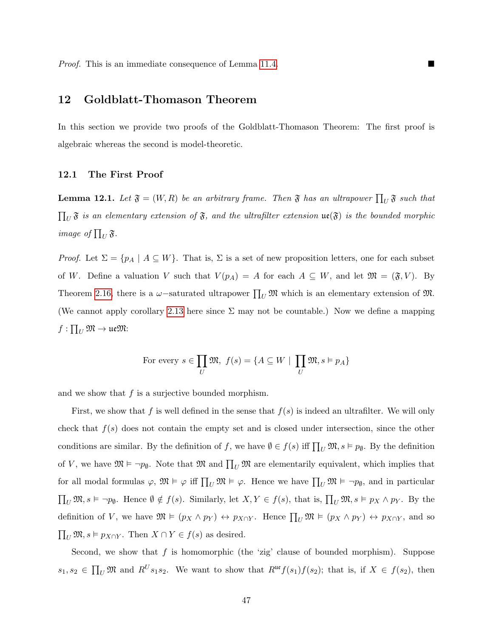## 12 Goldblatt-Thomason Theorem

In this section we provide two proofs of the Goldblatt-Thomason Theorem: The first proof is algebraic whereas the second is model-theoretic.

### 12.1 The First Proof

<span id="page-46-0"></span>**Lemma 12.1.** Let  $\mathfrak{F} = (W, R)$  be an arbitrary frame. Then  $\mathfrak{F}$  has an ultrapower  $\prod_U \mathfrak{F}$  such that  $\prod_U \mathfrak{F}$  is an elementary extension of  $\mathfrak{F}$ , and the ultrafilter extension  $\mathfrak{ue}(\mathfrak{F})$  is the bounded morphic image of  $\prod_U \mathfrak{F}$ .

Proof. Let  $\Sigma = \{p_A \mid A \subseteq W\}$ . That is,  $\Sigma$  is a set of new proposition letters, one for each subset of W. Define a valuation V such that  $V(p_A) = A$  for each  $A \subseteq W$ , and let  $\mathfrak{M} = (\mathfrak{F}, V)$ . By Theorem [2.16,](#page-10-0) there is a  $\omega$ -saturated ultrapower  $\prod_U \mathfrak{M}$  which is an elementary extension of  $\mathfrak{M}$ . (We cannot apply corollary [2.13](#page-8-0) here since  $\Sigma$  may not be countable.) Now we define a mapping  $f:\prod_U\mathfrak{M}\to \mathfrak{ue}\mathfrak{M}$ :

For every 
$$
s \in \prod_{U} \mathfrak{M}, f(s) = \{A \subseteq W \mid \prod_{U} \mathfrak{M}, s \models p_A\}
$$

and we show that  $f$  is a surjective bounded morphism.

First, we show that f is well defined in the sense that  $f(s)$  is indeed an ultrafilter. We will only check that  $f(s)$  does not contain the empty set and is closed under intersection, since the other conditions are similar. By the definition of f, we have  $\emptyset \in f(s)$  iff  $\prod_U \mathfrak{M}, s \models p_\emptyset$ . By the definition of V, we have  $\mathfrak{M} \models \neg p_{\emptyset}$ . Note that  $\mathfrak{M}$  and  $\prod_{U} \mathfrak{M}$  are elementarily equivalent, which implies that for all modal formulas  $\varphi$ ,  $\mathfrak{M} \models \varphi$  iff  $\prod_U \mathfrak{M} \models \varphi$ . Hence we have  $\prod_U \mathfrak{M} \models \neg p_{\emptyset}$ , and in particular  $\prod_U \mathfrak{M}, s \models \neg p_{\emptyset}$ . Hence  $\emptyset \notin f(s)$ . Similarly, let  $X, Y \in f(s)$ , that is,  $\prod_U \mathfrak{M}, s \models p_X \land p_Y$ . By the definition of V, we have  $\mathfrak{M} \models (p_X \land p_Y) \leftrightarrow p_{X \cap Y}$ . Hence  $\prod_U \mathfrak{M} \models (p_X \land p_Y) \leftrightarrow p_{X \cap Y}$ , and so  $\prod_U \mathfrak{M}, s \vDash p_{X \cap Y}$ . Then  $X \cap Y \in f(s)$  as desired.

Second, we show that  $f$  is homomorphic (the 'zig' clause of bounded morphism). Suppose  $s_1, s_2 \in \prod_U \mathfrak{M}$  and  $R^U s_1 s_2$ . We want to show that  $R^{\mathfrak{ue}} f(s_1) f(s_2)$ ; that is, if  $X \in f(s_2)$ , then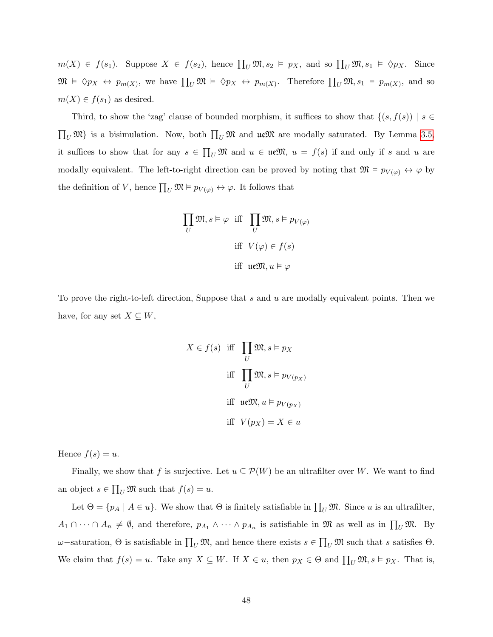$m(X) \in f(s_1)$ . Suppose  $X \in f(s_2)$ , hence  $\prod_U \mathfrak{M}, s_2 \models p_X$ , and so  $\prod_U \mathfrak{M}, s_1 \models \Diamond p_X$ . Since  $\mathfrak{M} \models \Diamond p_X \leftrightarrow p_{m(X)},$  we have  $\prod_U \mathfrak{M} \models \Diamond p_X \leftrightarrow p_{m(X)}$ . Therefore  $\prod_U \mathfrak{M}, s_1 \models p_{m(X)}$ , and so  $m(X) \in f(s_1)$  as desired.

Third, to show the 'zag' clause of bounded morphism, it suffices to show that  $\{(s, f(s)) \mid s \in$  $\prod_U \mathfrak{M}$  is a bisimulation. Now, both  $\prod_U \mathfrak{M}$  and  $\mathfrak{ue}\mathfrak{M}$  are modally saturated. By Lemma [3.5,](#page-12-0) it suffices to show that for any  $s \in \prod_U \mathfrak{M}$  and  $u \in \mathfrak{ueM}$ ,  $u = f(s)$  if and only if s and u are modally equivalent. The left-to-right direction can be proved by noting that  $\mathfrak{M} \models p_{V(\varphi)} \leftrightarrow \varphi$  by the definition of V, hence  $\prod_U \mathfrak{M} \models p_{V(\varphi)} \leftrightarrow \varphi$ . It follows that

$$
\prod_{U} \mathfrak{M}, s \vDash \varphi \text{ iff } \prod_{U} \mathfrak{M}, s \vDash p_{V(\varphi)}
$$
  
iff 
$$
V(\varphi) \in f(s)
$$
  
iff 
$$
\text{ue}\mathfrak{M}, u \vDash \varphi
$$

To prove the right-to-left direction, Suppose that  $s$  and  $u$  are modally equivalent points. Then we have, for any set  $X \subseteq W$ ,

$$
X \in f(s) \quad \text{iff} \quad \prod_{U} \mathfrak{M}, s \vDash p_X
$$
\n
$$
\text{iff} \quad \prod_{U} \mathfrak{M}, s \vDash p_{V(p_X)}
$$
\n
$$
\text{iff} \quad u \in \mathfrak{M}, u \vDash p_{V(p_X)}
$$
\n
$$
\text{iff} \quad V(p_X) = X \in u
$$

Hence  $f(s) = u$ .

Finally, we show that f is surjective. Let  $u \subseteq \mathcal{P}(W)$  be an ultrafilter over W. We want to find an object  $s \in \prod_U \mathfrak{M}$  such that  $f(s) = u$ .

Let  $\Theta = \{p_A \mid A \in u\}$ . We show that  $\Theta$  is finitely satisfiable in  $\prod_U \mathfrak{M}$ . Since u is an ultrafilter,  $A_1 \cap \cdots \cap A_n \neq \emptyset$ , and therefore,  $p_{A_1} \wedge \cdots \wedge p_{A_n}$  is satisfiable in  $\mathfrak{M}$  as well as in  $\prod_U \mathfrak{M}$ . By  $ω$ −saturation, Θ is satisfiable in  $\prod_U \mathfrak{M}$ , and hence there exists  $s \in \prod_U \mathfrak{M}$  such that s satisfies Θ. We claim that  $f(s) = u$ . Take any  $X \subseteq W$ . If  $X \in u$ , then  $p_X \in \Theta$  and  $\prod_U \mathfrak{M}, s \models p_X$ . That is,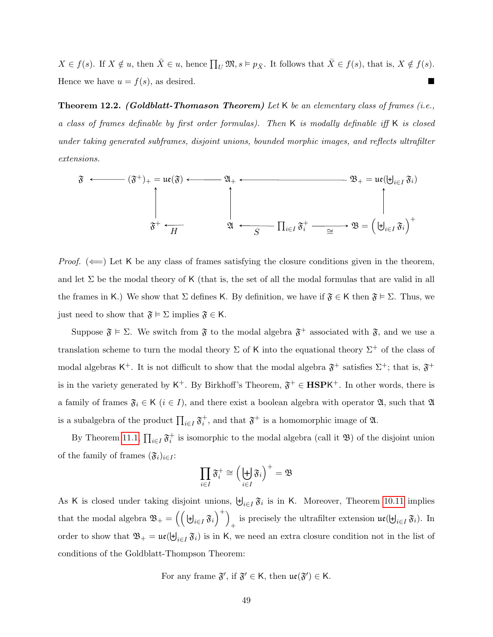$X \in f(s)$ . If  $X \notin u$ , then  $\bar{X} \in u$ , hence  $\prod_U \mathfrak{M}, s \vDash p_{\bar{X}}$ . It follows that  $\bar{X} \in f(s)$ , that is,  $X \notin f(s)$ . Hence we have  $u = f(s)$ , as desired.

**Theorem 12.2.** (Goldblatt-Thomason Theorem) Let K be an elementary class of frames (i.e., a class of frames definable by first order formulas). Then K is modally definable iff K is closed under taking generated subframes, disjoint unions, bounded morphic images, and reflects ultrafilter extensions.

$$
\widetilde{\mathfrak{F}} \longleftarrow (\widetilde{\mathfrak{F}}^+)_{+} = \mathfrak{ue}(\widetilde{\mathfrak{F}}) \longleftarrow \mathfrak{A}_{+} \longleftarrow \mathfrak{B}_{+} = \mathfrak{ue}(\biguplus_{i \in I} \widetilde{\mathfrak{F}}_{i})
$$
  

$$
\updownarrow \qquad \qquad \downarrow \qquad \qquad \mathfrak{B}_{+} = \mathfrak{ue}(\biguplus_{i \in I} \widetilde{\mathfrak{F}}_{i})
$$
  

$$
\updownarrow \qquad \qquad \downarrow \qquad \qquad \mathfrak{B}_{+} = \mathfrak{ue}(\biguplus_{i \in I} \widetilde{\mathfrak{F}}_{i})
$$

*Proof.* ( $\Longleftarrow$ ) Let K be any class of frames satisfying the closure conditions given in the theorem, and let  $\Sigma$  be the modal theory of K (that is, the set of all the modal formulas that are valid in all the frames in K.) We show that  $\Sigma$  defines K. By definition, we have if  $\mathfrak{F} \in \mathsf{K}$  then  $\mathfrak{F} \models \Sigma$ . Thus, we just need to show that  $\mathfrak{F} \models \Sigma$  implies  $\mathfrak{F} \in \mathsf{K}$ .

Suppose  $\mathfrak{F} \models \Sigma$ . We switch from  $\mathfrak{F}$  to the modal algebra  $\mathfrak{F}^+$  associated with  $\mathfrak{F}$ , and we use a translation scheme to turn the modal theory  $\Sigma$  of K into the equational theory  $\Sigma^+$  of the class of modal algebras K<sup>+</sup>. It is not difficult to show that the modal algebra  $\mathfrak{F}^+$  satisfies  $\Sigma^+$ ; that is,  $\mathfrak{F}^+$ is in the variety generated by  $K^+$ . By Birkhoff's Theorem,  $\mathfrak{F}^+ \in \textbf{HSPK}^+$ . In other words, there is a family of frames  $\mathfrak{F}_i \in \mathsf{K}$   $(i \in I)$ , and there exist a boolean algebra with operator  $\mathfrak{A}$ , such that  $\mathfrak{A}$ is a subalgebra of the product  $\prod_{i\in I} \mathfrak{F}_i^+$ , and that  $\mathfrak{F}^+$  is a homomorphic image of  $\mathfrak{A}$ .

By Theorem [11.1,](#page-43-0)  $\prod_{i\in I} \mathfrak{F}_i^+$  is isomorphic to the modal algebra (call it  $\mathfrak{B}$ ) of the disjoint union of the family of frames  $(\mathfrak{F}_i)_{i\in I}$ :

$$
\prod_{i\in I} \mathfrak{F}^+_i \cong \Big(\biguplus_{i\in I} \mathfrak{F}_i\Big)^+ = \mathfrak{B}
$$

As K is closed under taking disjoint unions,  $\biguplus_{i\in I} \mathfrak{F}_i$  is in K. Moreover, Theorem [10.11](#page-41-0) implies that the modal algebra  $\mathfrak{B}_{+} = \left( \left( \biguplus_{i \in I} \mathfrak{F}_i \right)^{+} \right)$ is precisely the ultrafilter extension  $\mathfrak{ue}(\biguplus_{i\in I} \mathfrak{F}_i)$ . In order to show that  $\mathfrak{B}_+ = \mathfrak{ue}(\biguplus_{i \in I} \mathfrak{F}_i)$  is in K, we need an extra closure condition not in the list of conditions of the Goldblatt-Thompson Theorem:

For any frame  $\mathfrak{F}',$  if  $\mathfrak{F}' \in \mathsf{K}$ , then  $\mathfrak{ue}(\mathfrak{F}') \in \mathsf{K}$ .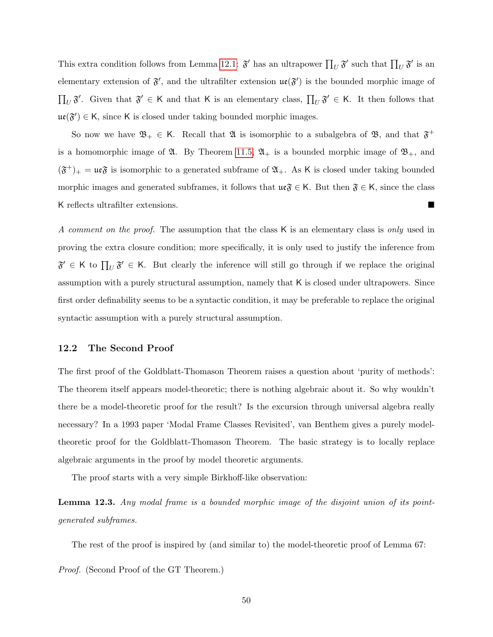This extra condition follows from Lemma [12.1:](#page-46-0)  $\mathfrak{F}'$  has an ultrapower  $\prod_U \mathfrak{F}'$  such that  $\prod_U \mathfrak{F}'$  is an elementary extension of  $\mathfrak{F}'$ , and the ultrafilter extension  $\mathfrak{ue}(\mathfrak{F}')$  is the bounded morphic image of  $\prod_U \mathfrak{F}'$ . Given that  $\mathfrak{F}' \in \mathsf{K}$  and that K is an elementary class,  $\prod_U \mathfrak{F}' \in \mathsf{K}$ . It then follows that  $\mathfrak{ue}(\mathfrak{F}') \in K$ , since K is closed under taking bounded morphic images.

So now we have  $\mathfrak{B}_+ \in \mathsf{K}$ . Recall that  $\mathfrak{A}$  is isomorphic to a subalgebra of  $\mathfrak{B}$ , and that  $\mathfrak{F}^+$ is a homomorphic image of  $\mathfrak{A}$ . By Theorem [11.5,](#page-45-0)  $\mathfrak{A}_+$  is a bounded morphic image of  $\mathfrak{B}_+$ , and  $(\mathfrak{F}^+)_+$  =  $\mathfrak{ue} \mathfrak{F}$  is isomorphic to a generated subframe of  $\mathfrak{A}_+$ . As K is closed under taking bounded morphic images and generated subframes, it follows that  $\mathfrak{ue}_\mathfrak{F} \in \mathsf{K}$ . But then  $\mathfrak{F} \in \mathsf{K}$ , since the class K reflects ultrafilter extensions.

A comment on the proof. The assumption that the class K is an elementary class is only used in proving the extra closure condition; more specifically, it is only used to justify the inference from  $\mathfrak{F}' \in \mathsf{K}$  to  $\prod_U \mathfrak{F}' \in \mathsf{K}$ . But clearly the inference will still go through if we replace the original assumption with a purely structural assumption, namely that K is closed under ultrapowers. Since first order definability seems to be a syntactic condition, it may be preferable to replace the original syntactic assumption with a purely structural assumption.

#### 12.2 The Second Proof

The first proof of the Goldblatt-Thomason Theorem raises a question about 'purity of methods': The theorem itself appears model-theoretic; there is nothing algebraic about it. So why wouldn't there be a model-theoretic proof for the result? Is the excursion through universal algebra really necessary? In a 1993 paper 'Modal Frame Classes Revisited', van Benthem gives a purely modeltheoretic proof for the Goldblatt-Thomason Theorem. The basic strategy is to locally replace algebraic arguments in the proof by model theoretic arguments.

The proof starts with a very simple Birkhoff-like observation:

Lemma 12.3. Any modal frame is a bounded morphic image of the disjoint union of its pointgenerated subframes.

The rest of the proof is inspired by (and similar to) the model-theoretic proof of Lemma 67:

Proof. (Second Proof of the GT Theorem.)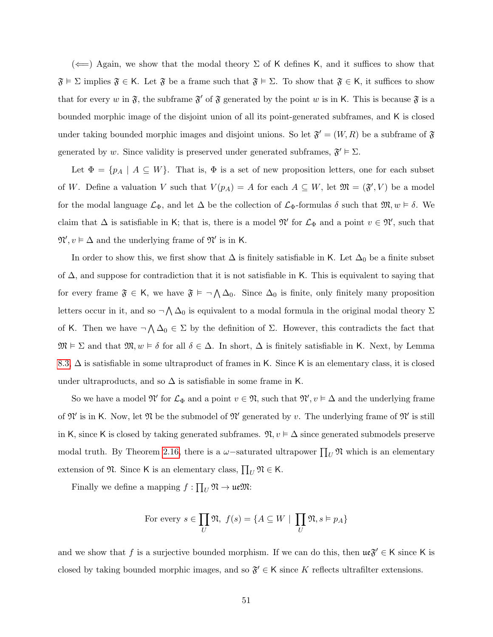$(\Leftarrow)$  Again, we show that the modal theory  $\Sigma$  of K defines K, and it suffices to show that  $\mathfrak{F} \models \Sigma$  implies  $\mathfrak{F} \in \mathsf{K}$ . Let  $\mathfrak{F}$  be a frame such that  $\mathfrak{F} \models \Sigma$ . To show that  $\mathfrak{F} \in \mathsf{K}$ , it suffices to show that for every w in  $\mathfrak{F}$ , the subframe  $\mathfrak{F}'$  of  $\mathfrak{F}$  generated by the point w is in K. This is because  $\mathfrak{F}$  is a bounded morphic image of the disjoint union of all its point-generated subframes, and K is closed under taking bounded morphic images and disjoint unions. So let  $\mathfrak{F}' = (W, R)$  be a subframe of  $\mathfrak{F}$ generated by w. Since validity is preserved under generated subframes,  $\mathfrak{F}' \models \Sigma$ .

Let  $\Phi = \{p_A \mid A \subseteq W\}$ . That is,  $\Phi$  is a set of new proposition letters, one for each subset of W. Define a valuation V such that  $V(p_A) = A$  for each  $A \subseteq W$ , let  $\mathfrak{M} = (\mathfrak{F}', V)$  be a model for the modal language  $\mathcal{L}_{\Phi}$ , and let  $\Delta$  be the collection of  $\mathcal{L}_{\Phi}$ -formulas  $\delta$  such that  $\mathfrak{M}, w \models \delta$ . We claim that  $\Delta$  is satisfiable in K; that is, there is a model  $\mathfrak{N}'$  for  $\mathcal{L}_{\Phi}$  and a point  $v \in \mathfrak{N}'$ , such that  $\mathfrak{N}', v \models \Delta$  and the underlying frame of  $\mathfrak{N}'$  is in K.

In order to show this, we first show that  $\Delta$  is finitely satisfiable in K. Let  $\Delta_0$  be a finite subset of  $\Delta$ , and suppose for contradiction that it is not satisfiable in K. This is equivalent to saying that for every frame  $\mathfrak{F} \in \mathsf{K}$ , we have  $\mathfrak{F} \models \neg \bigwedge \Delta_0$ . Since  $\Delta_0$  is finite, only finitely many proposition letters occur in it, and so  $\neg \bigwedge \Delta_0$  is equivalent to a modal formula in the original modal theory  $\Sigma$ of K. Then we have  $\neg \bigwedge \Delta_0 \in \Sigma$  by the definition of  $\Sigma$ . However, this contradicts the fact that  $\mathfrak{M} \models \Sigma$  and that  $\mathfrak{M}, w \models \delta$  for all  $\delta \in \Delta$ . In short,  $\Delta$  is finitely satisfiable in K. Next, by Lemma [8.3,](#page-28-0)  $\Delta$  is satisfiable in some ultraproduct of frames in K. Since K is an elementary class, it is closed under ultraproducts, and so  $\Delta$  is satisfiable in some frame in K.

So we have a model  $\mathfrak{N}'$  for  $\mathcal{L}_{\Phi}$  and a point  $v \in \mathfrak{N}$ , such that  $\mathfrak{N}', v \models \Delta$  and the underlying frame of  $\mathfrak{N}'$  is in K. Now, let  $\mathfrak{N}$  be the submodel of  $\mathfrak{N}'$  generated by v. The underlying frame of  $\mathfrak{N}'$  is still in K, since K is closed by taking generated subframes.  $\mathfrak{N}, v \models \Delta$  since generated submodels preserve modal truth. By Theorem [2.16,](#page-10-0) there is a  $\omega$ -saturated ultrapower  $\prod_U \mathfrak{N}$  which is an elementary extension of  $\mathfrak{N}$ . Since K is an elementary class,  $\prod_U \mathfrak{N} \in \mathsf{K}$ .

Finally we define a mapping  $f: \prod_U \mathfrak{N} \to \mathfrak{ue}\mathfrak{M}$ :

For every 
$$
s \in \prod_U \mathfrak{N}, f(s) = \{A \subseteq W \mid \prod_U \mathfrak{N}, s \models p_A\}
$$

and we show that f is a surjective bounded morphism. If we can do this, then  $\mathfrak{ue} \mathfrak{F}' \in K$  since K is closed by taking bounded morphic images, and so  $\mathfrak{F}' \in \mathsf{K}$  since K reflects ultrafilter extensions.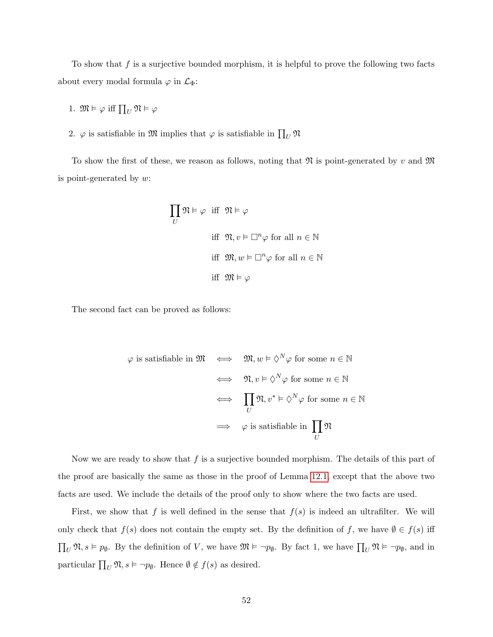To show that  $f$  is a surjective bounded morphism, it is helpful to prove the following two facts about every modal formula  $\varphi$  in  $\mathcal{L}_{\Phi}$ :

- 1.  $\mathfrak{M} \models \varphi$  iff  $\prod_U \mathfrak{N} \models \varphi$
- 2.  $\varphi$  is satisfiable in  $\mathfrak{M}$  implies that  $\varphi$  is satisfiable in  $\prod_U \mathfrak{N}$

To show the first of these, we reason as follows, noting that  $\mathfrak{N}$  is point-generated by v and  $\mathfrak{M}$ is point-generated by  $w$ :

$$
\prod_{U} \mathfrak{N} \models \varphi \quad \text{iff} \quad \mathfrak{N} \models \varphi
$$
\n
$$
\text{iff} \quad \mathfrak{N}, v \models \Box^{n} \varphi \text{ for all } n \in \mathbb{N}
$$
\n
$$
\text{iff} \quad \mathfrak{M}, w \models \Box^{n} \varphi \text{ for all } n \in \mathbb{N}
$$
\n
$$
\text{iff} \quad \mathfrak{M} \models \varphi
$$

The second fact can be proved as follows:

$$
\varphi \text{ is satisfiable in } \mathfrak{M} \iff \mathfrak{M}, w \models \Diamond^N \varphi \text{ for some } n \in \mathbb{N}
$$
  

$$
\iff \mathfrak{N}, v \models \Diamond^N \varphi \text{ for some } n \in \mathbb{N}
$$
  

$$
\iff \prod_U \mathfrak{N}, v^* \models \Diamond^N \varphi \text{ for some } n \in \mathbb{N}
$$
  

$$
\implies \varphi \text{ is satisfiable in } \prod_U \mathfrak{N}
$$

Now we are ready to show that  $f$  is a surjective bounded morphism. The details of this part of the proof are basically the same as those in the proof of Lemma [12.1,](#page-46-0) except that the above two facts are used. We include the details of the proof only to show where the two facts are used.

First, we show that f is well defined in the sense that  $f(s)$  is indeed an ultrafilter. We will only check that  $f(s)$  does not contain the empty set. By the definition of f, we have  $\emptyset \in f(s)$  iff  $\prod_U \mathfrak{N}, s \models p_\emptyset$ . By the definition of V, we have  $\mathfrak{M} \models \neg p_\emptyset$ . By fact 1, we have  $\prod_U \mathfrak{N} \models \neg p_\emptyset$ , and in particular  $\prod_U \mathfrak{N}, s \models \neg p_\emptyset$ . Hence  $\emptyset \notin f(s)$  as desired.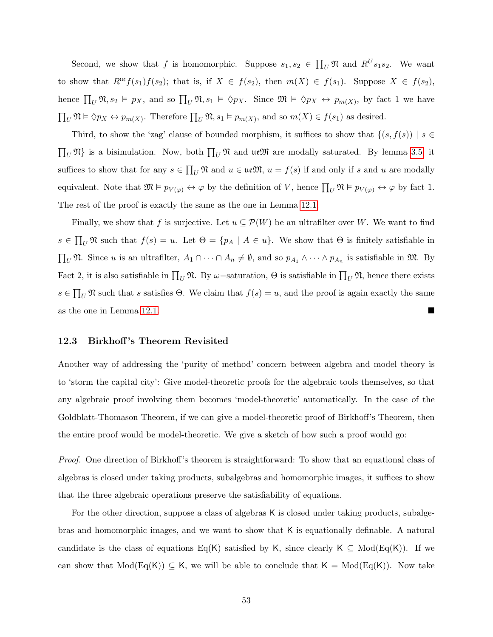Second, we show that f is homomorphic. Suppose  $s_1, s_2 \in \prod_U \mathfrak{N}$  and  $R^U s_1 s_2$ . We want to show that  $R^{\mathfrak{u}\mathfrak{e}}f(s_1)f(s_2)$ ; that is, if  $X \in f(s_2)$ , then  $m(X) \in f(s_1)$ . Suppose  $X \in f(s_2)$ , hence  $\prod_U \mathfrak{N}, s_2 \models p_X$ , and so  $\prod_U \mathfrak{N}, s_1 \models \Diamond p_X$ . Since  $\mathfrak{M} \models \Diamond p_X \leftrightarrow p_{m(X)}$ , by fact 1 we have  $\prod_U \mathfrak{N} \models \Diamond p_X \leftrightarrow p_{m(X)}$ . Therefore  $\prod_U \mathfrak{N}, s_1 \models p_{m(X)}$ , and so  $m(X) \in f(s_1)$  as desired.

Third, to show the 'zag' clause of bounded morphism, it suffices to show that  $\{(s, f(s)) \mid s \in$  $\prod_U \mathfrak{N}$  is a bisimulation. Now, both  $\prod_U \mathfrak{N}$  and  $\mathfrak{ue}\mathfrak{M}$  are modally saturated. By lemma [3.5,](#page-12-0) it suffices to show that for any  $s \in \prod_U \mathfrak{N}$  and  $u \in \mathfrak{ue}\mathfrak{M}$ ,  $u = f(s)$  if and only if s and u are modally equivalent. Note that  $\mathfrak{M} \models p_{V(\varphi)} \leftrightarrow \varphi$  by the definition of V, hence  $\prod_{U} \mathfrak{N} \models p_{V(\varphi)} \leftrightarrow \varphi$  by fact 1. The rest of the proof is exactly the same as the one in Lemma [12.1.](#page-46-0)

Finally, we show that f is surjective. Let  $u \subseteq \mathcal{P}(W)$  be an ultrafilter over W. We want to find  $s \in \prod_U \mathfrak{N}$  such that  $f(s) = u$ . Let  $\Theta = \{p_A \mid A \in u\}$ . We show that  $\Theta$  is finitely satisfiable in  $\prod_U \mathfrak{N}$ . Since u is an ultrafilter,  $A_1 \cap \cdots \cap A_n \neq \emptyset$ , and so  $p_{A_1} \wedge \cdots \wedge p_{A_n}$  is satisfiable in  $\mathfrak{M}$ . By Fact 2, it is also satisfiable in  $\prod_U \mathfrak{N}$ . By  $\omega$ -saturation,  $\Theta$  is satisfiable in  $\prod_U \mathfrak{N}$ , hence there exists  $s \in \prod_U \mathfrak{N}$  such that s satisfies  $\Theta$ . We claim that  $f(s) = u$ , and the proof is again exactly the same as the one in Lemma [12.1.](#page-46-0)

#### 12.3 Birkhoff 's Theorem Revisited

Another way of addressing the 'purity of method' concern between algebra and model theory is to 'storm the capital city': Give model-theoretic proofs for the algebraic tools themselves, so that any algebraic proof involving them becomes 'model-theoretic' automatically. In the case of the Goldblatt-Thomason Theorem, if we can give a model-theoretic proof of Birkhoff's Theorem, then the entire proof would be model-theoretic. We give a sketch of how such a proof would go:

Proof. One direction of Birkhoff's theorem is straightforward: To show that an equational class of algebras is closed under taking products, subalgebras and homomorphic images, it suffices to show that the three algebraic operations preserve the satisfiability of equations.

For the other direction, suppose a class of algebras K is closed under taking products, subalgebras and homomorphic images, and we want to show that K is equationally definable. A natural candidate is the class of equations Eq(K) satisfied by K, since clearly K  $\subseteq \text{Mod}(Eq(K))$ . If we can show that  $Mod(Eq(K)) \subseteq K$ , we will be able to conclude that  $K = Mod(Eq(K))$ . Now take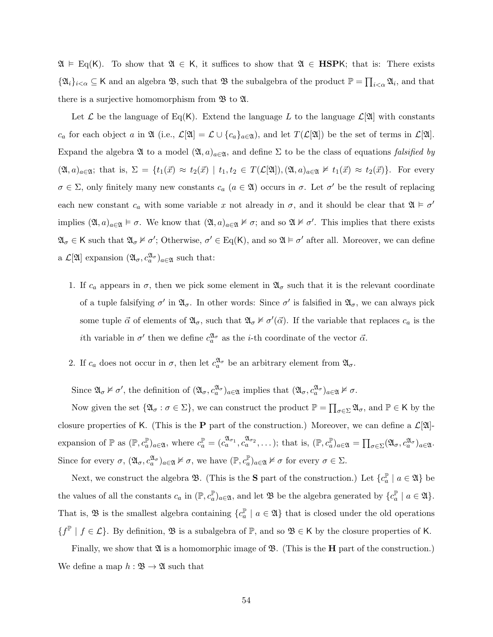$\mathfrak{A} \vDash \mathrm{Eq}(K)$ . To show that  $\mathfrak{A} \in K$ , it suffices to show that  $\mathfrak{A} \in \mathbf{HSPK}$ ; that is: There exists  $\{\mathfrak{A}_i\}_{i\leq \alpha} \subseteq \mathsf{K}$  and an algebra  $\mathfrak{B}$ , such that  $\mathfrak{B}$  the subalgebra of the product  $\mathbb{P} = \prod_{i\leq \alpha} \mathfrak{A}_i$ , and that there is a surjective homomorphism from  $\mathfrak{B}$  to  $\mathfrak{A}$ .

Let  $\mathcal L$  be the language of Eq(K). Extend the language L to the language  $\mathcal L[\mathfrak{A}]$  with constants  $c_a$  for each object a in  $\mathfrak{A}$  (i.e.,  $\mathcal{L}[\mathfrak{A}] = \mathcal{L} \cup \{c_a\}_{a \in \mathfrak{A}}$ ), and let  $T(\mathcal{L}[\mathfrak{A}])$  be the set of terms in  $\mathcal{L}[\mathfrak{A}]$ . Expand the algebra  $\mathfrak A$  to a model  $(\mathfrak A, a)_{a \in \mathfrak A}$ , and define  $\Sigma$  to be the class of equations *falsified by*  $(\mathfrak{A}, a)_{a \in \mathfrak{A}}$ ; that is,  $\Sigma = \{t_1(\vec{x}) \approx t_2(\vec{x}) \mid t_1, t_2 \in T(\mathcal{L}[\mathfrak{A}]), (\mathfrak{A}, a)_{a \in \mathfrak{A}} \not\models t_1(\vec{x}) \approx t_2(\vec{x})\}.$  For every  $\sigma \in \Sigma$ , only finitely many new constants  $c_a$   $(a \in \mathfrak{A})$  occurs in  $\sigma$ . Let  $\sigma'$  be the result of replacing each new constant  $c_a$  with some variable x not already in  $\sigma$ , and it should be clear that  $\mathfrak{A} \models \sigma'$ implies  $(\mathfrak{A}, a)_{a \in \mathfrak{A}} \models \sigma$ . We know that  $(\mathfrak{A}, a)_{a \in \mathfrak{A}} \not\models \sigma$ ; and so  $\mathfrak{A} \not\models \sigma'$ . This implies that there exists  $\mathfrak{A}_{\sigma} \in \mathsf{K}$  such that  $\mathfrak{A}_{\sigma} \nvDash \sigma'$ ; Otherwise,  $\sigma' \in \text{Eq}(\mathsf{K})$ , and so  $\mathfrak{A} \models \sigma'$  after all. Moreover, we can define a  $\mathcal{L}[\mathfrak{A}]$  expansion  $(\mathfrak{A}_{\sigma}, c_a^{\mathfrak{A}_{\sigma}})_{a \in \mathfrak{A}}$  such that:

- 1. If  $c_a$  appears in  $\sigma$ , then we pick some element in  $\mathfrak{A}_{\sigma}$  such that it is the relevant coordinate of a tuple falsifying  $\sigma'$  in  $\mathfrak{A}_{\sigma}$ . In other words: Since  $\sigma'$  is falsified in  $\mathfrak{A}_{\sigma}$ , we can always pick some tuple  $\vec{\alpha}$  of elements of  $\mathfrak{A}_{\sigma}$ , such that  $\mathfrak{A}_{\sigma} \nvdash \sigma'(\vec{\alpha})$ . If the variable that replaces  $c_a$  is the *i*th variable in  $\sigma'$  then we define  $c_a^{\mathfrak{A}_{\sigma}}$  as the *i*-th coordinate of the vector  $\vec{\alpha}$ .
- 2. If  $c_a$  does not occur in  $\sigma$ , then let  $c_a^{x_\sigma}$  be an arbitrary element from  $\mathfrak{A}_{\sigma}$ .

Since  $\mathfrak{A}_{\sigma} \nvDash \sigma'$ , the definition of  $(\mathfrak{A}_{\sigma}, c_a^{\mathfrak{A}_{\sigma}})_{a \in \mathfrak{A}}$  implies that  $(\mathfrak{A}_{\sigma}, c_a^{\mathfrak{A}_{\sigma}})_{a \in \mathfrak{A}} \nvDash \sigma$ .

Now given the set  $\{\mathfrak{A}_{\sigma} : \sigma \in \Sigma\}$ , we can construct the product  $\mathbb{P} = \prod_{\sigma \in \Sigma} \mathfrak{A}_{\sigma}$ , and  $\mathbb{P} \in \mathsf{K}$  by the closure properties of K. (This is the **P** part of the construction.) Moreover, we can define a  $\mathcal{L}[\mathfrak{A}]$ expansion of  $\mathbb{P}$  as  $(\mathbb{P}, c_a^{\mathbb{P}})_{a \in \mathfrak{A}}$ , where  $c_a^{\mathbb{P}} = (c_a^{\mathfrak{A}_{\sigma_1}}, c_a^{\mathfrak{A}_{\sigma_2}}, \dots)$ ; that is,  $(\mathbb{P}, c_a^{\mathbb{P}})_{a \in \mathfrak{A}} = \prod_{\sigma \in \Sigma} (\mathfrak{A}_{\sigma}, c_a^{\mathfrak{A}_{\sigma}})_{a \in \mathfrak{A}}$ . Since for every  $\sigma$ ,  $(\mathfrak{A}_{\sigma}, c_a^{\mathfrak{A}_{\sigma}})_{a \in \mathfrak{A}} \nvdash \sigma$ , we have  $(\mathbb{P}, c_a^{\mathbb{P}})_{a \in \mathfrak{A}} \nvdash \sigma$  for every  $\sigma \in \Sigma$ .

Next, we construct the algebra  $\mathfrak{B}$ . (This is the **S** part of the construction.) Let  $\{c_a^{\mathbb{P}}\}$  $a^{\mathbb{P}}$  |  $a \in \mathfrak{A}$  } be the values of all the constants  $c_a$  in  $(\mathbb{P}, c_a^{\mathbb{P}})_{a \in \mathfrak{A}}$ , and let  $\mathfrak{B}$  be the algebra generated by  $\{c_a^{\mathbb{P}}$  $a^{\mathbb{P}}$  |  $a \in \mathfrak{A}$  }. That is,  $\mathfrak{B}$  is the smallest algebra containing  $\{c_a^{\mathbb{P}}\}$  $\binom{\mathbb{P}}{a}$  |  $a \in \mathfrak{A}$  that is closed under the old operations  $\{f^{\mathbb{P}} \mid f \in \mathcal{L}\}\.$  By definition,  $\mathfrak{B}$  is a subalgebra of  $\mathbb{P}$ , and so  $\mathfrak{B} \in \mathsf{K}$  by the closure properties of K.

Finally, we show that  $\mathfrak A$  is a homomorphic image of  $\mathfrak B$ . (This is the **H** part of the construction.) We define a map  $h : \mathfrak{B} \to \mathfrak{A}$  such that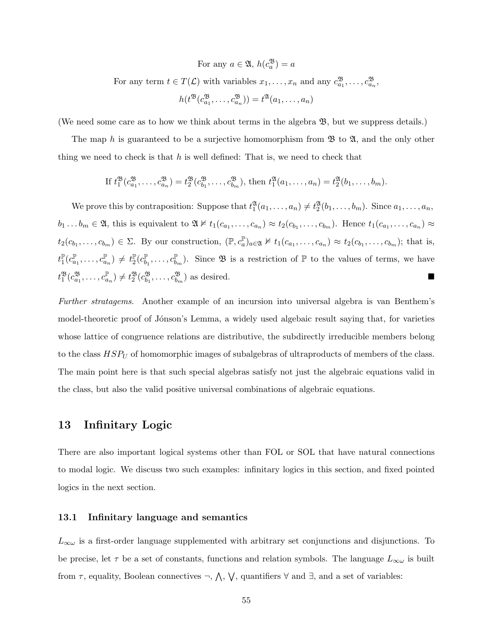For any  $a \in \mathfrak{A}, h(c_a^{\mathfrak{B}}) = a$ 

For any term  $t \in T(\mathcal{L})$  with variables  $x_1, \ldots, x_n$  and any  $c_{a_1}^{\mathfrak{B}}, \ldots, c_{a_n}^{\mathfrak{B}},$ 

$$
h(t^{\mathfrak{B}}(c_{a_1}^{\mathfrak{B}}, \ldots, c_{a_n}^{\mathfrak{B}})) = t^{\mathfrak{A}}(a_1, \ldots, a_n)
$$

(We need some care as to how we think about terms in the algebra B, but we suppress details.)

The map h is guaranteed to be a surjective homomorphism from  $\mathfrak{B}$  to  $\mathfrak{A}$ , and the only other thing we need to check is that  $h$  is well defined: That is, we need to check that

If 
$$
t_1^{\mathfrak{B}}(c_{a_1}^{\mathfrak{B}}, \ldots, c_{a_n}^{\mathfrak{B}}) = t_2^{\mathfrak{B}}(c_{b_1}^{\mathfrak{B}}, \ldots, c_{b_m}^{\mathfrak{B}}),
$$
 then  $t_1^{\mathfrak{A}}(a_1, \ldots, a_n) = t_2^{\mathfrak{A}}(b_1, \ldots, b_m).$ 

We prove this by contraposition: Suppose that  $t_1^{\mathfrak{A}}(a_1,\ldots,a_n) \neq t_2^{\mathfrak{A}}(b_1,\ldots,b_m)$ . Since  $a_1,\ldots,a_n$ ,  $b_1 \ldots b_m \in \mathfrak{A}$ , this is equivalent to  $\mathfrak{A} \nvDash t_1(c_{a_1}, \ldots, c_{a_n}) \approx t_2(c_{b_1}, \ldots, c_{b_m})$ . Hence  $t_1(c_{a_1}, \ldots, c_{a_n}) \approx$  $t_2(c_{b_1},\ldots,c_{b_m}) \in \Sigma$ . By our construction,  $(\mathbb{P},c_a^{\mathbb{P}})_{a\in\mathfrak{A}} \not\models t_1(c_{a_1},\ldots,c_{a_n}) \approx t_2(c_{b_1},\ldots,c_{b_m});$  that is,  $t_1^{\mathbb{P}}$  $_{1}^{\mathbb{P}}(c_{a}^{\mathbb{P}}% )=\sum_{i=1}^{n}c_{i}^{x_{i}}(\alpha_{i}^{x_{i}})$  $\mathbb{P}_{a_1},\ldots,\mathbb{c}_{a_n}^{\mathbb{P}}\mathbb{P}\neq t_2^{\mathbb{P}}$  $_{2}^{\mathbb{P}}(c_{b}^{\mathbb{P}}% ,\infty)$  $\mathbb{P}_b_1, \ldots, c_{b_m}^{\mathbb{P}}$ . Since  $\mathfrak{B}$  is a restriction of  $\mathbb{P}$  to the values of terms, we have  $t_1^{\mathfrak{B}}(c_{a_1}^{\mathfrak{B}}, \ldots, c_{a_n}^{\mathbb{P}}) \neq t_2^{\mathfrak{B}}(c_{b_1}^{\mathfrak{B}}, \ldots, c_{b_m}^{\mathfrak{B}})$  as desired.

Further stratagems. Another example of an incursion into universal algebra is van Benthem's model-theoretic proof of Jónson's Lemma, a widely used algebaic result saying that, for varieties whose lattice of congruence relations are distributive, the subdirectly irreducible members belong to the class  $HSP_U$  of homomorphic images of subalgebras of ultraproducts of members of the class. The main point here is that such special algebras satisfy not just the algebraic equations valid in the class, but also the valid positive universal combinations of algebraic equations.

### 13 Infinitary Logic

There are also important logical systems other than FOL or SOL that have natural connections to modal logic. We discuss two such examples: infinitary logics in this section, and fixed pointed logics in the next section.

### 13.1 Infinitary language and semantics

 $L_{\infty\omega}$  is a first-order language supplemented with arbitrary set conjunctions and disjunctions. To be precise, let  $\tau$  be a set of constants, functions and relation symbols. The language  $L_{\infty \omega}$  is built from  $\tau$ , equality, Boolean connectives  $\neg$ ,  $\wedge$ ,  $\vee$ , quantifiers  $\forall$  and  $\exists$ , and a set of variables: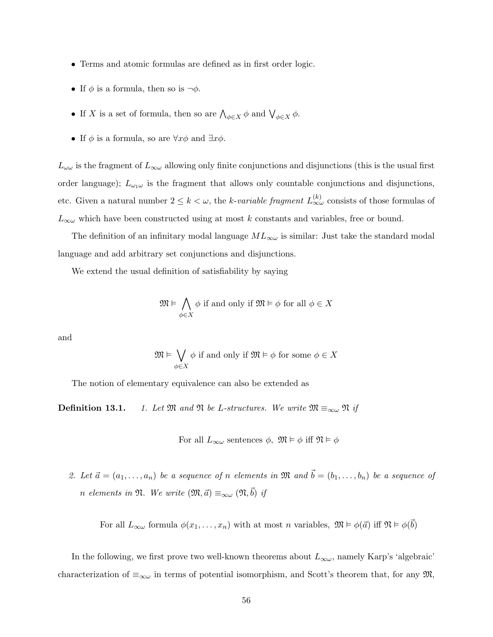- Terms and atomic formulas are defined as in first order logic.
- If  $\phi$  is a formula, then so is  $\neg \phi$ .
- If X is a set of formula, then so are  $\bigwedge_{\phi \in X} \phi$  and  $\bigvee_{\phi \in X} \phi$ .
- If  $\phi$  is a formula, so are  $\forall x \phi$  and  $\exists x \phi$ .

 $L_{\omega\omega}$  is the fragment of  $L_{\infty\omega}$  allowing only finite conjunctions and disjunctions (this is the usual first order language);  $L_{\omega_1\omega}$  is the fragment that allows only countable conjunctions and disjunctions, etc. Given a natural number  $2 \leq k < \omega$ , the k-variable fragment  $L_{\infty\omega}^{(k)}$  consists of those formulas of  $L_{\infty\omega}$  which have been constructed using at most k constants and variables, free or bound.

The definition of an infinitary modal language  $ML_{\infty}$  is similar: Just take the standard modal language and add arbitrary set conjunctions and disjunctions.

We extend the usual definition of satisfiability by saying

$$
\mathfrak{M} \vDash \bigwedge_{\phi \in X} \phi \text{ if and only if } \mathfrak{M} \vDash \phi \text{ for all } \phi \in X
$$

and

$$
\mathfrak{M} \vDash \bigvee_{\phi \in X} \phi \text{ if and only if } \mathfrak{M} \vDash \phi \text{ for some } \phi \in X
$$

The notion of elementary equivalence can also be extended as

**Definition 13.1.** 1. Let M and N be L-structures. We write  $\mathfrak{M} \equiv_{\infty \omega} \mathfrak{N}$  if

For all 
$$
L_{\infty\omega}
$$
 sentences  $\phi$ ,  $\mathfrak{M} \models \phi$  iff  $\mathfrak{N} \models \phi$ 

2. Let  $\vec{a} = (a_1, \ldots, a_n)$  be a sequence of n elements in  $\mathfrak{M}$  and  $\vec{b} = (b_1, \ldots, b_n)$  be a sequence of n elements in  $\mathfrak{N}$ . We write  $(\mathfrak{M}, \vec{a}) \equiv_{\infty \omega} (\mathfrak{N}, \vec{b})$  if

For all  $L_{\infty}\omega$  formula  $\phi(x_1,\ldots,x_n)$  with at most n variables,  $\mathfrak{M} \models \phi(\vec{a})$  iff  $\mathfrak{N} \models \phi(\vec{b})$ 

In the following, we first prove two well-known theorems about  $L_{\infty \omega}$ , namely Karp's 'algebraic' characterization of  $\equiv_{\infty\omega}$  in terms of potential isomorphism, and Scott's theorem that, for any  $\mathfrak{M}$ ,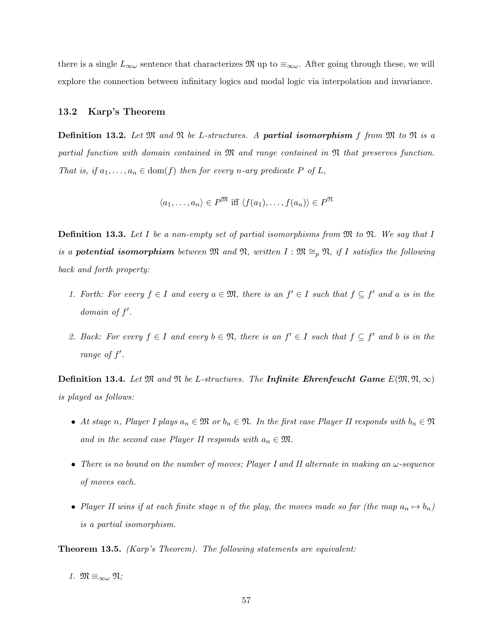there is a single  $L_{\infty}\omega$  sentence that characterizes  $\mathfrak{M}$  up to  $\equiv_{\infty}\omega$ . After going through these, we will explore the connection between infinitary logics and modal logic via interpolation and invariance.

### 13.2 Karp's Theorem

**Definition 13.2.** Let  $\mathfrak{M}$  and  $\mathfrak{N}$  be L-structures. A **partial isomorphism** f from  $\mathfrak{M}$  to  $\mathfrak{N}$  is a partial function with domain contained in M and range contained in N that preserves function. That is, if  $a_1, \ldots, a_n \in \text{dom}(f)$  then for every n-ary predicate P of L,

$$
\langle a_1, \dots, a_n \rangle \in P^{\mathfrak{M}} \text{ iff } \langle f(a_1), \dots, f(a_n) \rangle \in P^{\mathfrak{N}}
$$

**Definition 13.3.** Let  $I$  be a non-empty set of partial isomorphisms from  $\mathfrak{M}$  to  $\mathfrak{N}$ . We say that  $I$ is a **potential isomorphism** between  $\mathfrak{M}$  and  $\mathfrak{N}$ , written  $I : \mathfrak{M} \cong_p \mathfrak{N}$ , if I satisfies the following back and forth property:

- 1. Forth: For every  $f \in I$  and every  $a \in \mathfrak{M}$ , there is an  $f' \in I$  such that  $f \subseteq f'$  and a is in the domain of  $f'$ .
- 2. Back: For every  $f \in I$  and every  $b \in \mathfrak{N}$ , there is an  $f' \in I$  such that  $f \subseteq f'$  and b is in the range of  $f'$ .

**Definition 13.4.** Let  $\mathfrak{M}$  and  $\mathfrak{N}$  be L-structures. The **Infinite Ehrenfeucht Game**  $E(\mathfrak{M}, \mathfrak{N}, \infty)$ is played as follows:

- At stage n, Player I plays  $a_n \in \mathfrak{M}$  or  $b_n \in \mathfrak{N}$ . In the first case Player II responds with  $b_n \in \mathfrak{N}$ and in the second case Player II responds with  $a_n \in \mathfrak{M}$ .
- There is no bound on the number of moves; Player I and II alternate in making an  $\omega$ -sequence of moves each.
- Player II wins if at each finite stage n of the play, the moves made so far (the map  $a_n \mapsto b_n$ ) is a partial isomorphism.

Theorem 13.5. (Karp's Theorem). The following statements are equivalent:

1. 
$$
\mathfrak{M} \equiv_{\infty \omega} \mathfrak{N};
$$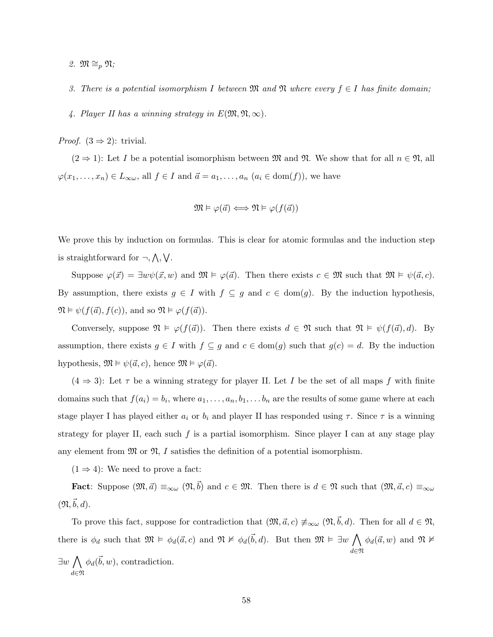- 2.  $\mathfrak{M} \cong_p \mathfrak{N};$
- 3. There is a potential isomorphism I between  $\mathfrak{M}$  and  $\mathfrak{N}$  where every  $f \in I$  has finite domain;
- 4. Player II has a winning strategy in  $E(\mathfrak{M}, \mathfrak{N}, \infty)$ .
- *Proof.*  $(3 \Rightarrow 2)$ : trivial.

 $(2 \Rightarrow 1)$ : Let I be a potential isomorphism between M and N. We show that for all  $n \in \mathfrak{N}$ , all  $\varphi(x_1, \ldots, x_n) \in L_{\infty \omega}$ , all  $f \in I$  and  $\vec{a} = a_1, \ldots, a_n$   $(a_i \in \text{dom}(f))$ , we have

$$
\mathfrak{M} \vDash \varphi(\vec{a}) \Longleftrightarrow \mathfrak{N} \vDash \varphi(f(\vec{a}))
$$

We prove this by induction on formulas. This is clear for atomic formulas and the induction step is straightforward for  $\neg, \wedge, \vee$ .

Suppose  $\varphi(\vec{x}) = \exists w \psi(\vec{x}, w)$  and  $\mathfrak{M} \models \varphi(\vec{a})$ . Then there exists  $c \in \mathfrak{M}$  such that  $\mathfrak{M} \models \psi(\vec{a}, c)$ . By assumption, there exists  $g \in I$  with  $f \subseteq g$  and  $c \in \text{dom}(g)$ . By the induction hypothesis,  $\mathfrak{N} \models \psi(f(\vec{a}), f(c))$ , and so  $\mathfrak{N} \models \varphi(f(\vec{a})).$ 

Conversely, suppose  $\mathfrak{N} \models \varphi(f(\vec{a}))$ . Then there exists  $d \in \mathfrak{N}$  such that  $\mathfrak{N} \models \psi(f(\vec{a}), d)$ . By assumption, there exists  $g \in I$  with  $f \subseteq g$  and  $c \in \text{dom}(g)$  such that  $g(c) = d$ . By the induction hypothesis,  $\mathfrak{M} \models \psi(\vec{a}, c)$ , hence  $\mathfrak{M} \models \varphi(\vec{a})$ .

 $(4 \Rightarrow 3)$ : Let  $\tau$  be a winning strategy for player II. Let I be the set of all maps f with finite domains such that  $f(a_i) = b_i$ , where  $a_1, \ldots, a_n, b_1, \ldots, b_n$  are the results of some game where at each stage player I has played either  $a_i$  or  $b_i$  and player II has responded using  $\tau$ . Since  $\tau$  is a winning strategy for player II, each such  $f$  is a partial isomorphism. Since player I can at any stage play any element from  $\mathfrak{M}$  or  $\mathfrak{N}, I$  satisfies the definition of a potential isomorphism.

 $(1 \Rightarrow 4)$ : We need to prove a fact:

Fact: Suppose  $(\mathfrak{M}, \vec{a}) \equiv_{\infty \omega} (\mathfrak{N}, \vec{b})$  and  $c \in \mathfrak{M}$ . Then there is  $d \in \mathfrak{N}$  such that  $(\mathfrak{M}, \vec{a}, c) \equiv_{\infty \omega}$  $(\mathfrak{N}, \vec{b}, d)$ .

To prove this fact, suppose for contradiction that  $(\mathfrak{M}, \vec{a}, c) \neq_{\infty} (\mathfrak{N}, \vec{b}, d)$ . Then for all  $d \in \mathfrak{N}$ , there is  $\phi_d$  such that  $\mathfrak{M} \models \phi_d(\vec{a}, c)$  and  $\mathfrak{N} \not\vDash \phi_d(\vec{b}, d)$ . But then  $\mathfrak{M} \models \exists w \bigwedge \phi_d(\vec{a}, w)$  and  $\mathfrak{N} \not\vDash \exists w$ d∈N  $\exists w \bigwedge \phi_d(\vec{b}, w)$ , contradiction.

d∈N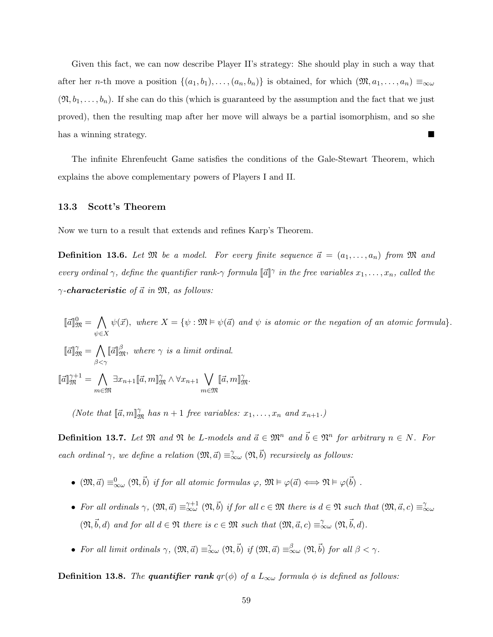Given this fact, we can now describe Player II's strategy: She should play in such a way that after her n-th move a position  $\{(a_1,b_1),\ldots,(a_n,b_n)\}\)$  is obtained, for which  $(\mathfrak{M},a_1,\ldots,a_n)\equiv_{\infty\omega}$  $(\mathfrak{N}, b_1, \ldots, b_n)$ . If she can do this (which is guaranteed by the assumption and the fact that we just proved), then the resulting map after her move will always be a partial isomorphism, and so she has a winning strategy.

The infinite Ehrenfeucht Game satisfies the conditions of the Gale-Stewart Theorem, which explains the above complementary powers of Players I and II.

#### 13.3 Scott's Theorem

Now we turn to a result that extends and refines Karp's Theorem.

**Definition 13.6.** Let  $\mathfrak{M}$  be a model. For every finite sequence  $\vec{a} = (a_1, \ldots, a_n)$  from  $\mathfrak{M}$  and every ordinal  $\gamma$ , define the quantifier rank- $\gamma$  formula  $\llbracket \vec{a} \rrbracket^{\gamma}$  in the free variables  $x_1, \ldots, x_n$ , called the  $\gamma$ -characteristic of  $\vec{a}$  in  $\mathfrak{M}$ , as follows:

$$
[\![\vec{a}]\!]_{\mathfrak{M}}^{0} = \bigwedge_{\psi \in X} \psi(\vec{x}), \text{ where } X = \{\psi : \mathfrak{M} \models \psi(\vec{a}) \text{ and } \psi \text{ is atomic or the negation of an atomic formula}\}.
$$

 $\llbracket \vec{a} \rrbracket^{\gamma}_{\mathfrak{M}} = \bigwedge$  $\beta < \gamma$  $\llbracket \vec{a} \rrbracket_{\mathfrak{M}}^{\beta}$ , where  $\gamma$  is a limit ordinal.

 $\llbracket \vec{a} \rrbracket_{\mathfrak{M}}^{\gamma+1} = \bigwedge$ m∈M  $\exists x_{n+1}[\![\vec{a},m]\!]_{\mathfrak{M}}^{\gamma} \wedge \forall x_{n+1} \bigvee$ m∈M  $[\![\vec{a},m]\!]_{\mathfrak{M}}^{\gamma}.$ 

(Note that  $[\vec{a}, m]^{\gamma}_{\mathfrak{M}}$  has  $n + 1$  free variables:  $x_1, \ldots, x_n$  and  $x_{n+1}$ .)

**Definition 13.7.** Let  $\mathfrak{M}$  and  $\mathfrak{N}$  be L-models and  $\vec{a} \in \mathfrak{M}^n$  and  $\vec{b} \in \mathfrak{N}^n$  for arbitrary  $n \in N$ . For each ordinal  $\gamma$ , we define a relation  $(\mathfrak{M}, \vec{a}) \equiv_{\infty}^{\gamma} (\mathfrak{N}, \vec{b})$  recursively as follows:

- $(\mathfrak{M}, \vec{a}) \equiv_{\infty \omega}^0 (\mathfrak{N}, \vec{b})$  if for all atomic formulas  $\varphi$ ,  $\mathfrak{M} \models \varphi(\vec{a}) \Longleftrightarrow \mathfrak{N} \models \varphi(\vec{b})$ .
- For all ordinals  $\gamma$ ,  $(\mathfrak{M}, \vec{a}) \equiv_{\infty}^{\gamma+1} (\mathfrak{N}, \vec{b})$  if for all  $c \in \mathfrak{M}$  there is  $d \in \mathfrak{N}$  such that  $(\mathfrak{M}, \vec{a}, c) \equiv_{\infty}^{\gamma} a$  $(\mathfrak{N}, \vec{b}, d)$  and for all  $d \in \mathfrak{N}$  there is  $c \in \mathfrak{M}$  such that  $(\mathfrak{M}, \vec{a}, c) \equiv_{\infty}^{\gamma} (\mathfrak{N}, \vec{b}, d)$ .
- For all limit ordinals  $\gamma$ ,  $(\mathfrak{M}, \vec{a}) \equiv_{\infty}^{\gamma} (\mathfrak{M}, \vec{b})$  if  $(\mathfrak{M}, \vec{a}) \equiv_{\infty}^{\beta} (\mathfrak{M}, \vec{b})$  for all  $\beta < \gamma$ .

**Definition 13.8.** The quantifier rank  $qr(\phi)$  of a  $L_{\infty\omega}$  formula  $\phi$  is defined as follows: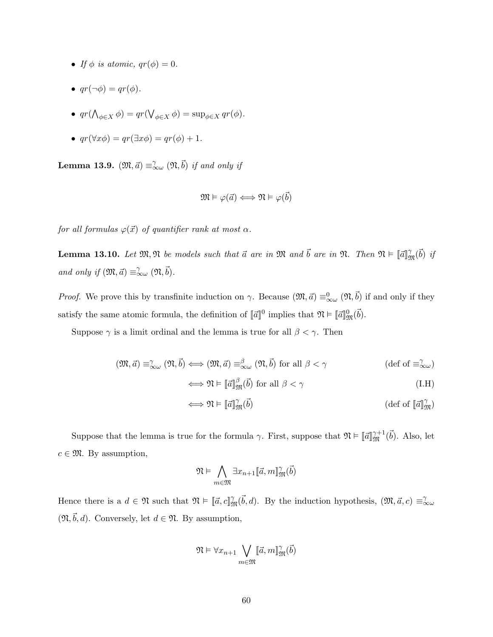- If  $\phi$  is atomic,  $qr(\phi) = 0$ .
- $qr(\neg \phi) = qr(\phi)$ .
- $qr(\bigwedge_{\phi\in X}\phi) = qr(\bigvee_{\phi\in X}\phi) = \sup_{\phi\in X} qr(\phi).$
- $qr(\forall x \phi) = qr(\exists x \phi) = qr(\phi) + 1.$

**Lemma 13.9.**  $(\mathfrak{M}, \vec{a}) \equiv_{\infty}^{\gamma} (\mathfrak{N}, \vec{b})$  if and only if

$$
\mathfrak{M}\vDash \varphi(\vec{a})\Longleftrightarrow \mathfrak{N}\vDash \varphi(\vec{b})
$$

for all formulas  $\varphi(\vec{x})$  of quantifier rank at most  $\alpha$ .

<span id="page-59-0"></span>**Lemma 13.10.** Let  $\mathfrak{M}, \mathfrak{N}$  be models such that  $\vec{a}$  are in  $\mathfrak{M}$  and  $\vec{b}$  are in  $\mathfrak{N}$ . Then  $\mathfrak{N} \vDash \llbracket \vec{a} \rrbracket^{\gamma}_{\mathfrak{M}}(\vec{b})$  if and only if  $(\mathfrak{M}, \vec{a}) \equiv_{\infty \omega}^{\gamma} (\mathfrak{N}, \vec{b}).$ 

*Proof.* We prove this by transfinite induction on  $\gamma$ . Because  $(\mathfrak{M}, \vec{a}) \equiv_{\infty}^0 (\mathfrak{N}, \vec{b})$  if and only if they satisfy the same atomic formula, the definition of  $\llbracket \vec{a} \rrbracket^0$  implies that  $\mathfrak{N} \vDash \llbracket \vec{a} \rrbracket^0_{\mathfrak{M}}(\vec{b}).$ 

Suppose  $\gamma$  is a limit ordinal and the lemma is true for all  $\beta < \gamma$ . Then

$$
(\mathfrak{M}, \vec{a}) \equiv_{\infty}^{\gamma} (\mathfrak{N}, \vec{b}) \Longleftrightarrow (\mathfrak{M}, \vec{a}) \equiv_{\infty}^{\beta} (\mathfrak{N}, \vec{b}) \text{ for all } \beta < \gamma \qquad (\text{def of } \equiv_{\infty}^{\gamma} \omega)
$$

$$
\iff \mathfrak{N} \vDash \llbracket \vec{a} \rrbracket_{\mathfrak{M}}^{\beta}(\vec{b}) \text{ for all } \beta < \gamma \tag{I.H}
$$

$$
\iff \mathfrak{N} \vDash \llbracket \vec{a} \rrbracket_{\mathfrak{M}}^{\gamma}(\vec{b}) \tag{def of } \llbracket \vec{a} \rrbracket_{\mathfrak{M}}^{\gamma}
$$

Suppose that the lemma is true for the formula  $\gamma$ . First, suppose that  $\mathfrak{N} \vDash \llbracket \vec{a} \rrbracket_{\mathfrak{M}}^{\gamma+1}(\vec{b})$ . Also, let  $c \in \mathfrak{M}$ . By assumption,

$$
\mathfrak{N}\vDash \bigwedge_{m\in\mathfrak{M}} \exists x_{n+1}[\![\vec{a},m]\!]_{\mathfrak{M}}^{\gamma}(\vec{b})
$$

Hence there is a  $d \in \mathfrak{N}$  such that  $\mathfrak{N} \models [\![\vec{a}, c]\!]_{\mathfrak{M}}^{\gamma}(\vec{b}, d)$ . By the induction hypothesis,  $(\mathfrak{M}, \vec{a}, c) \equiv_{\infty \omega}^{\gamma}$  $(\mathfrak{N}, \vec{b}, d)$ . Conversely, let  $d \in \mathfrak{N}$ . By assumption,

$$
\mathfrak{N}\vDash\forall x_{n+1}\bigvee_{m\in\mathfrak{M}}\lbrack\!\lbrack\vec{a},m\rbrack\!\rbrack_{\mathfrak{M}}^{\gamma}(\vec{b})
$$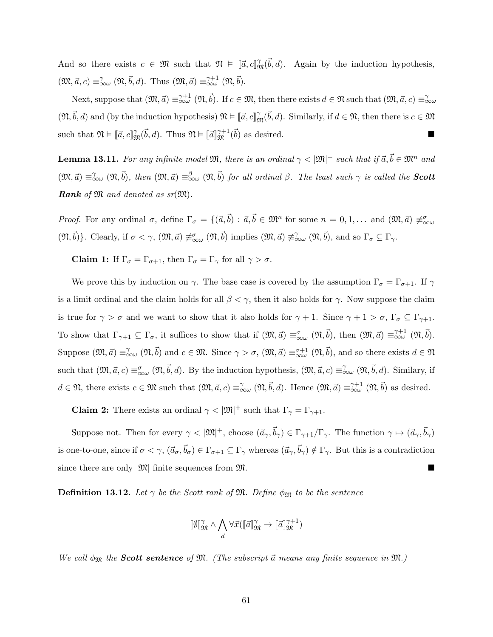And so there exists  $c \in \mathfrak{M}$  such that  $\mathfrak{N} \models [\vec{a}, c]_{\mathfrak{M}}^{\gamma}(\vec{b}, d)$ . Again by the induction hypothesis,  $(\mathfrak{M}, \vec{a}, c) \equiv_{\infty}^{\gamma} (\mathfrak{N}, \vec{b}, d)$ . Thus  $(\mathfrak{M}, \vec{a}) \equiv_{\infty}^{\gamma+1} (\mathfrak{N}, \vec{b})$ .

Next, suppose that  $(\mathfrak{M}, \vec{a}) \equiv_{\infty \omega}^{\gamma+1} (\mathfrak{N}, \vec{b})$ . If  $c \in \mathfrak{M}$ , then there exists  $d \in \mathfrak{N}$  such that  $(\mathfrak{M}, \vec{a}, c) \equiv_{\infty \omega}^{\gamma}$  $(\mathfrak{N}, \vec{b}, d)$  and (by the induction hypothesis)  $\mathfrak{N} \models [\![\vec{a}, c]\!]_{\mathfrak{M}}^{\gamma}(\vec{b}, d)$ . Similarly, if  $d \in \mathfrak{N}$ , then there is  $c \in \mathfrak{M}$ such that  $\mathfrak{N} \vDash \llbracket \vec{a}, c \rrbracket_{\mathfrak{M}}^{\gamma}(\vec{b}, d)$ . Thus  $\mathfrak{N} \vDash \llbracket \vec{a} \rrbracket_{\mathfrak{M}}^{\gamma+1}(\vec{b})$  as desired.

<span id="page-60-0"></span>**Lemma 13.11.** For any infinite model  $\mathfrak{M}$ , there is an ordinal  $\gamma < |\mathfrak{M}|^+$  such that if  $\vec{a}, \vec{b} \in \mathfrak{M}^n$  and  $(\mathfrak{M}, \vec{a}) \equiv_{\infty \omega}^{\gamma} (\mathfrak{N}, \vec{b}),$  then  $(\mathfrak{M}, \vec{a}) \equiv_{\infty \omega}^{\beta} (\mathfrak{N}, \vec{b})$  for all ordinal  $\beta$ . The least such  $\gamma$  is called the **Scott Rank** of  $\mathfrak{M}$  and denoted as  $sr(\mathfrak{M})$ .

*Proof.* For any ordinal  $\sigma$ , define  $\Gamma_{\sigma} = \{(\vec{a}, \vec{b}) : \vec{a}, \vec{b} \in \mathfrak{M}^n \text{ for some } n = 0, 1, \dots \text{ and } (\mathfrak{M}, \vec{a}) \neq_{\infty \omega}^{\sigma} \}$  $(\mathfrak{N}, \vec{b})\}$ . Clearly, if  $\sigma < \gamma$ ,  $(\mathfrak{M}, \vec{a}) \not\equiv_{\infty}^{\sigma} (\mathfrak{N}, \vec{b})$  implies  $(\mathfrak{M}, \vec{a}) \not\equiv_{\infty}^{\gamma} (\mathfrak{N}, \vec{b})$ , and so  $\Gamma_{\sigma} \subseteq \Gamma_{\gamma}$ .

**Claim 1:** If  $\Gamma_{\sigma} = \Gamma_{\sigma+1}$ , then  $\Gamma_{\sigma} = \Gamma_{\gamma}$  for all  $\gamma > \sigma$ .

We prove this by induction on  $\gamma$ . The base case is covered by the assumption  $\Gamma_{\sigma} = \Gamma_{\sigma+1}$ . If  $\gamma$ is a limit ordinal and the claim holds for all  $\beta < \gamma$ , then it also holds for  $\gamma$ . Now suppose the claim is true for  $\gamma > \sigma$  and we want to show that it also holds for  $\gamma + 1$ . Since  $\gamma + 1 > \sigma$ ,  $\Gamma_{\sigma} \subseteq \Gamma_{\gamma+1}$ . To show that  $\Gamma_{\gamma+1} \subseteq \Gamma_{\sigma}$ , it suffices to show that if  $(\mathfrak{M}, \vec{a}) \equiv_{\infty \omega}^{\sigma} (\mathfrak{N}, \vec{b})$ , then  $(\mathfrak{M}, \vec{a}) \equiv_{\infty \omega}^{\gamma+1} (\mathfrak{N}, \vec{b})$ . Suppose  $(\mathfrak{M}, \vec{a}) \equiv_{\infty \omega}^{\gamma} (\mathfrak{N}, \vec{b})$  and  $c \in \mathfrak{M}$ . Since  $\gamma > \sigma$ ,  $(\mathfrak{M}, \vec{a}) \equiv_{\infty \omega}^{\sigma+1} (\mathfrak{N}, \vec{b})$ , and so there exists  $d \in \mathfrak{N}$ such that  $(\mathfrak{M}, \vec{a}, c) \equiv_{\infty}^{\sigma} (\mathfrak{N}, \vec{b}, d)$ . By the induction hypothesis,  $(\mathfrak{M}, \vec{a}, c) \equiv_{\infty}^{\gamma} (\mathfrak{N}, \vec{b}, d)$ . Similary, if  $d \in \mathfrak{N}$ , there exists  $c \in \mathfrak{M}$  such that  $(\mathfrak{M}, \vec{a}, c) \equiv_{\infty \omega}^{\gamma} (\mathfrak{N}, \vec{b}, d)$ . Hence  $(\mathfrak{M}, \vec{a}) \equiv_{\infty \omega}^{\gamma+1} (\mathfrak{N}, \vec{b})$  as desired.

**Claim 2:** There exists an ordinal  $\gamma < |\mathfrak{M}|^+$  such that  $\Gamma_{\gamma} = \Gamma_{\gamma+1}$ .

Suppose not. Then for every  $\gamma < |\mathfrak{M}|^+$ , choose  $(\vec{a}_{\gamma}, \vec{b}_{\gamma}) \in \Gamma_{\gamma+1}/\Gamma_{\gamma}$ . The function  $\gamma \mapsto (\vec{a}_{\gamma}, \vec{b}_{\gamma})$ is one-to-one, since if  $\sigma < \gamma$ ,  $(\vec{a}_{\sigma}, \vec{b}_{\sigma}) \in \Gamma_{\sigma+1} \subseteq \Gamma_{\gamma}$  whereas  $(\vec{a}_{\gamma}, \vec{b}_{\gamma}) \notin \Gamma_{\gamma}$ . But this is a contradiction since there are only  $|\mathfrak{M}|$  finite sequences from  $\mathfrak{M}$ .

**Definition 13.12.** Let  $\gamma$  be the Scott rank of M. Define  $\phi_{\mathfrak{M}}$  to be the sentence

$$
\llbracket \emptyset \rrbracket_{\mathfrak{M}}^{\gamma} \wedge \bigwedge_{\vec{a}} \forall \vec{x} (\llbracket \vec{a} \rrbracket_{\mathfrak{M}}^{\gamma} \rightarrow \llbracket \vec{a} \rrbracket_{\mathfrak{M}}^{\gamma+1})
$$

We call  $\phi_{\mathfrak{M}}$  the **Scott sentence** of  $\mathfrak{M}$ . (The subscript  $\vec{a}$  means any finite sequence in  $\mathfrak{M}$ .)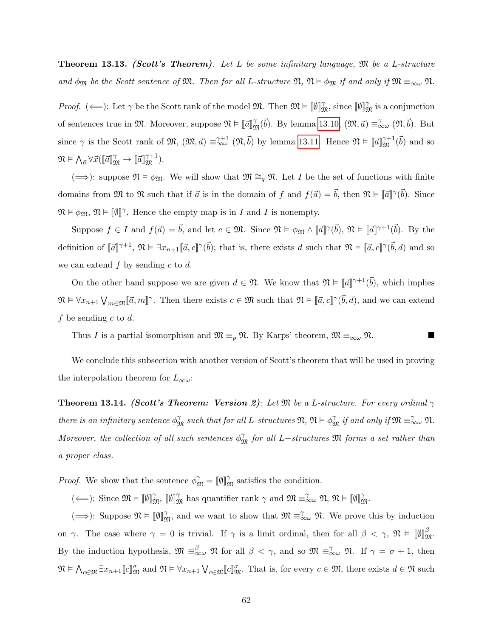**Theorem 13.13. (Scott's Theorem).** Let L be some infinitary language,  $\mathfrak{M}$  be a L-structure and  $\phi_{\mathfrak{M}}$  be the Scott sentence of  $\mathfrak{M}$ . Then for all L-structure  $\mathfrak{N}, \mathfrak{N} \vDash \phi_{\mathfrak{M}}$  if and only if  $\mathfrak{M} \equiv_{\infty \omega} \mathfrak{N}$ .

Proof. ( $\Longleftarrow$ ): Let  $\gamma$  be the Scott rank of the model  $\mathfrak{M}$ . Then  $\mathfrak{M} \models [\![\emptyset]\!]_{\mathfrak{M}}^{\gamma}$ , since  $[\![\emptyset]\!]_{\mathfrak{M}}^{\gamma}$  is a conjunction of sentences true in  $\mathfrak{M}$ . Moreover, suppose  $\mathfrak{N} \vDash \llbracket \vec{a} \rrbracket_{\mathfrak{M}}^{\gamma}(\vec{b})$ . By lemma [13.10,](#page-59-0)  $(\mathfrak{M}, \vec{a}) \equiv_{\infty \omega}^{\gamma} (\mathfrak{N}, \vec{b})$ . But since  $\gamma$  is the Scott rank of  $\mathfrak{M}, \mathfrak{M}, \mathfrak{a}$  =  $\mathfrak{S}_{\infty}^{\gamma+1}(\mathfrak{N}, \mathfrak{b})$  by lemma [13.11.](#page-60-0) Hence  $\mathfrak{N} \vDash [\![\vec{a}]\!]_{\mathfrak{M}}^{\gamma+1}(\mathfrak{b})$  and so  $\mathfrak{N} \vDash \bigwedge_{\vec{a}} \forall \vec{x} (\llbracket \vec{a} \rrbracket_{\mathfrak{M}}^{\gamma} \rightarrow \llbracket \vec{a} \rrbracket_{\mathfrak{M}}^{\gamma+1}).$ 

(⇒): suppose  $\mathfrak{N} \models \phi_{\mathfrak{M}}$ . We will show that  $\mathfrak{M} \cong_q \mathfrak{N}$ . Let I be the set of functions with finite domains from  $\mathfrak{M}$  to  $\mathfrak{N}$  such that if  $\vec{a}$  is in the domain of f and  $f(\vec{a}) = \vec{b}$ , then  $\mathfrak{N} \models \llbracket \vec{a} \rrbracket^{\gamma}(\vec{b})$ . Since  $\mathfrak{N} \models \phi_{\mathfrak{M}}, \mathfrak{N} \models [\![\emptyset]\!]^\gamma$ . Hence the empty map is in I and I is nonempty.

Suppose  $f \in I$  and  $f(\vec{a}) = \vec{b}$ , and let  $c \in \mathfrak{M}$ . Since  $\mathfrak{N} \models \phi_{\mathfrak{M}} \wedge [\![\vec{a}]\!]^{\gamma}(\vec{b})$ ,  $\mathfrak{N} \models [\![\vec{a}]\!]^{\gamma+1}(\vec{b})$ . By the definition of  $\llbracket \vec{a} \rrbracket^{\gamma+1}$ ,  $\mathfrak{N} \models \exists x_{n+1}[\![\vec{a}, c]\!]^{\gamma}(\vec{b})$ ; that is, there exists d such that  $\mathfrak{N} \models [\![\vec{a}, c]\!]^{\gamma}(\vec{b}, d)$  and so we can extend  $f$  by sending  $c$  to  $d$ .

On the other hand suppose we are given  $d \in \mathfrak{N}$ . We know that  $\mathfrak{N} \models \llbracket \vec{a} \rrbracket^{\gamma+1}(\vec{b})$ , which implies  $\mathfrak{N} \models \forall x_{n+1} \bigvee_{m \in \mathfrak{M}} [\![\vec{a}, m]\!]^\gamma$ . Then there exists  $c \in \mathfrak{M}$  such that  $\mathfrak{N} \models [\![\vec{a}, c]\!]^\gamma(\vec{b}, d)$ , and we can extend f be sending c to d.

Thus I is a partial isomorphism and  $\mathfrak{M} \equiv_p \mathfrak{N}$ . By Karps' theorem,  $\mathfrak{M} \equiv_{\infty \omega} \mathfrak{N}$ .

We conclude this subsection with another version of Scott's theorem that will be used in proving the interpolation theorem for  $L_{\infty \omega}$ :

**Theorem 13.14.** (Scott's Theorem: Version 2): Let  $\mathfrak{M}$  be a L-structure. For every ordinal  $\gamma$ there is an infinitary sentence  $\phi_{\mathfrak{M}}^{\gamma}$  such that for all L-structures  $\mathfrak{N}, \, \mathfrak{N} \vDash \phi_{\mathfrak{M}}^{\gamma}$  if and only if  $\mathfrak{M} \equiv_{\infty \omega}^{\gamma} \mathfrak{N}$ . Moreover, the collection of all such sentences  $\phi_{\mathfrak{M}}^{\gamma}$  for all L−structures  $\mathfrak{M}$  forms a set rather than a proper class.

*Proof.* We show that the sentence  $\phi_{\mathfrak{M}}^{\gamma} = [\![\emptyset]\!]_{\mathfrak{M}}^{\gamma}$  satisfies the condition.

( $\Longleftarrow$ ): Since  $\mathfrak{M} \vDash [\![\emptyset]\!]_{\mathfrak{M}}^{\gamma}$ ,  $[\![\emptyset]\!]_{\mathfrak{M}}^{\gamma}$  has quantifier rank  $\gamma$  and  $\mathfrak{M} \equiv_{\infty}^{\gamma} \mathfrak{N}, \mathfrak{N} \vDash [\![\emptyset]\!]_{\mathfrak{M}}^{\gamma}$ .

 $(\Longrightarrow)$ : Suppose  $\mathfrak{N} \models [\![\emptyset]\!]_{\mathfrak{M}}^{\gamma}$ , and we want to show that  $\mathfrak{M} \equiv_{\infty}^{\gamma} \mathfrak{N}$ . We prove this by induction on  $\gamma$ . The case where  $\gamma = 0$  is trivial. If  $\gamma$  is a limit ordinal, then for all  $\beta < \gamma$ ,  $\mathfrak{N} \models \llbracket \emptyset \rrbracket^{\beta}_{\mathfrak{M}}$ . By the induction hypothesis,  $\mathfrak{M} \equiv_{\infty}^{\beta} \mathfrak{N}$  for all  $\beta < \gamma$ , and so  $\mathfrak{M} \equiv_{\infty}^{\gamma} \mathfrak{N}$ . If  $\gamma = \sigma + 1$ , then  $\mathfrak{N} \models \bigwedge_{c \in \mathfrak{M}} \exists x_{n+1} [c]_{\mathfrak{M}}^{\sigma}$  and  $\mathfrak{N} \models \forall x_{n+1} \bigvee_{c \in \mathfrak{M}} [c]_{\mathfrak{M}}^{\sigma}$ . That is, for every  $c \in \mathfrak{M}$ , there exists  $d \in \mathfrak{N}$  such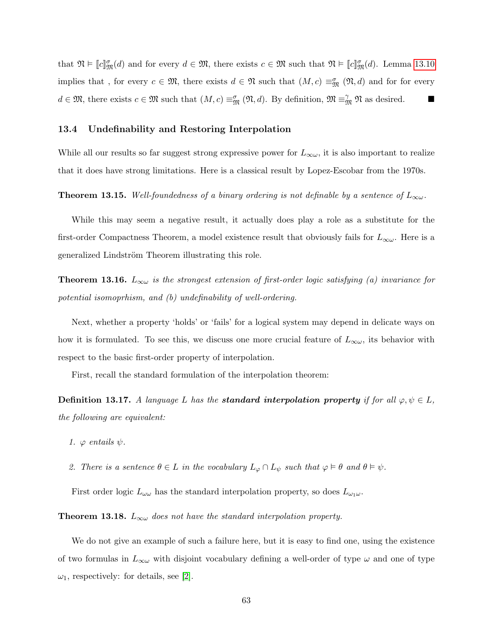that  $\mathfrak{N} \models [c]_{\mathfrak{M}}^{\sigma}(d)$  and for every  $d \in \mathfrak{M}$ , there exists  $c \in \mathfrak{M}$  such that  $\mathfrak{N} \models [c]_{\mathfrak{M}}^{\sigma}(d)$ . Lemma [13.10](#page-59-0) implies that, for every  $c \in \mathfrak{M}$ , there exists  $d \in \mathfrak{N}$  such that  $(M, c) \equiv_{\mathfrak{M}}^{\sigma} (\mathfrak{N}, d)$  and for for every  $d \in \mathfrak{M}$ , there exists  $c \in \mathfrak{M}$  such that  $(M, c) \equiv_{\mathfrak{M}}^{\sigma} (\mathfrak{N}, d)$ . By definition,  $\mathfrak{M} \equiv_{\mathfrak{M}}^{\gamma} \mathfrak{N}$  as desired.

#### 13.4 Undefinability and Restoring Interpolation

While all our results so far suggest strong expressive power for  $L_{\infty}$ , it is also important to realize that it does have strong limitations. Here is a classical result by Lopez-Escobar from the 1970s.

**Theorem 13.15.** Well-foundedness of a binary ordering is not definable by a sentence of  $L_{\infty}$ .

While this may seem a negative result, it actually does play a role as a substitute for the first-order Compactness Theorem, a model existence result that obviously fails for  $L_{\infty \omega}$ . Here is a generalized Lindström Theorem illustrating this role.

**Theorem 13.16.**  $L_{\infty}$  is the strongest extension of first-order logic satisfying (a) invariance for potential isomoprhism, and (b) undefinability of well-ordering.

Next, whether a property 'holds' or 'fails' for a logical system may depend in delicate ways on how it is formulated. To see this, we discuss one more crucial feature of  $L_{\infty\omega}$ , its behavior with respect to the basic first-order property of interpolation.

First, recall the standard formulation of the interpolation theorem:

**Definition 13.17.** A language L has the **standard interpolation property** if for all  $\varphi, \psi \in L$ , the following are equivalent:

- 1.  $\varphi$  entails  $\psi$ .
- 2. There is a sentence  $\theta \in L$  in the vocabulary  $L_{\varphi} \cap L_{\psi}$  such that  $\varphi \models \theta$  and  $\theta \models \psi$ .

First order logic  $L_{\omega\omega}$  has the standard interpolation property, so does  $L_{\omega_1\omega}$ .

**Theorem 13.18.**  $L_{\infty}$  does not have the standard interpolation property.

We do not give an example of such a failure here, but it is easy to find one, using the existence of two formulas in  $L_{\infty}$  with disjoint vocabulary defining a well-order of type  $\omega$  and one of type  $\omega_1$ , respectively: for details, see [\[2\]](#page-75-0).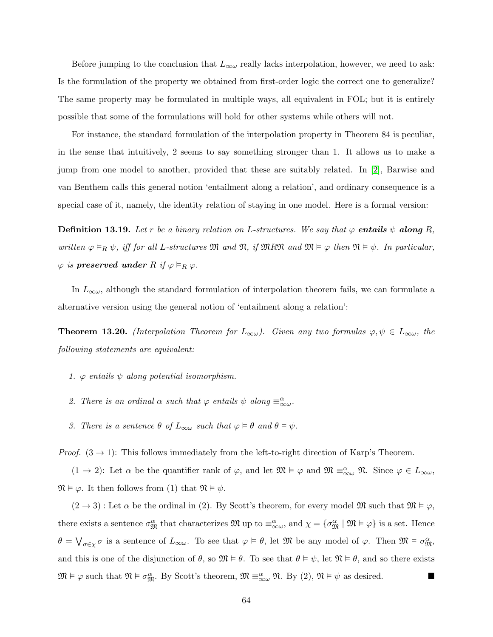Before jumping to the conclusion that  $L_{\infty}$  really lacks interpolation, however, we need to ask: Is the formulation of the property we obtained from first-order logic the correct one to generalize? The same property may be formulated in multiple ways, all equivalent in FOL; but it is entirely possible that some of the formulations will hold for other systems while others will not.

For instance, the standard formulation of the interpolation property in Theorem 84 is peculiar, in the sense that intuitively, 2 seems to say something stronger than 1. It allows us to make a jump from one model to another, provided that these are suitably related. In [\[2\]](#page-75-0), Barwise and van Benthem calls this general notion 'entailment along a relation', and ordinary consequence is a special case of it, namely, the identity relation of staying in one model. Here is a formal version:

**Definition 13.19.** Let r be a binary relation on L-structures. We say that  $\varphi$  entails  $\psi$  along R, written  $\varphi \vDash_R \psi$ , iff for all L-structures M and N, if MRN and  $\mathfrak{M} \vDash \varphi$  then  $\mathfrak{N} \vDash \psi$ . In particular,  $\varphi$  is preserved under R if  $\varphi \vDash_R \varphi$ .

In  $L_{\infty}$ , although the standard formulation of interpolation theorem fails, we can formulate a alternative version using the general notion of 'entailment along a relation':

<span id="page-63-0"></span>**Theorem 13.20.** (Interpolation Theorem for  $L_{\infty}\omega$ ). Given any two formulas  $\varphi, \psi \in L_{\infty}\omega$ , the following statements are equivalent:

- 1.  $\varphi$  entails  $\psi$  along potential isomorphism.
- 2. There is an ordinal  $\alpha$  such that  $\varphi$  entails  $\psi$  along  $\equiv_{\infty\omega}^{\alpha}$ .
- 3. There is a sentence  $\theta$  of  $L_{\infty}$  such that  $\varphi \models \theta$  and  $\theta \models \psi$ .

*Proof.*  $(3 \rightarrow 1)$ : This follows immediately from the left-to-right direction of Karp's Theorem.

 $(1 \to 2)$ : Let  $\alpha$  be the quantifier rank of  $\varphi$ , and let  $\mathfrak{M} \models \varphi$  and  $\mathfrak{M} \equiv_{\infty \omega}^{\alpha} \mathfrak{N}$ . Since  $\varphi \in L_{\infty \omega}$ ,  $\mathfrak{N} \models \varphi$ . It then follows from (1) that  $\mathfrak{N} \models \psi$ .

 $(2 \rightarrow 3)$ : Let  $\alpha$  be the ordinal in (2). By Scott's theorem, for every model M such that  $\mathfrak{M} \models \varphi$ , there exists a sentence  $\sigma_{\mathfrak{M}}^{\alpha}$  that characterizes  $\mathfrak{M}$  up to  $\equiv_{\infty\omega}^{\alpha}$ , and  $\chi = {\sigma_{\mathfrak{M}}^{\alpha}} \mid \mathfrak{M} \models \varphi$  is a set. Hence  $\theta = \bigvee_{\sigma \in \chi} \sigma$  is a sentence of  $L_{\infty \omega}$ . To see that  $\varphi \models \theta$ , let  $\mathfrak{M}$  be any model of  $\varphi$ . Then  $\mathfrak{M} \models \sigma_{\mathfrak{M}}^{\alpha}$ , and this is one of the disjunction of  $\theta$ , so  $\mathfrak{M} \models \theta$ . To see that  $\theta \models \psi$ , let  $\mathfrak{N} \models \theta$ , and so there exists  $\mathfrak{M} \vDash \varphi$  such that  $\mathfrak{N} \vDash \sigma_{\mathfrak{M}}^{\alpha}$ . By Scott's theorem,  $\mathfrak{M} \equiv_{\infty \omega}^{\alpha} \mathfrak{N}$ . By (2),  $\mathfrak{N} \vDash \psi$  as desired.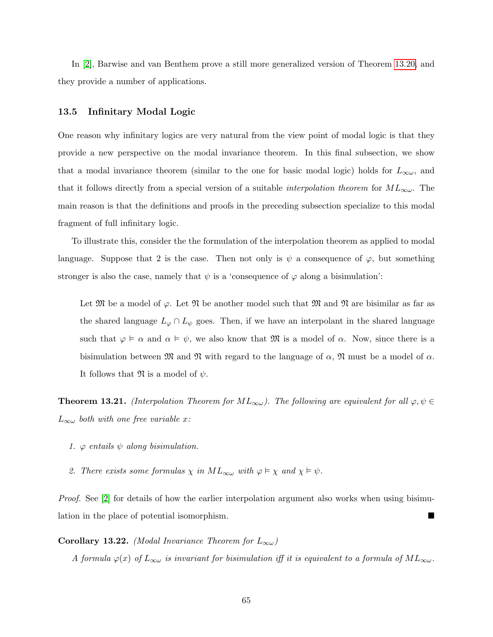In [\[2\]](#page-75-0), Barwise and van Benthem prove a still more generalized version of Theorem [13.20,](#page-63-0) and they provide a number of applications.

#### 13.5 Infinitary Modal Logic

One reason why infinitary logics are very natural from the view point of modal logic is that they provide a new perspective on the modal invariance theorem. In this final subsection, we show that a modal invariance theorem (similar to the one for basic modal logic) holds for  $L_{\infty \omega}$ , and that it follows directly from a special version of a suitable *interpolation theorem* for  $ML_{\infty\omega}$ . The main reason is that the definitions and proofs in the preceding subsection specialize to this modal fragment of full infinitary logic.

To illustrate this, consider the the formulation of the interpolation theorem as applied to modal language. Suppose that 2 is the case. Then not only is  $\psi$  a consequence of  $\varphi$ , but something stronger is also the case, namely that  $\psi$  is a 'consequence of  $\varphi$  along a bisimulation':

Let M be a model of  $\varphi$ . Let M be another model such that M and M are bisimilar as far as the shared language  $L_{\varphi} \cap L_{\psi}$  goes. Then, if we have an interpolant in the shared language such that  $\varphi \models \alpha$  and  $\alpha \models \psi$ , we also know that M is a model of  $\alpha$ . Now, since there is a bisimulation between  $\mathfrak{M}$  and  $\mathfrak{N}$  with regard to the language of  $\alpha$ ,  $\mathfrak{N}$  must be a model of  $\alpha$ . It follows that  $\mathfrak{N}$  is a model of  $\psi$ .

<span id="page-64-0"></span>**Theorem 13.21.** (Interpolation Theorem for  $ML_{\infty}$ ). The following are equivalent for all  $\varphi, \psi \in$  $L_{\infty}$  both with one free variable x:

- 1.  $\varphi$  entails  $\psi$  along bisimulation.
- 2. There exists some formulas  $\chi$  in  $ML_{\infty \omega}$  with  $\varphi \models \chi$  and  $\chi \models \psi$ .

Proof. See [\[2\]](#page-75-0) for details of how the earlier interpolation argument also works when using bisimulation in the place of potential isomorphism.

**Corollary 13.22.** (Modal Invariance Theorem for  $L_{\infty}$ )

A formula  $\varphi(x)$  of  $L_{\infty\omega}$  is invariant for bisimulation iff it is equivalent to a formula of  $ML_{\infty\omega}$ .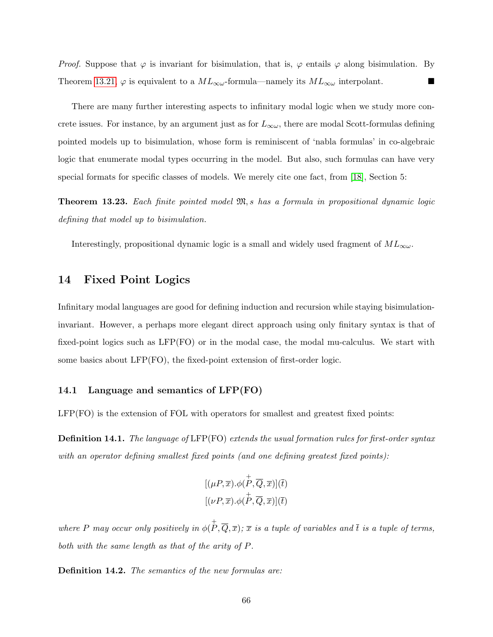*Proof.* Suppose that  $\varphi$  is invariant for bisimulation, that is,  $\varphi$  entails  $\varphi$  along bisimulation. By Theorem [13.21,](#page-64-0)  $\varphi$  is equivalent to a  $ML_{\infty}$ -formula—namely its  $ML_{\infty}$  interpolant.

There are many further interesting aspects to infinitary modal logic when we study more concrete issues. For instance, by an argument just as for  $L_{\infty\omega}$ , there are modal Scott-formulas defining pointed models up to bisimulation, whose form is reminiscent of 'nabla formulas' in co-algebraic logic that enumerate modal types occurring in the model. But also, such formulas can have very special formats for specific classes of models. We merely cite one fact, from [\[18\]](#page-76-0), Section 5:

Theorem 13.23. Each finite pointed model M, s has a formula in propositional dynamic logic defining that model up to bisimulation.

Interestingly, propositional dynamic logic is a small and widely used fragment of  $ML_{\infty\omega}$ .

## 14 Fixed Point Logics

Infinitary modal languages are good for defining induction and recursion while staying bisimulationinvariant. However, a perhaps more elegant direct approach using only finitary syntax is that of fixed-point logics such as LFP(FO) or in the modal case, the modal mu-calculus. We start with some basics about LFP(FO), the fixed-point extension of first-order logic.

### 14.1 Language and semantics of LFP(FO)

LFP(FO) is the extension of FOL with operators for smallest and greatest fixed points:

**Definition 14.1.** The language of LFP(FO) extends the usual formation rules for first-order syntax with an operator defining smallest fixed points (and one defining greatest fixed points):

$$
\begin{aligned} & [(\mu P, \overline{x}).\phi(\overset{+}{P}, \overline{Q}, \overline{x})](\overline{t}) \\ & [(\nu P, \overline{x}).\phi(\overset{+}{P}, \overline{Q}, \overline{x})](\overline{t}) \end{aligned}
$$

where P may occur only positively in  $\phi(P,\overline{Q},\overline{x}); \overline{x}$  is a tuple of variables and  $\overline{t}$  is a tuple of terms, both with the same length as that of the arity of P.

Definition 14.2. The semantics of the new formulas are: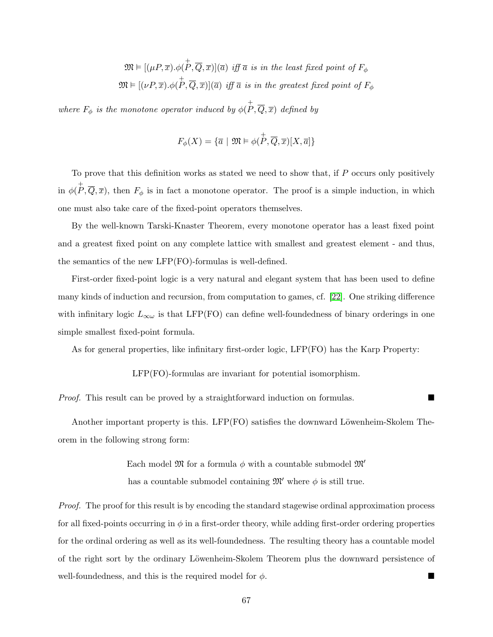$\mathfrak{M} \vDash [(\mu P, \overline{x}).\phi(\overset{+}{P}, \overline{Q}, \overline{x})](\overline{a})$  iff  $\overline{a}$  is in the least fixed point of  $F_{\phi}$  $\mathfrak{M}\vDash [(\nu P, \overline{x}). \phi(\stackrel{+}{P}, \overline{Q}, \overline{x})](\overline{a})$  iff  $\overline{a}$  is in the greatest fixed point of  $F_\phi$ 

where  $F_{\phi}$  is the monotone operator induced by  $\phi(P, \overline{Q}, \overline{x})$  defined by

$$
F_\phi(X)=\{\overline{a}\ |\ \mathfrak{M}\vDash\phi(\overset{+}{P},\overline{Q},\overline{x})[X,\overline{a}]\}
$$

To prove that this definition works as stated we need to show that, if  $P$  occurs only positively in  $\phi(P,\overline{Q},\overline{x})$ , then  $F_{\phi}$  is in fact a monotone operator. The proof is a simple induction, in which one must also take care of the fixed-point operators themselves.

By the well-known Tarski-Knaster Theorem, every monotone operator has a least fixed point and a greatest fixed point on any complete lattice with smallest and greatest element - and thus, the semantics of the new LFP(FO)-formulas is well-defined.

First-order fixed-point logic is a very natural and elegant system that has been used to define many kinds of induction and recursion, from computation to games, cf. [\[22\]](#page-76-1). One striking difference with infinitary logic  $L_{\infty\omega}$  is that LFP(FO) can define well-foundedness of binary orderings in one simple smallest fixed-point formula.

As for general properties, like infinitary first-order logic, LFP(FO) has the Karp Property:

LFP(FO)-formulas are invariant for potential isomorphism.

*Proof.* This result can be proved by a straightforward induction on formulas.

Another important property is this. LFP $(FO)$  satisfies the downward Löwenheim-Skolem Theorem in the following strong form:

> Each model  $\mathfrak{M}$  for a formula  $\phi$  with a countable submodel  $\mathfrak{M}'$ has a countable submodel containing  $\mathfrak{M}'$  where  $\phi$  is still true.

Proof. The proof for this result is by encoding the standard stagewise ordinal approximation process for all fixed-points occurring in  $\phi$  in a first-order theory, while adding first-order ordering properties for the ordinal ordering as well as its well-foundedness. The resulting theory has a countable model of the right sort by the ordinary Löwenheim-Skolem Theorem plus the downward persistence of well-foundedness, and this is the required model for  $\phi$ .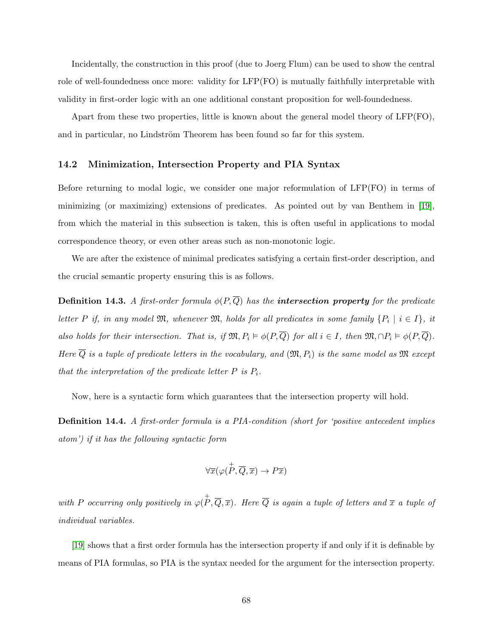Incidentally, the construction in this proof (due to Joerg Flum) can be used to show the central role of well-foundedness once more: validity for LFP(FO) is mutually faithfully interpretable with validity in first-order logic with an one additional constant proposition for well-foundedness.

Apart from these two properties, little is known about the general model theory of LFP(FO), and in particular, no Lindström Theorem has been found so far for this system.

#### 14.2 Minimization, Intersection Property and PIA Syntax

Before returning to modal logic, we consider one major reformulation of LFP(FO) in terms of minimizing (or maximizing) extensions of predicates. As pointed out by van Benthem in [\[19\]](#page-76-2), from which the material in this subsection is taken, this is often useful in applications to modal correspondence theory, or even other areas such as non-monotonic logic.

We are after the existence of minimal predicates satisfying a certain first-order description, and the crucial semantic property ensuring this is as follows.

**Definition 14.3.** A first-order formula  $\phi(P,\overline{Q})$  has the **intersection property** for the predicate letter P if, in any model  $\mathfrak{M}$ , whenever  $\mathfrak{M}$ , holds for all predicates in some family  $\{P_i \mid i \in I\}$ , it also holds for their intersection. That is, if  $\mathfrak{M}, P_i \vDash \phi(P, \overline{Q})$  for all  $i \in I$ , then  $\mathfrak{M}, \cap P_i \vDash \phi(P, \overline{Q})$ . Here  $\overline{Q}$  is a tuple of predicate letters in the vocabulary, and  $(\mathfrak{M}, P_i)$  is the same model as  $\mathfrak{M}$  except that the interpretation of the predicate letter  $P$  is  $P_i$ .

Now, here is a syntactic form which guarantees that the intersection property will hold.

Definition 14.4. A first-order formula is a PIA-condition (short for 'positive antecedent implies atom') if it has the following syntactic form

$$
\forall \overline{x}(\varphi(\overset{+}{P}, \overline{Q}, \overline{x}) \to P\overline{x})
$$

with P occurring only positively in  $\varphi(\stackrel{+}{P},\overline{Q},\overline{x})$ . Here  $\overline{Q}$  is again a tuple of letters and  $\overline{x}$  a tuple of individual variables.

[\[19\]](#page-76-2) shows that a first order formula has the intersection property if and only if it is definable by means of PIA formulas, so PIA is the syntax needed for the argument for the intersection property.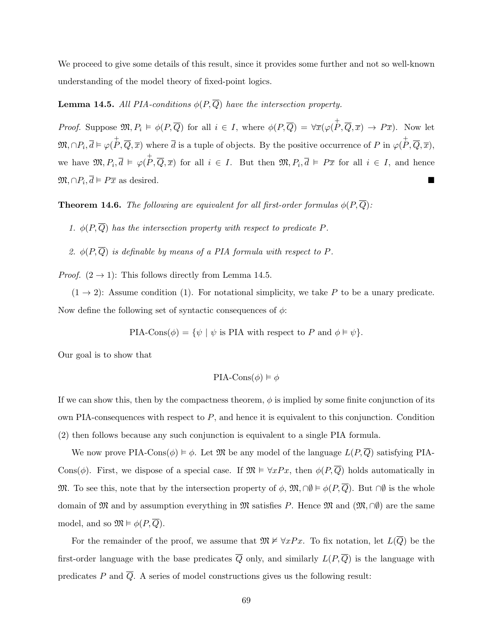We proceed to give some details of this result, since it provides some further and not so well-known understanding of the model theory of fixed-point logics.

# **Lemma 14.5.** All PIA-conditions  $\phi(P, \overline{Q})$  have the intersection property.

*Proof.* Suppose  $\mathfrak{M}, P_i \models \phi(P, \overline{Q})$  for all  $i \in I$ , where  $\phi(P, \overline{Q}) = \forall \overline{x}(\varphi(\overline{P}, \overline{Q}, \overline{x}) \to P\overline{x})$ . Now let  $\mathfrak{M}, \cap P_i, \overline{d} \models \varphi(\overset{+}{P}, \overline{Q}, \overline{x})$  where  $\overline{d}$  is a tuple of objects. By the positive occurrence of P in  $\varphi(\overset{+}{P}, \overline{Q}, \overline{x})$ , we have  $\mathfrak{M}, P_i, \overline{d} \models \varphi(\overline{P}, \overline{Q}, \overline{x})$  for all  $i \in I$ . But then  $\mathfrak{M}, P_i, \overline{d} \models P\overline{x}$  for all  $i \in I$ , and hence  $\mathfrak{M}, \cap P_i, \overline{d} \models P\overline{x}$  as desired.

**Theorem 14.6.** The following are equivalent for all first-order formulas  $\phi(P,\overline{Q})$ :

1.  $\phi(P,\overline{Q})$  has the intersection property with respect to predicate P.

2.  $\phi(P,\overline{Q})$  is definable by means of a PIA formula with respect to P.

*Proof.*  $(2 \rightarrow 1)$ : This follows directly from Lemma 14.5.

 $(1 \rightarrow 2)$ : Assume condition (1). For notational simplicity, we take P to be a unary predicate. Now define the following set of syntactic consequences of  $\phi$ :

PIA-Cons $(\phi) = {\psi \mid \psi \text{ is PIA with respect to } P \text{ and } \phi \models \psi}.$ 

Our goal is to show that

$$
\text{PIA-Cons}(\phi) \vDash \phi
$$

If we can show this, then by the compactness theorem,  $\phi$  is implied by some finite conjunction of its own PIA-consequences with respect to  $P$ , and hence it is equivalent to this conjunction. Condition (2) then follows because any such conjunction is equivalent to a single PIA formula.

We now prove PIA-Cons( $\phi$ )  $\models \phi$ . Let M be any model of the language  $L(P, \overline{Q})$  satisfying PIA-Cons( $\phi$ ). First, we dispose of a special case. If  $\mathfrak{M} \models \forall x Px$ , then  $\phi(P, \overline{Q})$  holds automatically in M. To see this, note that by the intersection property of  $\phi$ ,  $\mathfrak{M}, \cap \emptyset \models \phi(P, \overline{Q})$ . But  $\cap \emptyset$  is the whole domain of M and by assumption everything in M satisfies P. Hence M and  $(\mathfrak{M}, \cap \emptyset)$  are the same model, and so  $\mathfrak{M} \models \phi(P, \overline{Q})$ .

For the remainder of the proof, we assume that  $\mathfrak{M} \not\vDash \forall x Px$ . To fix notation, let  $L(\overline{Q})$  be the first-order language with the base predicates  $\overline{Q}$  only, and similarly  $L(P, \overline{Q})$  is the language with predicates P and  $\overline{Q}$ . A series of model constructions gives us the following result: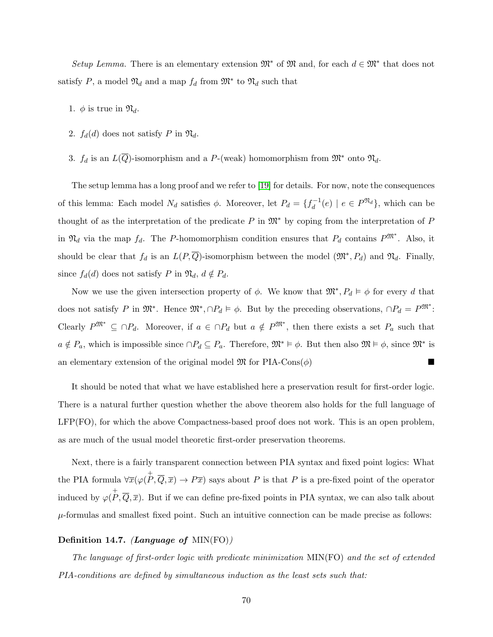Setup Lemma. There is an elementary extension  $\mathfrak{M}^*$  of  $\mathfrak{M}$  and, for each  $d \in \mathfrak{M}^*$  that does not satisfy P, a model  $\mathfrak{N}_d$  and a map  $f_d$  from  $\mathfrak{M}^*$  to  $\mathfrak{N}_d$  such that

- 1.  $\phi$  is true in  $\mathfrak{N}_d$ .
- 2.  $f_d(d)$  does not satisfy P in  $\mathfrak{N}_d$ .
- 3.  $f_d$  is an  $L(\overline{Q})$ -isomorphism and a P-(weak) homomorphism from  $\mathfrak{M}^*$  onto  $\mathfrak{N}_d$ .

The setup lemma has a long proof and we refer to [\[19\]](#page-76-2) for details. For now, note the consequences of this lemma: Each model  $N_d$  satisfies  $\phi$ . Moreover, let  $P_d = \{f_d^{-1}\}$  $\mathcal{L}_d^{-1}(e) \mid e \in P^{\mathfrak{N}_d}$ , which can be thought of as the interpretation of the predicate P in  $\mathfrak{M}^*$  by coping from the interpretation of P in  $\mathfrak{N}_d$  via the map  $f_d$ . The P-homomorphism condition ensures that  $P_d$  contains  $P^{\mathfrak{M}^*}$ . Also, it should be clear that  $f_d$  is an  $L(P, \overline{Q})$ -isomorphism between the model  $(\mathfrak{M}^*, P_d)$  and  $\mathfrak{N}_d$ . Finally, since  $f_d(d)$  does not satisfy P in  $\mathfrak{N}_d$ ,  $d \notin P_d$ .

Now we use the given intersection property of  $\phi$ . We know that  $\mathfrak{M}^*, P_d \models \phi$  for every d that does not satisfy P in  $\mathfrak{M}^*$ . Hence  $\mathfrak{M}^*, \cap P_d \models \phi$ . But by the preceding observations,  $\cap P_d = P^{\mathfrak{M}^*}$ : Clearly  $P^{\mathfrak{M}^*} \subseteq \cap P_d$ . Moreover, if  $a \in \cap P_d$  but  $a \notin P^{\mathfrak{M}^*}$ , then there exists a set  $P_a$  such that  $a \notin P_a$ , which is impossible since  $\cap P_d \subseteq P_a$ . Therefore,  $\mathfrak{M}^* \models \phi$ . But then also  $\mathfrak{M} \models \phi$ , since  $\mathfrak{M}^*$  is an elementary extension of the original model  $\mathfrak{M}$  for PIA-Cons( $\phi$ )

It should be noted that what we have established here a preservation result for first-order logic. There is a natural further question whether the above theorem also holds for the full language of LFP(FO), for which the above Compactness-based proof does not work. This is an open problem, as are much of the usual model theoretic first-order preservation theorems.

Next, there is a fairly transparent connection between PIA syntax and fixed point logics: What the PIA formula  $\forall \overline{x}(\varphi(\stackrel{\dagger}{P}, \overline{Q}, \overline{x}) \to P\overline{x})$  says about P is that P is a pre-fixed point of the operator induced by  $\varphi(\stackrel{+}{P}, \overline{Q}, \overline{x})$ . But if we can define pre-fixed points in PIA syntax, we can also talk about  $\mu$ -formulas and smallest fixed point. Such an intuitive connection can be made precise as follows:

### Definition 14.7. (Language of MIN(FO))

The language of first-order logic with predicate minimization MIN(FO) and the set of extended PIA-conditions are defined by simultaneous induction as the least sets such that: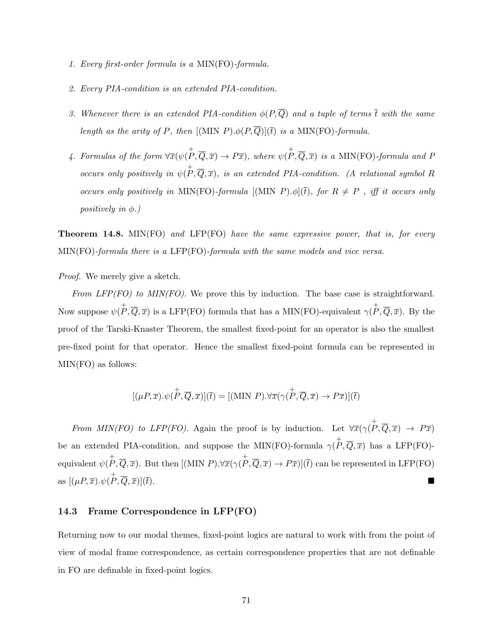- 1. Every first-order formula is a MIN(FO)-formula.
- 2. Every PIA-condition is an extended PIA-condition.
- 3. Whenever there is an extended PIA-condition  $\phi(P,\overline{Q})$  and a tuple of terms  $\overline{t}$  with the same length as the arity of P, then  $[(MIN P) \cdot \phi(P, \overline{Q})](\overline{t})$  is a MIN(FO)-formula.
- 4. Formulas of the form  $\forall \overline{x}(\psi(\stackrel{+}{P},\overline{Q},\overline{x}) \rightarrow P\overline{x})$ , where  $\psi(\stackrel{+}{P},\overline{Q},\overline{x})$  is a MIN(FO)-formula and P occurs only positively in  $\psi(P,\overline{Q},\overline{x})$ , is an extended PIA-condition. (A relational symbol R occurs only positively in MIN(FO)-formula  $[(MIN P) \cdot \phi](\overline{t})$ , for  $R \neq P$ , iff it occurs only positively in  $\phi$ .)

**Theorem 14.8.** MIN(FO) and LFP(FO) have the same expressive power, that is, for every MIN(FO)-formula there is a LFP(FO)-formula with the same models and vice versa.

Proof. We merely give a sketch.

From  $LFP(FO)$  to  $MIN(FO)$ . We prove this by induction. The base case is straightforward. Now suppose  $\psi(P, \overline{Q}, \overline{x})$  is a LFP(FO) formula that has a MIN(FO)-equivalent  $\gamma(P, \overline{Q}, \overline{x})$ . By the proof of the Tarski-Knaster Theorem, the smallest fixed-point for an operator is also the smallest pre-fixed point for that operator. Hence the smallest fixed-point formula can be represented in MIN(FO) as follows:

$$
[(\mu P, \overline{x}). \psi(\overline{P}, \overline{Q}, \overline{x})](\overline{t}) = [(\text{MIN } P).\forall \overline{x} (\gamma(\overline{P}, \overline{Q}, \overline{x}) \to P \overline{x})](\overline{t})
$$

From MIN(FO) to LFP(FO). Again the proof is by induction. Let  $\forall \overline{x}(\gamma(\stackrel{\dagger}{P},\overline{Q},\overline{x}) \rightarrow P\overline{x})$ be an extended PIA-condition, and suppose the MIN(FO)-formula  $\gamma(P,\overline{Q},\overline{x})$  has a LFP(FO)equivalent  $\psi(P, \overline{Q}, \overline{x})$ . But then  $[(MIN P) \cdot \forall \overline{x} (\gamma(P, \overline{Q}, \overline{x}) \rightarrow P\overline{x})](\overline{t})$  can be represented in LFP(FO) as  $[(\mu P, \overline{x}), \psi(\overline{P}, \overline{Q}, \overline{x})](\overline{t}).$ 

#### 14.3 Frame Correspondence in LFP(FO)

Returning now to our modal themes, fixed-point logics are natural to work with from the point of view of modal frame correspondence, as certain correspondence properties that are not definable in FO are definable in fixed-point logics.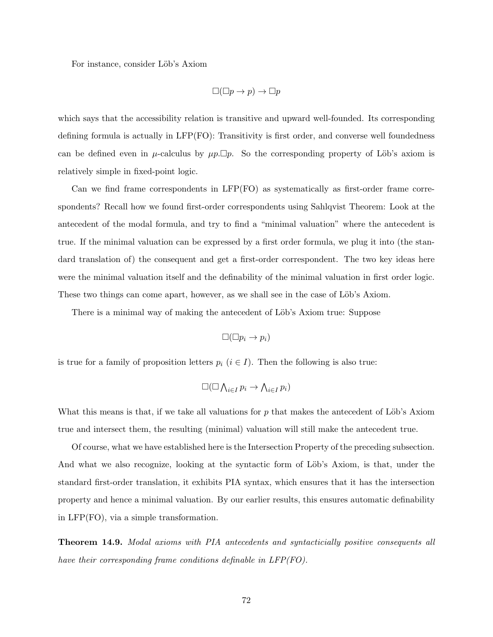For instance, consider Löb's Axiom

$$
\Box(\Box p \to p) \to \Box p
$$

which says that the accessibility relation is transitive and upward well-founded. Its corresponding defining formula is actually in LFP(FO): Transitivity is first order, and converse well foundedness can be defined even in  $\mu$ -calculus by  $\mu p.\Box p$ . So the corresponding property of Löb's axiom is relatively simple in fixed-point logic.

Can we find frame correspondents in LFP(FO) as systematically as first-order frame correspondents? Recall how we found first-order correspondents using Sahlqvist Theorem: Look at the antecedent of the modal formula, and try to find a "minimal valuation" where the antecedent is true. If the minimal valuation can be expressed by a first order formula, we plug it into (the standard translation of) the consequent and get a first-order correspondent. The two key ideas here were the minimal valuation itself and the definability of the minimal valuation in first order logic. These two things can come apart, however, as we shall see in the case of Löb's Axiom.

There is a minimal way of making the antecedent of Löb's Axiom true: Suppose

$$
\Box(\Box p_i \to p_i)
$$

is true for a family of proposition letters  $p_i$  ( $i \in I$ ). Then the following is also true:

$$
\Box(\Box \bigwedge_{i \in I} p_i \to \bigwedge_{i \in I} p_i)
$$

What this means is that, if we take all valuations for  $p$  that makes the antecedent of Löb's Axiom true and intersect them, the resulting (minimal) valuation will still make the antecedent true.

Of course, what we have established here is the Intersection Property of the preceding subsection. And what we also recognize, looking at the syntactic form of Löb's Axiom, is that, under the standard first-order translation, it exhibits PIA syntax, which ensures that it has the intersection property and hence a minimal valuation. By our earlier results, this ensures automatic definability in LFP(FO), via a simple transformation.

Theorem 14.9. Modal axioms with PIA antecedents and syntacticially positive consequents all have their corresponding frame conditions definable in LFP(FO).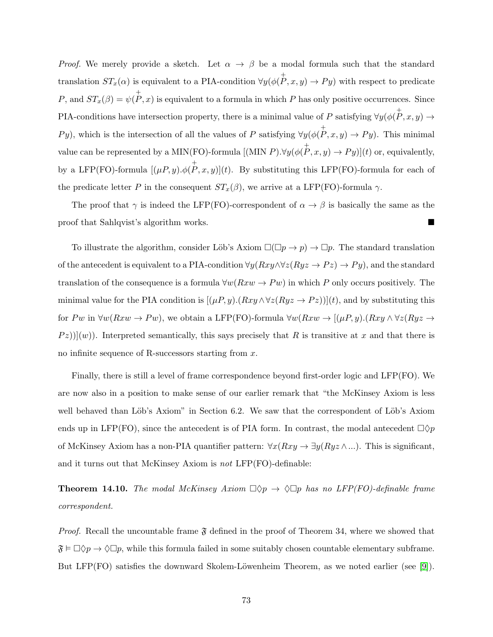*Proof.* We merely provide a sketch. Let  $\alpha \to \beta$  be a modal formula such that the standard translation  $ST_x(\alpha)$  is equivalent to a PIA-condition  $\forall y (\phi(\stackrel{+}{P}, x, y) \to Py)$  with respect to predicate P, and  $ST_x(\beta) = \psi(P, x)$  is equivalent to a formula in which P has only positive occurrences. Since PIA-conditions have intersection property, there is a minimal value of P satisfying  $\forall y (\phi(\stackrel{\dagger}{P}, x, y) \rightarrow$  $Py$ ), which is the intersection of all the values of P satisfying  $\forall y (\phi(\stackrel{\dagger}{P}, x, y) \rightarrow Py)$ . This minimal value can be represented by a MIN(FO)-formula  $[(\text{MIN } P) . \forall y (\phi(\stackrel{+}{P}, x, y) \to Py)](t)$  or, equivalently, by a LFP(FO)-formula  $[(\mu P, y).\phi(\stackrel{+}{P}, x, y)](t)$ . By substituting this LFP(FO)-formula for each of the predicate letter P in the consequent  $ST_x(\beta)$ , we arrive at a LFP(FO)-formula  $\gamma$ .

The proof that  $\gamma$  is indeed the LFP(FO)-correspondent of  $\alpha \to \beta$  is basically the same as the proof that Sahlqvist's algorithm works.

To illustrate the algorithm, consider Löb's Axiom  $\square(\square p \to p) \to \square p$ . The standard translation of the antecedent is equivalent to a PIA-condition  $\forall y(Rxy \land \forall z(Ryz \rightarrow Pz) \rightarrow Py)$ , and the standard translation of the consequence is a formula  $\forall w(Rxw \rightarrow Pw)$  in which P only occurs positively. The minimal value for the PIA condition is  $[(\mu P, y) \cdot (Rxy \wedge \forall z (Ryz \rightarrow Pz))](t)$ , and by substituting this for Pw in  $\forall w(Rxw \to Pw)$ , we obtain a LFP(FO)-formula  $\forall w(Rxw \to [(\mu P, y). (Rxy \land \forall z(Ryz \to \mu P, y.)))$  $(Pz)$ ](w)). Interpreted semantically, this says precisely that R is transitive at x and that there is no infinite sequence of R-successors starting from  $x$ .

Finally, there is still a level of frame correspondence beyond first-order logic and LFP(FO). We are now also in a position to make sense of our earlier remark that "the McKinsey Axiom is less well behaved than Löb's Axiom" in Section 6.2. We saw that the correspondent of Löb's Axiom ends up in LFP(FO), since the antecedent is of PIA form. In contrast, the modal antecedent  $\Box \Diamond p$ of McKinsey Axiom has a non-PIA quantifier pattern:  $\forall x(Rxy \rightarrow \exists y(Ryz \land ...).$  This is significant, and it turns out that McKinsey Axiom is not LFP(FO)-definable:

**Theorem 14.10.** The modal McKinsey Axiom  $\Box \Diamond p \rightarrow \Diamond \Box p$  has no LFP(FO)-definable frame correspondent.

*Proof.* Recall the uncountable frame  $\mathfrak F$  defined in the proof of Theorem 34, where we showed that  $\mathfrak{F} \models \Box \Diamond p \rightarrow \Diamond \Box p$ , while this formula failed in some suitably chosen countable elementary subframe. But LFP(FO) satisfies the downward Skolem-Löwenheim Theorem, as we noted earlier (see [\[9\]](#page-75-0)).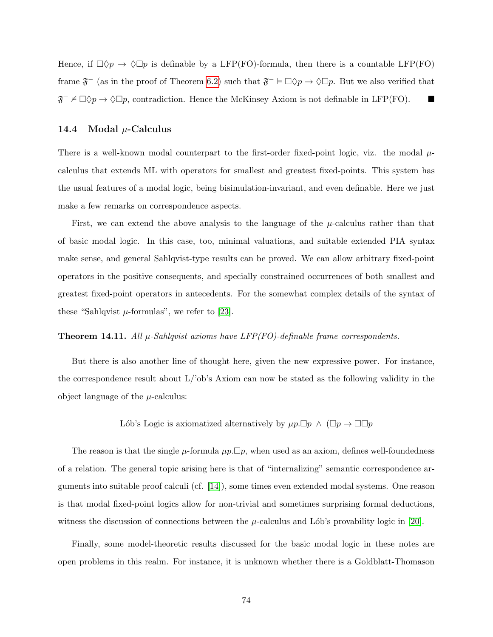Hence, if  $\Box \Diamond p \to \Diamond \Box p$  is definable by a LFP(FO)-formula, then there is a countable LFP(FO) frame  $\mathfrak{F}^-$  (as in the proof of Theorem [6.2\)](#page-25-0) such that  $\mathfrak{F}^- \models \Box \Diamond p \rightarrow \Diamond \Box p$ . But we also verified that  $\mathfrak{F}^- \nvDash \Box \Diamond p \to \Diamond \Box p$ , contradiction. Hence the McKinsey Axiom is not definable in LFP(FO).

## 14.4 Modal  $\mu$ -Calculus

There is a well-known modal counterpart to the first-order fixed-point logic, viz. the modal  $\mu$ calculus that extends ML with operators for smallest and greatest fixed-points. This system has the usual features of a modal logic, being bisimulation-invariant, and even definable. Here we just make a few remarks on correspondence aspects.

First, we can extend the above analysis to the language of the  $\mu$ -calculus rather than that of basic modal logic. In this case, too, minimal valuations, and suitable extended PIA syntax make sense, and general Sahlqvist-type results can be proved. We can allow arbitrary fixed-point operators in the positive consequents, and specially constrained occurrences of both smallest and greatest fixed-point operators in antecedents. For the somewhat complex details of the syntax of these "Sahlqvist  $\mu$ -formulas", we refer to [\[23\]](#page-76-0).

## **Theorem 14.11.** All  $\mu$ -Sahlqvist axioms have LFP(FO)-definable frame correspondents.

But there is also another line of thought here, given the new expressive power. For instance, the correspondence result about  $L/\delta b$ 's Axiom can now be stated as the following validity in the object language of the  $\mu$ -calculus:

Lób's Logic is axiomatized alternatively by  $\mu p.\Box p \wedge (\Box p \rightarrow \Box \Box p)$ 

The reason is that the single  $\mu$ -formula  $\mu p.\Box p$ , when used as an axiom, defines well-foundedness of a relation. The general topic arising here is that of "internalizing" semantic correspondence arguments into suitable proof calculi (cf. [\[14\]](#page-76-1)), some times even extended modal systems. One reason is that modal fixed-point logics allow for non-trivial and sometimes surprising formal deductions, witness the discussion of connections between the  $\mu$ -calculus and Lób's provability logic in [\[20\]](#page-76-2).

Finally, some model-theoretic results discussed for the basic modal logic in these notes are open problems in this realm. For instance, it is unknown whether there is a Goldblatt-Thomason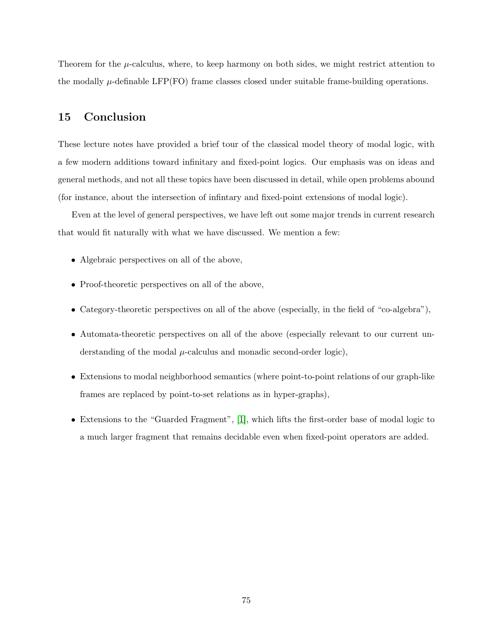Theorem for the  $\mu$ -calculus, where, to keep harmony on both sides, we might restrict attention to the modally  $\mu$ -definable LFP(FO) frame classes closed under suitable frame-building operations.

## 15 Conclusion

These lecture notes have provided a brief tour of the classical model theory of modal logic, with a few modern additions toward infinitary and fixed-point logics. Our emphasis was on ideas and general methods, and not all these topics have been discussed in detail, while open problems abound (for instance, about the intersection of infintary and fixed-point extensions of modal logic).

Even at the level of general perspectives, we have left out some major trends in current research that would fit naturally with what we have discussed. We mention a few:

- Algebraic perspectives on all of the above,
- Proof-theoretic perspectives on all of the above,
- Category-theoretic perspectives on all of the above (especially, in the field of "co-algebra"),
- Automata-theoretic perspectives on all of the above (especially relevant to our current understanding of the modal  $\mu$ -calculus and monadic second-order logic),
- Extensions to modal neighborhood semantics (where point-to-point relations of our graph-like frames are replaced by point-to-set relations as in hyper-graphs),
- Extensions to the "Guarded Fragment", [\[1\]](#page-75-1), which lifts the first-order base of modal logic to a much larger fragment that remains decidable even when fixed-point operators are added.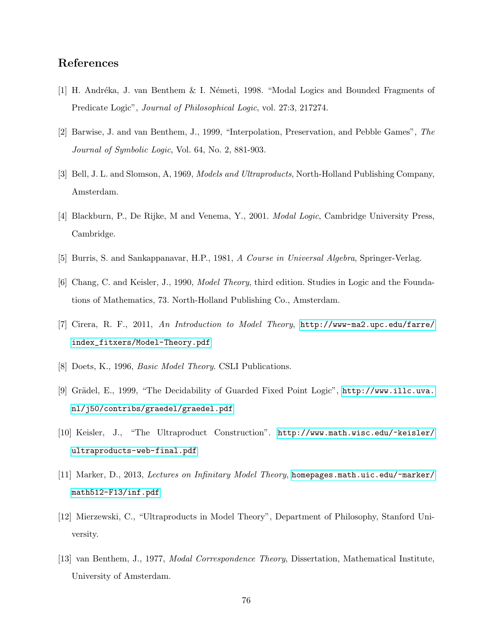## <span id="page-75-1"></span>References

- [1] H. Andréka, J. van Benthem & I. Németi, 1998. "Modal Logics and Bounded Fragments of Predicate Logic", Journal of Philosophical Logic, vol. 27:3, 217274.
- [2] Barwise, J. and van Benthem, J., 1999, "Interpolation, Preservation, and Pebble Games", The Journal of Symbolic Logic, Vol. 64, No. 2, 881-903.
- [3] Bell, J. L. and Slomson, A, 1969, Models and Ultraproducts, North-Holland Publishing Company, Amsterdam.
- [4] Blackburn, P., De Rijke, M and Venema, Y., 2001. Modal Logic, Cambridge University Press, Cambridge.
- [5] Burris, S. and Sankappanavar, H.P., 1981, A Course in Universal Algebra, Springer-Verlag.
- [6] Chang, C. and Keisler, J., 1990, Model Theory, third edition. Studies in Logic and the Foundations of Mathematics, 73. North-Holland Publishing Co., Amsterdam.
- [7] Cirera, R. F., 2011, An Introduction to Model Theory, [http://www-ma2.upc.edu/farre/](http://www-ma2.upc.edu/farre/index_fitxers/Model-Theory.pdf) [index\\_fitxers/Model-Theory.pdf](http://www-ma2.upc.edu/farre/index_fitxers/Model-Theory.pdf)
- <span id="page-75-0"></span>[8] Doets, K., 1996, *Basic Model Theory*. CSLI Publications.
- [9] Grädel, E., 1999, "The Decidability of Guarded Fixed Point Logic", [http://www.illc.uva.](http://www.illc.uva.nl/j50/contribs/graedel/graedel.pdf) [nl/j50/contribs/graedel/graedel.pdf](http://www.illc.uva.nl/j50/contribs/graedel/graedel.pdf)
- [10] Keisler, J., "The Ultraproduct Construction". [http://www.math.wisc.edu/~keisler/](http://www.math.wisc.edu/~keisler/ ultraproducts-web-final.pdf) [ultraproducts-web-final.pdf](http://www.math.wisc.edu/~keisler/ ultraproducts-web-final.pdf)
- [11] Marker, D., 2013, Lectures on Infinitary Model Theory, [homepages.math.uic.edu/~marker/](homepages.math.uic.edu/~marker/math512-F13/inf.pdf) [math512-F13/inf.pdf](homepages.math.uic.edu/~marker/math512-F13/inf.pdf)
- [12] Mierzewski, C., "Ultraproducts in Model Theory", Department of Philosophy, Stanford University.
- [13] van Benthem, J., 1977, Modal Correspondence Theory, Dissertation, Mathematical Institute, University of Amsterdam.